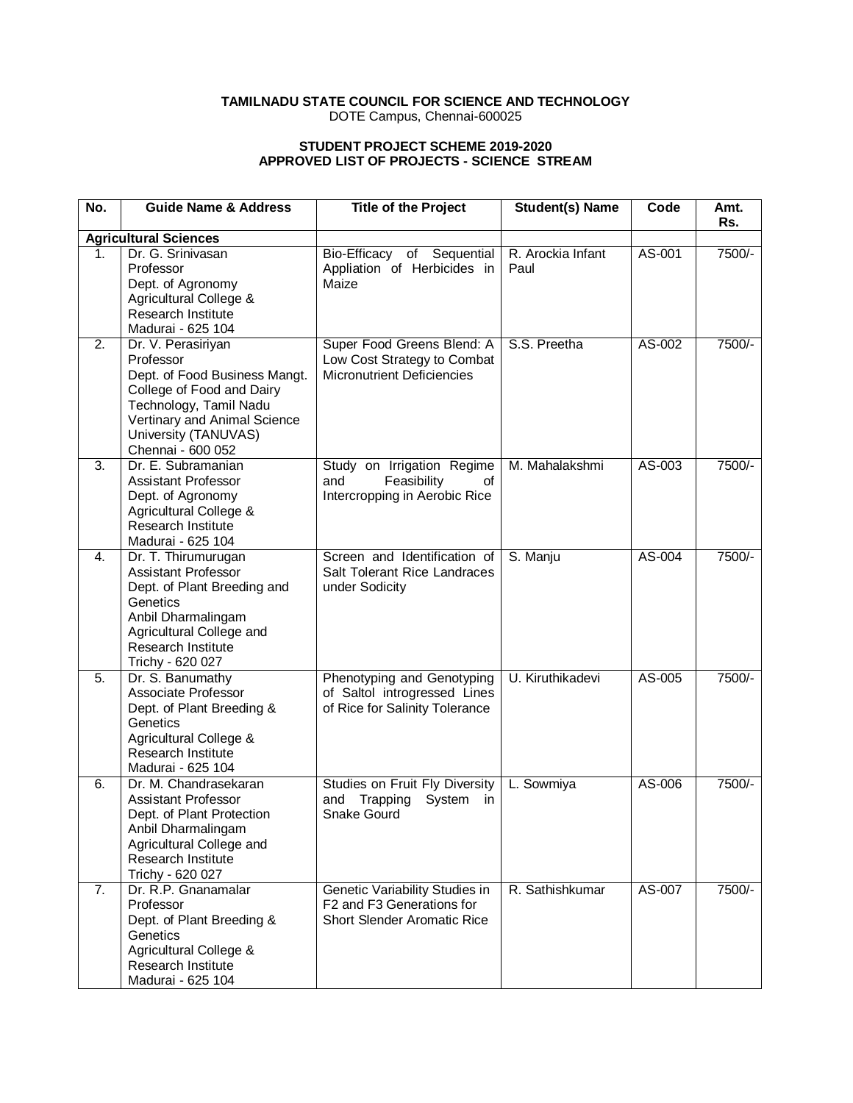# **TAMILNADU STATE COUNCIL FOR SCIENCE AND TECHNOLOGY**

DOTE Campus, Chennai-600025

#### **STUDENT PROJECT SCHEME 2019-2020 APPROVED LIST OF PROJECTS - SCIENCE STREAM**

| No. | <b>Guide Name &amp; Address</b>                                                                                                                                                                      | <b>Title of the Project</b>                                                                       | <b>Student(s) Name</b>    | Code   | Amt.   |
|-----|------------------------------------------------------------------------------------------------------------------------------------------------------------------------------------------------------|---------------------------------------------------------------------------------------------------|---------------------------|--------|--------|
|     | <b>Agricultural Sciences</b>                                                                                                                                                                         |                                                                                                   |                           |        | Rs.    |
| 1.  | Dr. G. Srinivasan<br>Professor<br>Dept. of Agronomy<br>Agricultural College &<br><b>Research Institute</b><br>Madurai - 625 104                                                                      | Bio-Efficacy of Sequential<br>Appliation of Herbicides in<br>Maize                                | R. Arockia Infant<br>Paul | AS-001 | 7500/- |
| 2.  | Dr. V. Perasiriyan<br>Professor<br>Dept. of Food Business Mangt.<br>College of Food and Dairy<br>Technology, Tamil Nadu<br>Vertinary and Animal Science<br>University (TANUVAS)<br>Chennai - 600 052 | Super Food Greens Blend: A<br>Low Cost Strategy to Combat<br><b>Micronutrient Deficiencies</b>    | S.S. Preetha              | AS-002 | 7500/- |
| 3.  | Dr. E. Subramanian<br><b>Assistant Professor</b><br>Dept. of Agronomy<br>Agricultural College &<br>Research Institute<br>Madurai - 625 104                                                           | Study on Irrigation Regime<br>Feasibility<br>and<br>of<br>Intercropping in Aerobic Rice           | M. Mahalakshmi            | AS-003 | 7500/- |
| 4.  | Dr. T. Thirumurugan<br>Assistant Professor<br>Dept. of Plant Breeding and<br>Genetics<br>Anbil Dharmalingam<br>Agricultural College and<br><b>Research Institute</b><br>Trichy - 620 027             | Screen and Identification of<br>Salt Tolerant Rice Landraces<br>under Sodicity                    | S. Manju                  | AS-004 | 7500/- |
| 5.  | Dr. S. Banumathy<br>Associate Professor<br>Dept. of Plant Breeding &<br>Genetics<br>Agricultural College &<br>Research Institute<br>Madurai - 625 104                                                | Phenotyping and Genotyping<br>of Saltol introgressed Lines<br>of Rice for Salinity Tolerance      | U. Kiruthikadevi          | AS-005 | 7500/- |
| 6.  | Dr. M. Chandrasekaran<br><b>Assistant Professor</b><br>Dept. of Plant Protection<br>Anbil Dharmalingam<br>Agricultural College and<br>Research Institute<br>Trichy - 620 027                         | Studies on Fruit Fly Diversity<br>and<br>Trapping<br>System<br>in<br><b>Snake Gourd</b>           | L. Sowmiya                | AS-006 | 7500/- |
| 7.  | Dr. R.P. Gnanamalar<br>Professor<br>Dept. of Plant Breeding &<br>Genetics<br>Agricultural College &<br>Research Institute<br>Madurai - 625 104                                                       | Genetic Variability Studies in<br>F2 and F3 Generations for<br><b>Short Slender Aromatic Rice</b> | R. Sathishkumar           | AS-007 | 7500/- |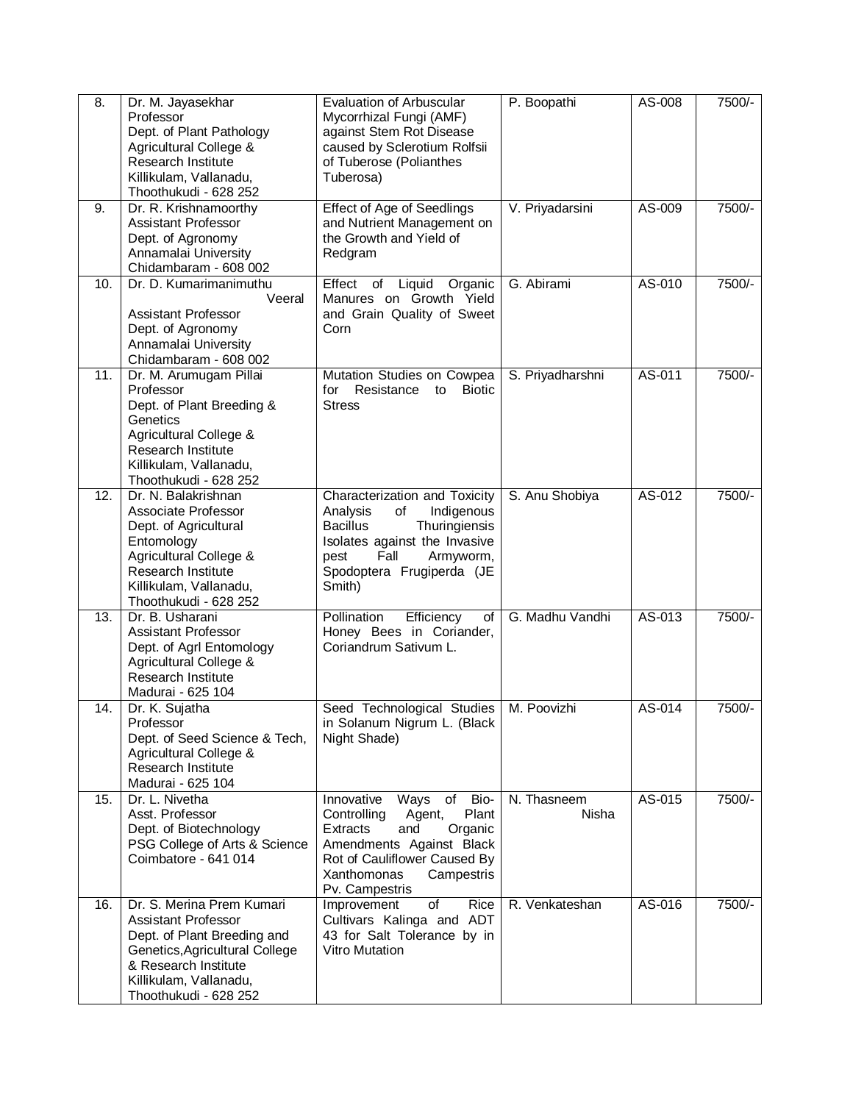| $\overline{8}$ .  | Dr. M. Jayasekhar<br>Professor<br>Dept. of Plant Pathology<br>Agricultural College &<br><b>Research Institute</b><br>Killikulam, Vallanadu,<br>Thoothukudi - 628 252                                | Evaluation of Arbuscular<br>Mycorrhizal Fungi (AMF)<br>against Stem Rot Disease<br>caused by Sclerotium Rolfsii<br>of Tuberose (Polianthes<br>Tuberosa)                                                  | P. Boopathi          | AS-008 | 7500/- |
|-------------------|-----------------------------------------------------------------------------------------------------------------------------------------------------------------------------------------------------|----------------------------------------------------------------------------------------------------------------------------------------------------------------------------------------------------------|----------------------|--------|--------|
| 9.                | Dr. R. Krishnamoorthy<br><b>Assistant Professor</b><br>Dept. of Agronomy<br>Annamalai University<br>Chidambaram - 608 002                                                                           | <b>Effect of Age of Seedlings</b><br>and Nutrient Management on<br>the Growth and Yield of<br>Redgram                                                                                                    | V. Priyadarsini      | AS-009 | 7500/- |
| 10.               | Dr. D. Kumarimanimuthu<br>Veeral<br><b>Assistant Professor</b><br>Dept. of Agronomy<br>Annamalai University<br>Chidambaram - 608 002                                                                | Effect<br>Liquid<br>Organic<br>of<br>Manures on Growth Yield<br>and Grain Quality of Sweet<br>Corn                                                                                                       | G. Abirami           | AS-010 | 7500/- |
| 11.               | Dr. M. Arumugam Pillai<br>Professor<br>Dept. of Plant Breeding &<br>Genetics<br>Agricultural College &<br>Research Institute<br>Killikulam, Vallanadu,<br>Thoothukudi - 628 252                     | Mutation Studies on Cowpea<br>for<br>Resistance<br><b>Biotic</b><br>to<br><b>Stress</b>                                                                                                                  | S. Priyadharshni     | AS-011 | 7500/- |
| 12.               | Dr. N. Balakrishnan<br>Associate Professor<br>Dept. of Agricultural<br>Entomology<br>Agricultural College &<br><b>Research Institute</b><br>Killikulam, Vallanadu,<br>Thoothukudi - 628 252         | Characterization and Toxicity<br>Analysis<br>of<br>Indigenous<br><b>Bacillus</b><br>Thuringiensis<br>Isolates against the Invasive<br>Fall<br>Armyworm,<br>pest<br>Spodoptera Frugiperda (JE<br>Smith)   | S. Anu Shobiya       | AS-012 | 7500/- |
| $\overline{13}$ . | Dr. B. Usharani<br><b>Assistant Professor</b><br>Dept. of Agrl Entomology<br>Agricultural College &<br><b>Research Institute</b><br>Madurai - 625 104                                               | Pollination<br>Efficiency<br>of<br>Honey Bees in Coriander,<br>Coriandrum Sativum L.                                                                                                                     | G. Madhu Vandhi      | AS-013 | 7500/- |
| 14.               | Dr. K. Sujatha<br>Professor<br>Dept. of Seed Science & Tech,<br>Agricultural College &<br><b>Research Institute</b><br>Madurai - 625 104                                                            | Seed Technological Studies<br>in Solanum Nigrum L. (Black<br>Night Shade)                                                                                                                                | M. Poovizhi          | AS-014 | 7500/- |
| 15.               | Dr. L. Nivetha<br>Asst. Professor<br>Dept. of Biotechnology<br>PSG College of Arts & Science<br>Coimbatore - 641 014                                                                                | Bio-<br>Innovative<br>Ways of<br>Controlling<br>Plant<br>Agent,<br>Extracts<br>Organic<br>and<br>Amendments Against Black<br>Rot of Cauliflower Caused By<br>Xanthomonas<br>Campestris<br>Pv. Campestris | N. Thasneem<br>Nisha | AS-015 | 7500/- |
| 16.               | Dr. S. Merina Prem Kumari<br><b>Assistant Professor</b><br>Dept. of Plant Breeding and<br>Genetics, Agricultural College<br>& Research Institute<br>Killikulam, Vallanadu,<br>Thoothukudi - 628 252 | <b>Rice</b><br>Improvement<br>of<br>Cultivars Kalinga and ADT<br>43 for Salt Tolerance by in<br><b>Vitro Mutation</b>                                                                                    | R. Venkateshan       | AS-016 | 7500/- |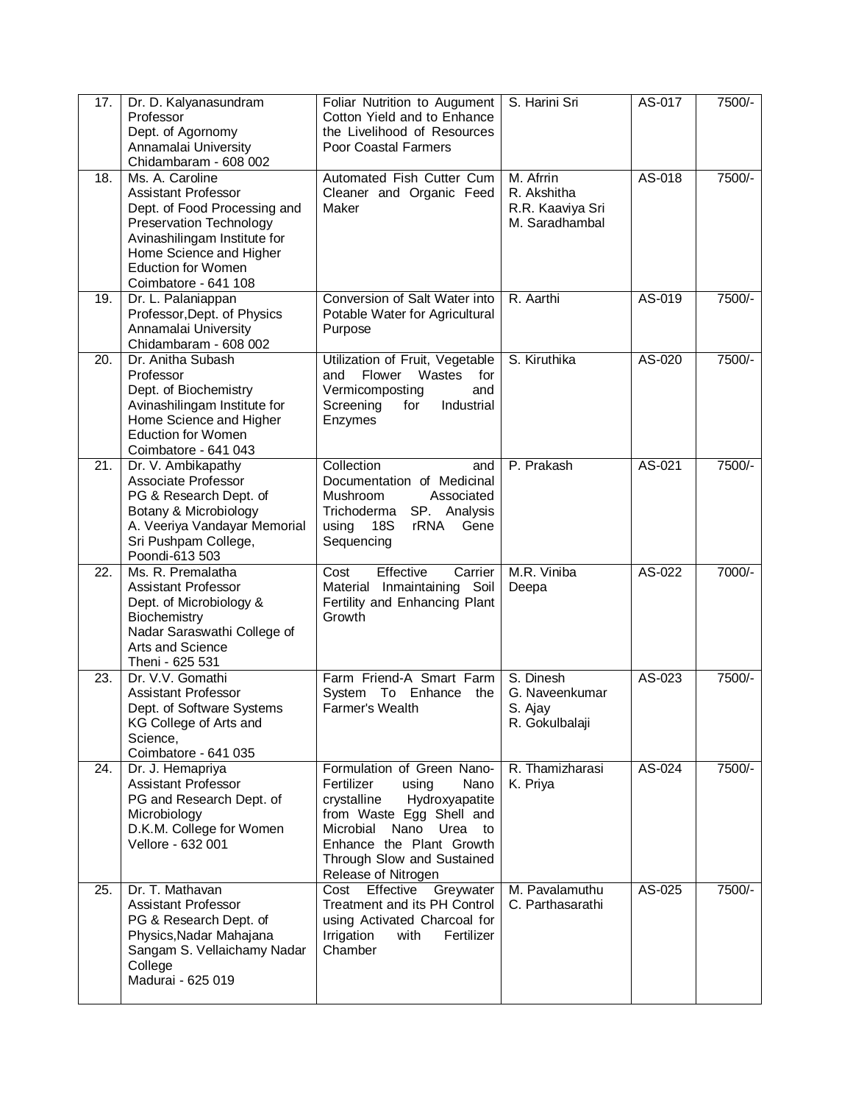| 17. | Dr. D. Kalyanasundram<br>Professor<br>Dept. of Agornomy<br>Annamalai University<br>Chidambaram - 608 002                                                                                                                        | Foliar Nutrition to Augument<br>Cotton Yield and to Enhance<br>the Livelihood of Resources<br>Poor Coastal Farmers                                                                                                                      | S. Harini Sri                                                  | AS-017 | 7500/- |
|-----|---------------------------------------------------------------------------------------------------------------------------------------------------------------------------------------------------------------------------------|-----------------------------------------------------------------------------------------------------------------------------------------------------------------------------------------------------------------------------------------|----------------------------------------------------------------|--------|--------|
| 18. | Ms. A. Caroline<br><b>Assistant Professor</b><br>Dept. of Food Processing and<br><b>Preservation Technology</b><br>Avinashilingam Institute for<br>Home Science and Higher<br><b>Eduction for Women</b><br>Coimbatore - 641 108 | Automated Fish Cutter Cum<br>Cleaner and Organic Feed<br>Maker                                                                                                                                                                          | M. Afrrin<br>R. Akshitha<br>R.R. Kaaviya Sri<br>M. Saradhambal | AS-018 | 7500/- |
| 19. | Dr. L. Palaniappan<br>Professor, Dept. of Physics<br>Annamalai University<br>Chidambaram - 608 002                                                                                                                              | Conversion of Salt Water into<br>Potable Water for Agricultural<br>Purpose                                                                                                                                                              | R. Aarthi                                                      | AS-019 | 7500/- |
| 20. | Dr. Anitha Subash<br>Professor<br>Dept. of Biochemistry<br>Avinashilingam Institute for<br>Home Science and Higher<br><b>Eduction for Women</b><br>Coimbatore - 641 043                                                         | Utilization of Fruit, Vegetable<br>Flower<br>Wastes<br>for<br>and<br>Vermicomposting<br>and<br>Screening<br>for<br>Industrial<br>Enzymes                                                                                                | S. Kiruthika                                                   | AS-020 | 7500/- |
| 21. | Dr. V. Ambikapathy<br>Associate Professor<br>PG & Research Dept. of<br>Botany & Microbiology<br>A. Veeriya Vandayar Memorial<br>Sri Pushpam College,<br>Poondi-613 503                                                          | Collection<br>and<br>Documentation of Medicinal<br>Mushroom<br>Associated<br>Trichoderma<br>SP. Analysis<br>using<br>18S<br>rRNA<br>Gene<br>Sequencing                                                                                  | P. Prakash                                                     | AS-021 | 7500/- |
| 22. | Ms. R. Premalatha<br><b>Assistant Professor</b><br>Dept. of Microbiology &<br>Biochemistry<br>Nadar Saraswathi College of<br>Arts and Science<br>Theni - 625 531                                                                | Effective<br>Cost<br>Carrier<br>Material Inmaintaining Soil<br>Fertility and Enhancing Plant<br>Growth                                                                                                                                  | M.R. Viniba<br>Deepa                                           | AS-022 | 7000/- |
| 23. | Dr. V.V. Gomathi<br><b>Assistant Professor</b><br>Dept. of Software Systems<br>KG College of Arts and<br>Science,<br>Coimbatore - 641 035                                                                                       | Farm Friend-A Smart Farm<br>System<br>To<br>Enhance<br>the<br><b>Farmer's Wealth</b>                                                                                                                                                    | S. Dinesh<br>G. Naveenkumar<br>S. Ajay<br>R. Gokulbalaji       | AS-023 | 7500/- |
| 24. | Dr. J. Hemapriya<br>Assistant Professor<br>PG and Research Dept. of<br>Microbiology<br>D.K.M. College for Women<br>Vellore - 632 001                                                                                            | Formulation of Green Nano-<br>Fertilizer<br>using<br>Nano<br>crystalline<br>Hydroxyapatite<br>from Waste Egg Shell and<br>Microbial<br>Nano<br>Urea to<br>Enhance the Plant Growth<br>Through Slow and Sustained<br>Release of Nitrogen | R. Thamizharasi<br>K. Priya                                    | AS-024 | 7500/- |
| 25. | Dr. T. Mathavan<br>Assistant Professor<br>PG & Research Dept. of<br>Physics, Nadar Mahajana<br>Sangam S. Vellaichamy Nadar<br>College<br>Madurai - 625 019                                                                      | Greywater<br>Effective<br>Cost<br>Treatment and its PH Control<br>using Activated Charcoal for<br>Fertilizer<br>Irrigation<br>with<br>Chamber                                                                                           | M. Pavalamuthu<br>C. Parthasarathi                             | AS-025 | 7500/- |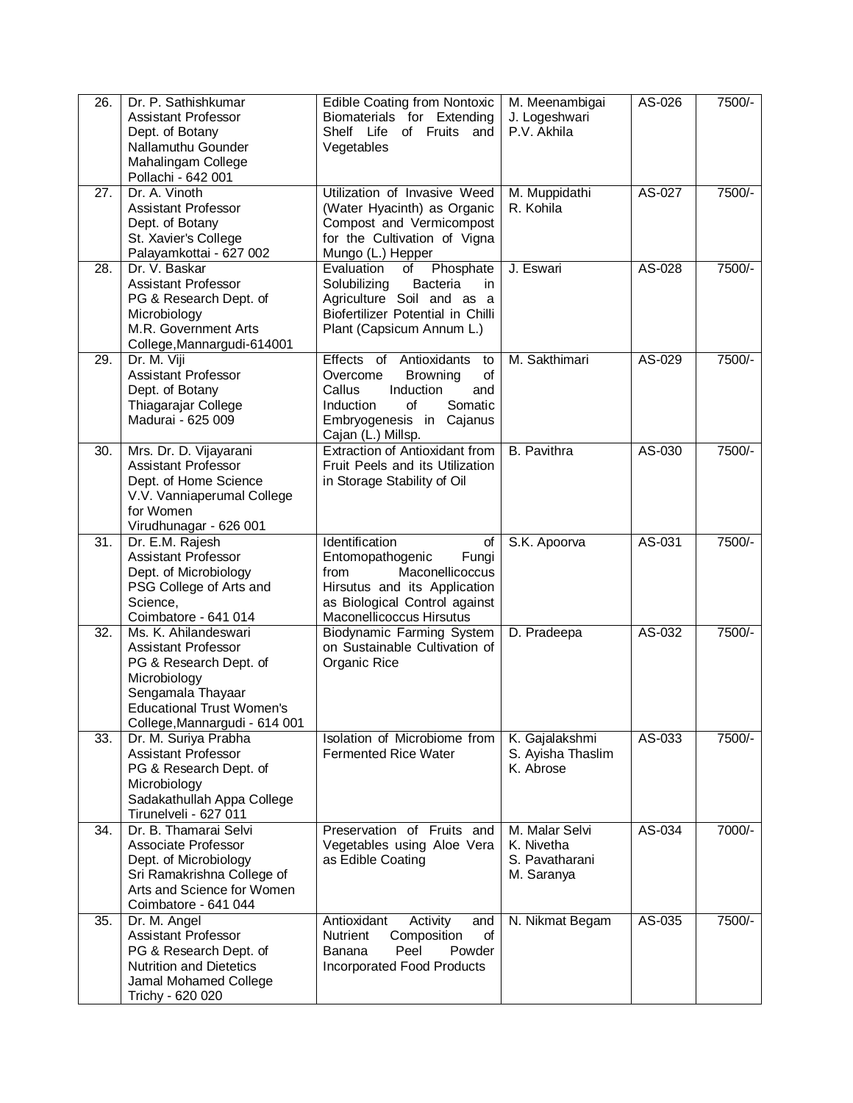| $\overline{26}$ . | Dr. P. Sathishkumar<br>Assistant Professor<br>Dept. of Botany<br>Nallamuthu Gounder<br>Mahalingam College<br>Pollachi - 642 001                                                        | <b>Edible Coating from Nontoxic</b><br>Biomaterials for Extending<br>Shelf Life of Fruits and<br>Vegetables                                                                             | M. Meenambigai<br>J. Logeshwari<br>P.V. Akhila               | AS-026 | 7500/- |
|-------------------|----------------------------------------------------------------------------------------------------------------------------------------------------------------------------------------|-----------------------------------------------------------------------------------------------------------------------------------------------------------------------------------------|--------------------------------------------------------------|--------|--------|
| 27.               | Dr. A. Vinoth<br><b>Assistant Professor</b><br>Dept. of Botany<br>St. Xavier's College<br>Palayamkottai - 627 002                                                                      | Utilization of Invasive Weed<br>(Water Hyacinth) as Organic<br>Compost and Vermicompost<br>for the Cultivation of Vigna<br>Mungo (L.) Hepper                                            | M. Muppidathi<br>R. Kohila                                   | AS-027 | 7500/- |
| 28.               | Dr. V. Baskar<br><b>Assistant Professor</b><br>PG & Research Dept. of<br>Microbiology<br>M.R. Government Arts<br>College, Mannargudi-614001                                            | Evaluation<br>Phosphate<br>οf<br>Bacteria<br>Solubilizing<br>in<br>Agriculture Soil and as a<br>Biofertilizer Potential in Chilli<br>Plant (Capsicum Annum L.)                          | J. Eswari                                                    | AS-028 | 7500/- |
| 29.               | Dr. M. Viji<br><b>Assistant Professor</b><br>Dept. of Botany<br>Thiagarajar College<br>Madurai - 625 009                                                                               | Effects of Antioxidants<br>to<br>Overcome<br><b>Browning</b><br>of<br>Induction<br>Callus<br>and<br>Somatic<br><b>Induction</b><br>of<br>Embryogenesis in Cajanus<br>Cajan (L.) Millsp. | M. Sakthimari                                                | AS-029 | 7500/- |
| 30.               | Mrs. Dr. D. Vijayarani<br><b>Assistant Professor</b><br>Dept. of Home Science<br>V.V. Vanniaperumal College<br>for Women<br>Virudhunagar - 626 001                                     | Extraction of Antioxidant from<br>Fruit Peels and its Utilization<br>in Storage Stability of Oil                                                                                        | <b>B.</b> Pavithra                                           | AS-030 | 7500/- |
| 31.               | Dr. E.M. Rajesh<br><b>Assistant Professor</b><br>Dept. of Microbiology<br>PSG College of Arts and<br>Science,<br>Coimbatore - 641 014                                                  | Identification<br>of<br>Entomopathogenic<br>Fungi<br>Maconellicoccus<br>from<br>Hirsutus and its Application<br>as Biological Control against<br>Maconellicoccus Hirsutus               | S.K. Apoorva                                                 | AS-031 | 7500/- |
| $\overline{32}$ . | Ms. K. Ahilandeswari<br><b>Assistant Professor</b><br>PG & Research Dept. of<br>Microbiology<br>Sengamala Thayaar<br><b>Educational Trust Women's</b><br>College, Mannargudi - 614 001 | <b>Biodynamic Farming System</b><br>on Sustainable Cultivation of<br>Organic Rice                                                                                                       | D. Pradeepa                                                  | AS-032 | 7500/- |
| 33.               | Dr. M. Suriya Prabha<br><b>Assistant Professor</b><br>PG & Research Dept. of<br>Microbiology<br>Sadakathullah Appa College<br>Tirunelveli - 627 011                                    | Isolation of Microbiome from<br><b>Fermented Rice Water</b>                                                                                                                             | K. Gajalakshmi<br>S. Ayisha Thaslim<br>K. Abrose             | AS-033 | 7500/- |
| 34.               | Dr. B. Thamarai Selvi<br>Associate Professor<br>Dept. of Microbiology<br>Sri Ramakrishna College of<br>Arts and Science for Women<br>Coimbatore - 641 044                              | Preservation of Fruits and<br>Vegetables using Aloe Vera<br>as Edible Coating                                                                                                           | M. Malar Selvi<br>K. Nivetha<br>S. Pavatharani<br>M. Saranya | AS-034 | 7000/- |
| 35.               | Dr. M. Angel<br><b>Assistant Professor</b><br>PG & Research Dept. of<br><b>Nutrition and Dietetics</b><br>Jamal Mohamed College<br>Trichy - 620 020                                    | Activity<br>Antioxidant<br>and<br>Composition<br>of<br>Nutrient<br>Powder<br>Peel<br>Banana<br><b>Incorporated Food Products</b>                                                        | N. Nikmat Begam                                              | AS-035 | 7500/- |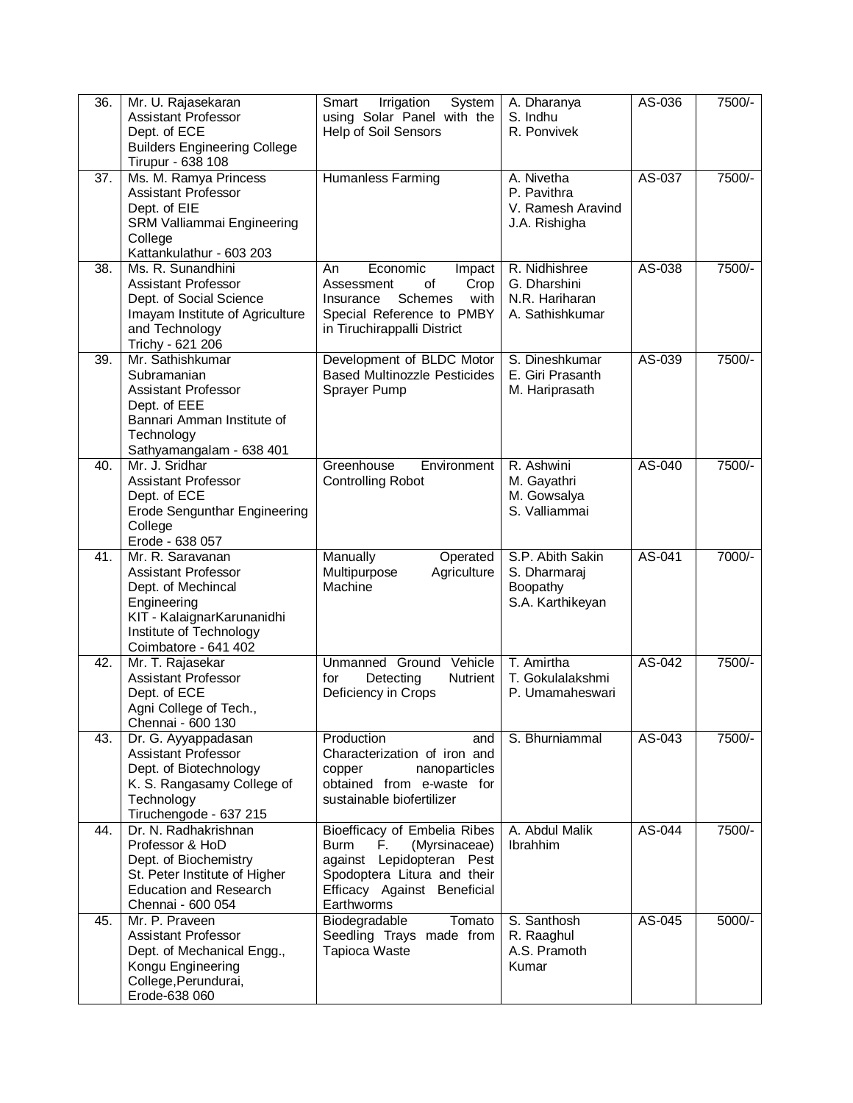| 36. | Mr. U. Rajasekaran<br><b>Assistant Professor</b><br>Dept. of ECE<br><b>Builders Engineering College</b><br>Tirupur - 638 108                                         | Smart<br>Irrigation<br>System<br>using Solar Panel with the<br>Help of Soil Sensors                                                                                  | A. Dharanya<br>S. Indhu<br>R. Ponvivek                             | AS-036 | 7500/-   |
|-----|----------------------------------------------------------------------------------------------------------------------------------------------------------------------|----------------------------------------------------------------------------------------------------------------------------------------------------------------------|--------------------------------------------------------------------|--------|----------|
| 37. | Ms. M. Ramya Princess<br><b>Assistant Professor</b><br>Dept. of EIE<br>SRM Valliammai Engineering<br>College<br>Kattankulathur - 603 203                             | <b>Humanless Farming</b>                                                                                                                                             | A. Nivetha<br>P. Pavithra<br>V. Ramesh Aravind<br>J.A. Rishigha    | AS-037 | 7500/-   |
| 38. | Ms. R. Sunandhini<br><b>Assistant Professor</b><br>Dept. of Social Science<br>Imayam Institute of Agriculture<br>and Technology<br>Trichy - 621 206                  | An<br>Economic<br>Impact<br>of<br>Crop<br>Assessment<br><b>Schemes</b><br>with<br>Insurance<br>Special Reference to PMBY<br>in Tiruchirappalli District              | R. Nidhishree<br>G. Dharshini<br>N.R. Hariharan<br>A. Sathishkumar | AS-038 | 7500/-   |
| 39. | Mr. Sathishkumar<br>Subramanian<br><b>Assistant Professor</b><br>Dept. of EEE<br>Bannari Amman Institute of<br>Technology<br>Sathyamangalam - 638 401                | Development of BLDC Motor<br><b>Based Multinozzle Pesticides</b><br>Sprayer Pump                                                                                     | S. Dineshkumar<br>E. Giri Prasanth<br>M. Hariprasath               | AS-039 | 7500/-   |
| 40. | Mr. J. Sridhar<br><b>Assistant Professor</b><br>Dept. of ECE<br><b>Erode Sengunthar Engineering</b><br>College<br>Erode - 638 057                                    | Greenhouse<br>Environment<br><b>Controlling Robot</b>                                                                                                                | R. Ashwini<br>M. Gayathri<br>M. Gowsalya<br>S. Valliammai          | AS-040 | 7500/-   |
| 41. | Mr. R. Saravanan<br><b>Assistant Professor</b><br>Dept. of Mechincal<br>Engineering<br>KIT - KalaignarKarunanidhi<br>Institute of Technology<br>Coimbatore - 641 402 | Manually<br>Operated<br>Multipurpose<br>Agriculture<br>Machine                                                                                                       | S.P. Abith Sakin<br>S. Dharmaraj<br>Boopathy<br>S.A. Karthikeyan   | AS-041 | 7000/-   |
| 42. | Mr. T. Rajasekar<br><b>Assistant Professor</b><br>Dept. of ECE<br>Agni College of Tech.,<br>Chennai - 600 130                                                        | Unmanned Ground Vehicle<br>for<br>Detecting<br>Nutrient<br>Deficiency in Crops                                                                                       | T. Amirtha<br>T. Gokulalakshmi<br>P. Umamaheswari                  | AS-042 | 7500/-   |
| 43. | Dr. G. Ayyappadasan<br><b>Assistant Professor</b><br>Dept. of Biotechnology<br>K. S. Rangasamy College of<br>Technology<br>Tiruchengode - 637 215                    | Production<br>and<br>Characterization of iron and<br>nanoparticles<br>copper<br>obtained from e-waste for<br>sustainable biofertilizer                               | S. Bhurniammal                                                     | AS-043 | 7500/-   |
| 44. | Dr. N. Radhakrishnan<br>Professor & HoD<br>Dept. of Biochemistry<br>St. Peter Institute of Higher<br><b>Education and Research</b><br>Chennai - 600 054              | Bioefficacy of Embelia Ribes<br>Burm<br>(Myrsinaceae)<br>E.<br>against Lepidopteran Pest<br>Spodoptera Litura and their<br>Efficacy Against Beneficial<br>Earthworms | A. Abdul Malik<br>Ibrahhim                                         | AS-044 | 7500/-   |
| 45. | Mr. P. Praveen<br><b>Assistant Professor</b><br>Dept. of Mechanical Engg.,<br>Kongu Engineering<br>College, Perundurai,<br>Erode-638 060                             | Tomato<br>Biodegradable<br>Seedling Trays made from<br><b>Tapioca Waste</b>                                                                                          | S. Santhosh<br>R. Raaghul<br>A.S. Pramoth<br>Kumar                 | AS-045 | $5000/-$ |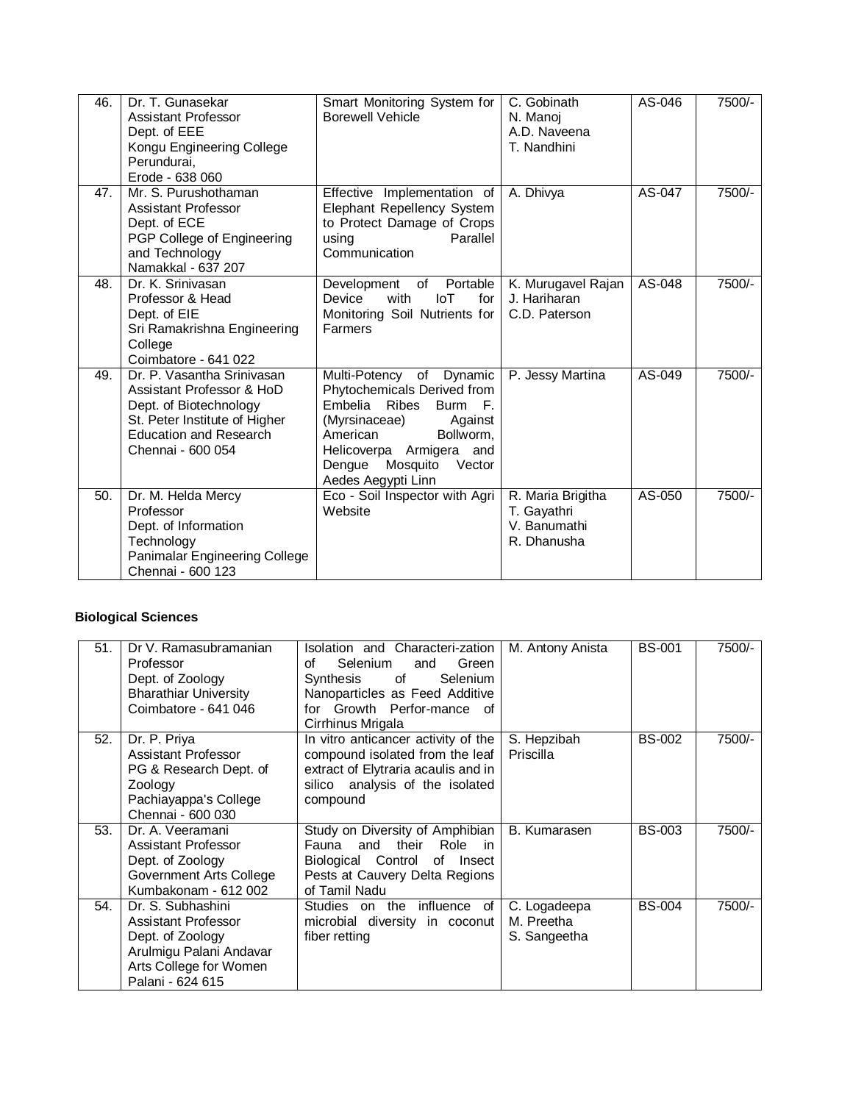| 46. | Dr. T. Gunasekar<br><b>Assistant Professor</b><br>Dept. of EEE<br>Kongu Engineering College<br>Perundurai,<br>Erode - 638 060                                            | Smart Monitoring System for<br><b>Borewell Vehicle</b>                                                                                                                                                                     | C. Gobinath<br>N. Manoj<br>A.D. Naveena<br>T. Nandhini          | AS-046 | 7500/- |
|-----|--------------------------------------------------------------------------------------------------------------------------------------------------------------------------|----------------------------------------------------------------------------------------------------------------------------------------------------------------------------------------------------------------------------|-----------------------------------------------------------------|--------|--------|
| 47. | Mr. S. Purushothaman<br>Assistant Professor<br>Dept. of ECE<br>PGP College of Engineering<br>and Technology<br>Namakkal - 637 207                                        | Effective Implementation of<br>Elephant Repellency System<br>to Protect Damage of Crops<br>using<br>Parallel<br>Communication                                                                                              | A. Dhivya                                                       | AS-047 | 7500/- |
| 48. | Dr. K. Sriniyasan<br>Professor & Head<br>Dept. of EIE<br>Sri Ramakrishna Engineering<br>College<br>Coimbatore - 641 022                                                  | Portable<br>Development<br>of<br>Device<br>with<br>$I \circ T$<br>for<br>Monitoring Soil Nutrients for<br>Farmers                                                                                                          | K. Murugavel Rajan<br>J. Hariharan<br>C.D. Paterson             | AS-048 | 7500/- |
| 49. | Dr. P. Vasantha Srinivasan<br>Assistant Professor & HoD<br>Dept. of Biotechnology<br>St. Peter Institute of Higher<br><b>Education and Research</b><br>Chennai - 600 054 | Multi-Potency of Dynamic<br>Phytochemicals Derived from<br>Embelia Ribes<br>Burm F.<br>(Myrsinaceae)<br>Against<br>American<br>Bollworm,<br>Helicoverpa Armigera and<br>Mosquito<br>Vector<br>Dengue<br>Aedes Aegypti Linn | P. Jessy Martina                                                | AS-049 | 7500/- |
| 50. | Dr. M. Helda Mercy<br>Professor<br>Dept. of Information<br>Technology<br>Panimalar Engineering College<br>Chennai - 600 123                                              | Eco - Soil Inspector with Agri<br>Website                                                                                                                                                                                  | R. Maria Brigitha<br>T. Gayathri<br>V. Banumathi<br>R. Dhanusha | AS-050 | 7500/- |

## **Biological Sciences**

| 51. | Dr V. Ramasubramanian<br>Professor<br>Dept. of Zoology<br><b>Bharathiar University</b><br>Coimbatore - 641 046                        | Isolation and Characteri-zation<br>Selenium<br>Green<br>Ωf<br>and<br>of<br>Synthesis<br>Selenium<br>Nanoparticles as Feed Additive<br>for Growth Perfor-mance of<br>Cirrhinus Mrigala | M. Antony Anista                           | <b>BS-001</b> | 7500/- |
|-----|---------------------------------------------------------------------------------------------------------------------------------------|---------------------------------------------------------------------------------------------------------------------------------------------------------------------------------------|--------------------------------------------|---------------|--------|
| 52. | Dr. P. Priya<br>Assistant Professor<br>PG & Research Dept. of<br>Zoology<br>Pachiayappa's College<br>Chennai - 600 030                | In vitro anticancer activity of the<br>compound isolated from the leaf<br>extract of Elytraria acaulis and in<br>silico analysis of the isolated<br>compound                          | S. Hepzibah<br>Priscilla                   | <b>BS-002</b> | 7500/- |
| 53. | Dr. A. Veeramani<br>Assistant Professor<br>Dept. of Zoology<br>Government Arts College<br>Kumbakonam - 612 002                        | Study on Diversity of Amphibian  <br>and their<br>Role<br>Fauna<br>in.<br>Biological Control of Insect<br>Pests at Cauvery Delta Regions<br>of Tamil Nadu                             | B. Kumarasen                               | <b>BS-003</b> | 7500/- |
| 54. | Dr. S. Subhashini<br>Assistant Professor<br>Dept. of Zoology<br>Arulmigu Palani Andavar<br>Arts College for Women<br>Palani - 624 615 | Studies on the influence of<br>microbial diversity in coconut<br>fiber retting                                                                                                        | C. Logadeepa<br>M. Preetha<br>S. Sangeetha | <b>BS-004</b> | 7500/- |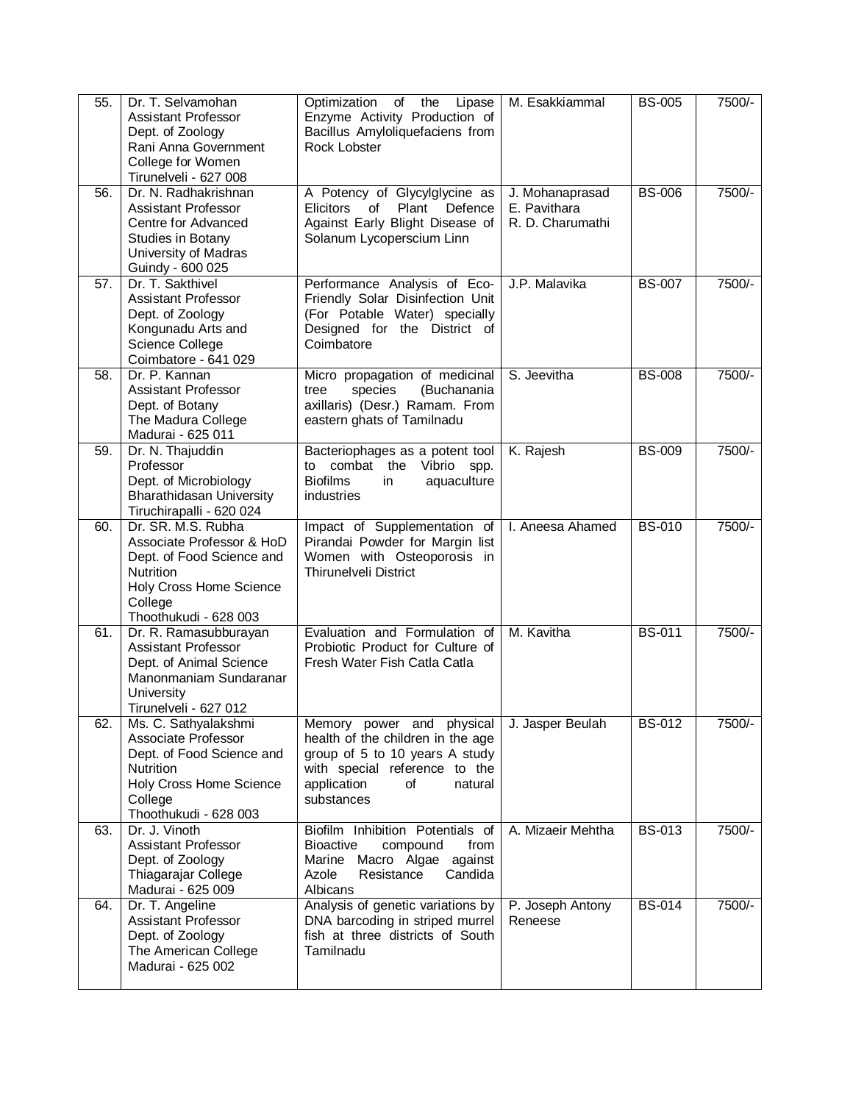| $\overline{55}$ . | Dr. T. Selvamohan<br><b>Assistant Professor</b><br>Dept. of Zoology<br>Rani Anna Government<br>College for Women<br>Tirunelveli - 627 008                       | Optimization<br>of<br>the<br>Lipase<br>Enzyme Activity Production of<br>Bacillus Amyloliquefaciens from<br>Rock Lobster                                                         | M. Esakkiammal                                      | <b>BS-005</b> | 7500/-   |
|-------------------|-----------------------------------------------------------------------------------------------------------------------------------------------------------------|---------------------------------------------------------------------------------------------------------------------------------------------------------------------------------|-----------------------------------------------------|---------------|----------|
| 56.               | Dr. N. Radhakrishnan<br><b>Assistant Professor</b><br>Centre for Advanced<br>Studies in Botany<br>University of Madras<br>Guindy - 600 025                      | A Potency of Glycylglycine as<br>of Plant<br>Defence<br><b>Elicitors</b><br>Against Early Blight Disease of<br>Solanum Lycoperscium Linn                                        | J. Mohanaprasad<br>E. Pavithara<br>R. D. Charumathi | <b>BS-006</b> | 7500/-   |
| 57.               | Dr. T. Sakthivel<br><b>Assistant Professor</b><br>Dept. of Zoology<br>Kongunadu Arts and<br>Science College<br>Coimbatore - 641 029                             | Performance Analysis of Eco-<br>Friendly Solar Disinfection Unit<br>(For Potable Water) specially<br>Designed for the District of<br>Coimbatore                                 | J.P. Malavika                                       | <b>BS-007</b> | 7500/-   |
| 58.               | Dr. P. Kannan<br>Assistant Professor<br>Dept. of Botany<br>The Madura College<br>Madurai - 625 011                                                              | Micro propagation of medicinal<br>(Buchanania<br>species<br>tree<br>axillaris) (Desr.) Ramam. From<br>eastern ghats of Tamilnadu                                                | S. Jeevitha                                         | <b>BS-008</b> | 7500/-   |
| 59.               | Dr. N. Thajuddin<br>Professor<br>Dept. of Microbiology<br><b>Bharathidasan University</b><br>Tiruchirapalli - 620 024                                           | Bacteriophages as a potent tool<br>to combat the Vibrio spp.<br><b>Biofilms</b><br>aquaculture<br>in<br>industries                                                              | K. Rajesh                                           | <b>BS-009</b> | $7500/-$ |
| 60.               | Dr. SR. M.S. Rubha<br>Associate Professor & HoD<br>Dept. of Food Science and<br><b>Nutrition</b><br>Holy Cross Home Science<br>College<br>Thoothukudi - 628 003 | Impact of Supplementation of<br>Pirandai Powder for Margin list<br>Women with Osteoporosis in<br>Thirunelveli District                                                          | I. Aneesa Ahamed                                    | <b>BS-010</b> | 7500/-   |
| 61.               | Dr. R. Ramasubburayan<br><b>Assistant Professor</b><br>Dept. of Animal Science<br>Manonmaniam Sundaranar<br>University<br>Tirunelveli - 627 012                 | Evaluation and Formulation of<br>Probiotic Product for Culture of<br>Fresh Water Fish Catla Catla                                                                               | M. Kavitha                                          | <b>BS-011</b> | 7500/-   |
| 62.               | Ms. C. Sathyalakshmi<br>Associate Professor<br>Dept. of Food Science and<br><b>Nutrition</b><br>Holy Cross Home Science<br>College<br>Thoothukudi - 628 003     | Memory power and physical<br>health of the children in the age<br>group of 5 to 10 years A study<br>with special reference to the<br>application<br>of<br>natural<br>substances | J. Jasper Beulah                                    | <b>BS-012</b> | 7500/-   |
| 63.               | Dr. J. Vinoth<br><b>Assistant Professor</b><br>Dept. of Zoology<br>Thiagarajar College<br>Madurai - 625 009                                                     | Biofilm Inhibition Potentials of<br><b>Bioactive</b><br>compound<br>from<br>Marine Macro Algae against<br>Resistance<br>Candida<br>Azole<br>Albicans                            | A. Mizaeir Mehtha                                   | <b>BS-013</b> | 7500/-   |
| 64.               | Dr. T. Angeline<br>Assistant Professor<br>Dept. of Zoology<br>The American College<br>Madurai - 625 002                                                         | Analysis of genetic variations by<br>DNA barcoding in striped murrel<br>fish at three districts of South<br>Tamilnadu                                                           | P. Joseph Antony<br>Reneese                         | <b>BS-014</b> | 7500/-   |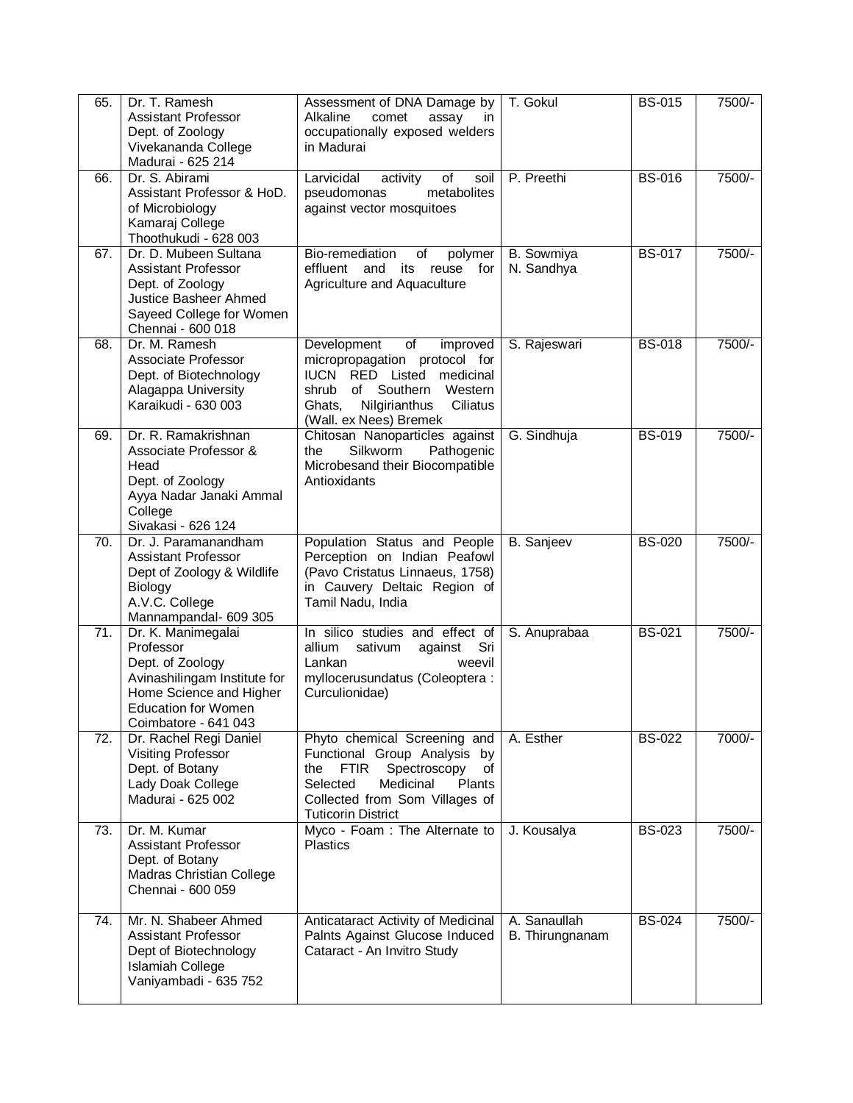| 65.               | Dr. T. Ramesh<br><b>Assistant Professor</b><br>Dept. of Zoology<br>Vivekananda College<br>Madurai - 625 214                                                          | Assessment of DNA Damage by<br>Alkaline<br>comet<br>assay<br>in<br>occupationally exposed welders<br>in Madurai                                                                                                   | T. Gokul                        | <b>BS-015</b> | 7500/- |
|-------------------|----------------------------------------------------------------------------------------------------------------------------------------------------------------------|-------------------------------------------------------------------------------------------------------------------------------------------------------------------------------------------------------------------|---------------------------------|---------------|--------|
| 66.               | Dr. S. Abirami<br>Assistant Professor & HoD.<br>of Microbiology<br>Kamaraj College<br>Thoothukudi - 628 003                                                          | Larvicidal<br>activity<br>of<br>soil<br>metabolites<br>pseudomonas<br>against vector mosquitoes                                                                                                                   | P. Preethi                      | <b>BS-016</b> | 7500/- |
| 67.               | Dr. D. Mubeen Sultana<br><b>Assistant Professor</b><br>Dept. of Zoology<br>Justice Basheer Ahmed<br>Sayeed College for Women<br>Chennai - 600 018                    | Bio-remediation<br>polymer<br>of<br>for<br>effluent<br>and<br>its<br>reuse<br>Agriculture and Aquaculture                                                                                                         | B. Sowmiya<br>N. Sandhya        | <b>BS-017</b> | 7500/- |
| 68.               | Dr. M. Ramesh<br>Associate Professor<br>Dept. of Biotechnology<br>Alagappa University<br>Karaikudi - 630 003                                                         | Development<br>of<br>improved<br>micropropagation protocol for<br>IUCN RED Listed medicinal<br>shrub of Southern<br>Western<br>Ciliatus<br>Ghats,<br>Nilgirianthus<br>(Wall. ex Nees) Bremek                      | S. Rajeswari                    | <b>BS-018</b> | 7500/- |
| 69.               | Dr. R. Ramakrishnan<br>Associate Professor &<br>Head<br>Dept. of Zoology<br>Ayya Nadar Janaki Ammal<br>College<br>Sivakasi - 626 124                                 | Chitosan Nanoparticles against<br>the<br>Silkworm<br>Pathogenic<br>Microbesand their Biocompatible<br>Antioxidants                                                                                                | G. Sindhuja                     | <b>BS-019</b> | 7500/- |
| 70.               | Dr. J. Paramanandham<br><b>Assistant Professor</b><br>Dept of Zoology & Wildlife<br><b>Biology</b><br>A.V.C. College<br>Mannampandal- 609 305                        | Population Status and People<br>Perception on Indian Peafowl<br>(Pavo Cristatus Linnaeus, 1758)<br>in Cauvery Deltaic Region of<br>Tamil Nadu, India                                                              | B. Sanjeev                      | <b>BS-020</b> | 7500/- |
| 71.               | Dr. K. Manimegalai<br>Professor<br>Dept. of Zoology<br>Avinashilingam Institute for<br>Home Science and Higher<br><b>Education for Women</b><br>Coimbatore - 641 043 | In silico studies and effect of<br>Sri<br>allium<br>sativum<br>against<br>Lankan<br>weevil<br>myllocerusundatus (Coleoptera:<br>Curculionidae)                                                                    | S. Anuprabaa                    | <b>BS-021</b> | 7500/- |
| $\overline{72}$ . | Dr. Rachel Regi Daniel<br><b>Visiting Professor</b><br>Dept. of Botany<br>Lady Doak College<br>Madurai - 625 002                                                     | Phyto chemical Screening and<br>Functional Group Analysis by<br><b>FTIR</b><br>Spectroscopy<br>the<br>of<br>Selected<br>Medicinal<br><b>Plants</b><br>Collected from Som Villages of<br><b>Tuticorin District</b> | A. Esther                       | <b>BS-022</b> | 7000/- |
| 73.               | Dr. M. Kumar<br><b>Assistant Professor</b><br>Dept. of Botany<br><b>Madras Christian College</b><br>Chennai - 600 059                                                | Myco - Foam : The Alternate to<br><b>Plastics</b>                                                                                                                                                                 | J. Kousalya                     | <b>BS-023</b> | 7500/- |
| 74.               | Mr. N. Shabeer Ahmed<br><b>Assistant Professor</b><br>Dept of Biotechnology<br><b>Islamiah College</b><br>Vaniyambadi - 635 752                                      | Anticataract Activity of Medicinal<br>Palnts Against Glucose Induced<br>Cataract - An Invitro Study                                                                                                               | A. Sanaullah<br>B. Thirungnanam | <b>BS-024</b> | 7500/- |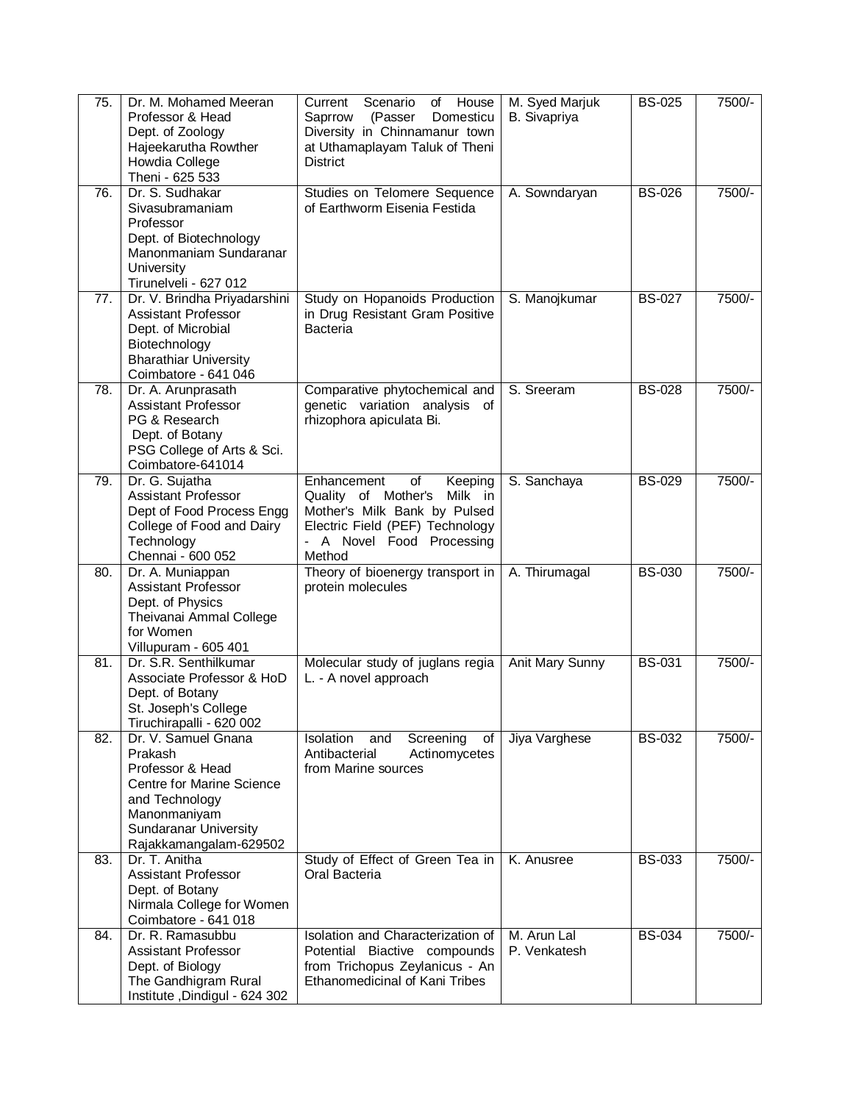| 75. | Dr. M. Mohamed Meeran<br>Professor & Head<br>Dept. of Zoology<br>Hajeekarutha Rowther<br>Howdia College<br>Theni - 625 533                                                         | House<br>Scenario<br>Current<br>of<br>Domesticu<br>Saprrow<br>(Passer<br>Diversity in Chinnamanur town<br>at Uthamaplayam Taluk of Theni<br><b>District</b>                           | M. Syed Marjuk<br>B. Sivapriya | <b>BS-025</b> | 7500/- |
|-----|------------------------------------------------------------------------------------------------------------------------------------------------------------------------------------|---------------------------------------------------------------------------------------------------------------------------------------------------------------------------------------|--------------------------------|---------------|--------|
| 76. | Dr. S. Sudhakar<br>Sivasubramaniam<br>Professor<br>Dept. of Biotechnology<br>Manonmaniam Sundaranar<br>University<br>Tirunelveli - 627 012                                         | Studies on Telomere Sequence<br>of Earthworm Eisenia Festida                                                                                                                          | A. Sowndaryan                  | <b>BS-026</b> | 7500/- |
| 77. | Dr. V. Brindha Priyadarshini<br><b>Assistant Professor</b><br>Dept. of Microbial<br>Biotechnology<br><b>Bharathiar University</b><br>Coimbatore - 641 046                          | Study on Hopanoids Production<br>in Drug Resistant Gram Positive<br><b>Bacteria</b>                                                                                                   | S. Manojkumar                  | <b>BS-027</b> | 7500/- |
| 78. | Dr. A. Arunprasath<br><b>Assistant Professor</b><br>PG & Research<br>Dept. of Botany<br>PSG College of Arts & Sci.<br>Coimbatore-641014                                            | Comparative phytochemical and<br>genetic variation analysis of<br>rhizophora apiculata Bi.                                                                                            | S. Sreeram                     | <b>BS-028</b> | 7500/- |
| 79. | Dr. G. Sujatha<br><b>Assistant Professor</b><br>Dept of Food Process Engg<br>College of Food and Dairy<br>Technology<br>Chennai - 600 052                                          | Enhancement<br>$\overline{of}$<br>Keeping<br>Milk in<br>Quality of Mother's<br>Mother's Milk Bank by Pulsed<br>Electric Field (PEF) Technology<br>- A Novel Food Processing<br>Method | S. Sanchaya                    | <b>BS-029</b> | 7500/- |
| 80. | Dr. A. Muniappan<br>Assistant Professor<br>Dept. of Physics<br>Theivanai Ammal College<br>for Women<br>Villupuram - 605 401                                                        | Theory of bioenergy transport in<br>protein molecules                                                                                                                                 | A. Thirumagal                  | <b>BS-030</b> | 7500/- |
| 81. | Dr. S.R. Senthilkumar<br>Associate Professor & HoD<br>Dept. of Botany<br>St. Joseph's College<br>Tiruchirapalli - 620 002                                                          | Molecular study of juglans regia<br>L. - A novel approach                                                                                                                             | <b>Anit Mary Sunny</b>         | <b>BS-031</b> | 7500/- |
| 82. | Dr. V. Samuel Gnana<br>Prakash<br>Professor & Head<br><b>Centre for Marine Science</b><br>and Technology<br>Manonmaniyam<br><b>Sundaranar University</b><br>Rajakkamangalam-629502 | Isolation<br>Screening<br>and<br>of<br>Antibacterial<br>Actinomycetes<br>from Marine sources                                                                                          | Jiya Varghese                  | <b>BS-032</b> | 7500/- |
| 83. | Dr. T. Anitha<br><b>Assistant Professor</b><br>Dept. of Botany<br>Nirmala College for Women<br>Coimbatore - 641 018                                                                | Study of Effect of Green Tea in<br>Oral Bacteria                                                                                                                                      | K. Anusree                     | <b>BS-033</b> | 7500/- |
| 84. | Dr. R. Ramasubbu<br><b>Assistant Professor</b><br>Dept. of Biology<br>The Gandhigram Rural<br>Institute, Dindigul - 624 302                                                        | Isolation and Characterization of<br>Potential Biactive compounds<br>from Trichopus Zeylanicus - An<br>Ethanomedicinal of Kani Tribes                                                 | M. Arun Lal<br>P. Venkatesh    | <b>BS-034</b> | 7500/- |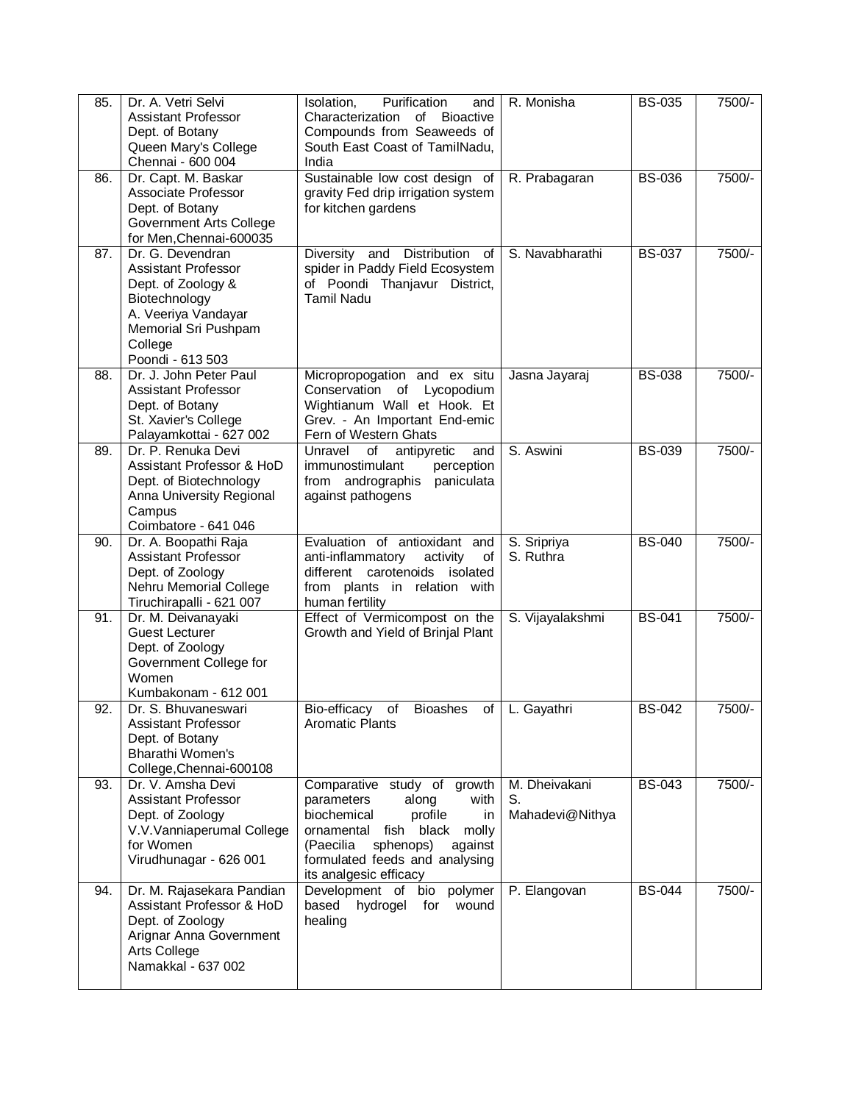| 85. | Dr. A. Vetri Selvi<br><b>Assistant Professor</b><br>Dept. of Botany<br>Queen Mary's College<br>Chennai - 600 004                                             | Purification<br>Isolation,<br>and<br>Characterization of Bioactive<br>Compounds from Seaweeds of<br>South East Coast of TamilNadu,<br>India                                                                                | R. Monisha                             | <b>BS-035</b> | 7500/- |
|-----|--------------------------------------------------------------------------------------------------------------------------------------------------------------|----------------------------------------------------------------------------------------------------------------------------------------------------------------------------------------------------------------------------|----------------------------------------|---------------|--------|
| 86. | Dr. Capt. M. Baskar<br>Associate Professor<br>Dept. of Botany<br><b>Government Arts College</b><br>for Men, Chennai-600035                                   | Sustainable low cost design of<br>gravity Fed drip irrigation system<br>for kitchen gardens                                                                                                                                | R. Prabagaran                          | <b>BS-036</b> | 7500/- |
| 87. | Dr. G. Devendran<br>Assistant Professor<br>Dept. of Zoology &<br>Biotechnology<br>A. Veeriya Vandayar<br>Memorial Sri Pushpam<br>College<br>Poondi - 613 503 | Diversity and Distribution of<br>spider in Paddy Field Ecosystem<br>of Poondi Thanjavur District,<br><b>Tamil Nadu</b>                                                                                                     | S. Navabharathi                        | <b>BS-037</b> | 7500/- |
| 88. | Dr. J. John Peter Paul<br><b>Assistant Professor</b><br>Dept. of Botany<br>St. Xavier's College<br>Palayamkottai - 627 002                                   | Micropropogation and ex situ<br>Conservation of Lycopodium<br>Wightianum Wall et Hook. Et<br>Grev. - An Important End-emic<br>Fern of Western Ghats                                                                        | Jasna Jayaraj                          | <b>BS-038</b> | 7500/- |
| 89. | Dr. P. Renuka Devi<br>Assistant Professor & HoD<br>Dept. of Biotechnology<br>Anna University Regional<br>Campus<br>Coimbatore - 641 046                      | antipyretic<br>Unravel<br>of<br>and<br>immunostimulant<br>perception<br>from andrographis<br>paniculata<br>against pathogens                                                                                               | S. Aswini                              | <b>BS-039</b> | 7500/- |
| 90. | Dr. A. Boopathi Raja<br><b>Assistant Professor</b><br>Dept. of Zoology<br>Nehru Memorial College<br>Tiruchirapalli - 621 007                                 | Evaluation of antioxidant and<br>anti-inflammatory<br>activity<br>of<br>different carotenoids isolated<br>from plants in relation with<br>human fertility                                                                  | S. Sripriya<br>S. Ruthra               | <b>BS-040</b> | 7500/- |
| 91. | Dr. M. Deivanayaki<br><b>Guest Lecturer</b><br>Dept. of Zoology<br>Government College for<br>Women<br>Kumbakonam - 612 001                                   | Effect of Vermicompost on the<br>Growth and Yield of Brinjal Plant                                                                                                                                                         | S. Vijayalakshmi                       | <b>BS-041</b> | 7500/- |
| 92. | Dr. S. Bhuvaneswari<br><b>Assistant Professor</b><br>Dept. of Botany<br><b>Bharathi Women's</b><br>College, Chennai-600108                                   | Bio-efficacy<br><b>Bioashes</b><br>of<br>of<br><b>Aromatic Plants</b>                                                                                                                                                      | L. Gayathri                            | <b>BS-042</b> | 7500/- |
| 93. | Dr. V. Amsha Devi<br>Assistant Professor<br>Dept. of Zoology<br>V.V.Vanniaperumal College<br>for Women<br>Virudhunagar - 626 001                             | Comparative study of growth<br>parameters<br>along<br>with<br>biochemical<br>profile<br>in<br>ornamental fish black molly<br>(Paecilia<br>sphenops)<br>against<br>formulated feeds and analysing<br>its analgesic efficacy | M. Dheivakani<br>S.<br>Mahadevi@Nithya | <b>BS-043</b> | 7500/- |
| 94. | Dr. M. Rajasekara Pandian<br>Assistant Professor & HoD<br>Dept. of Zoology<br>Arignar Anna Government<br>Arts College<br>Namakkal - 637 002                  | bio polymer<br>Development of<br>based<br>hydrogel<br>for<br>wound<br>healing                                                                                                                                              | P. Elangovan                           | <b>BS-044</b> | 7500/- |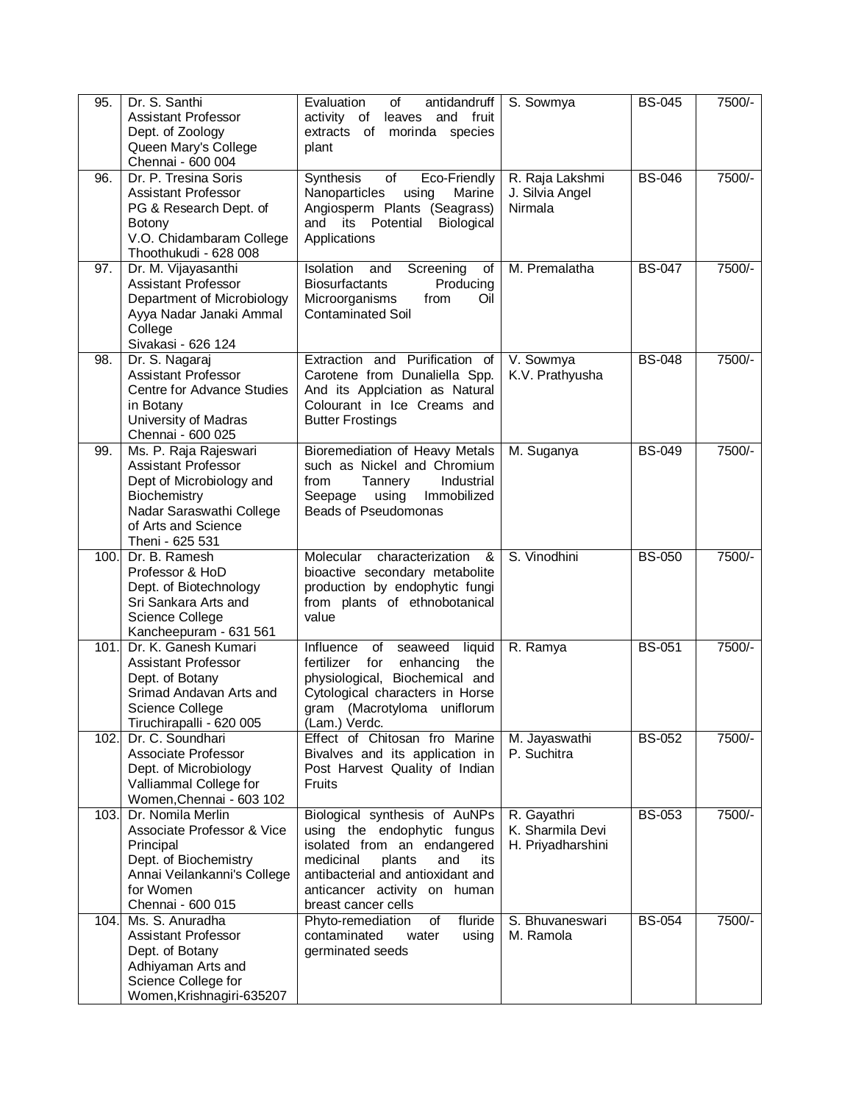| 95.  | Dr. S. Santhi<br><b>Assistant Professor</b><br>Dept. of Zoology<br>Queen Mary's College<br>Chennai - 600 004                                                          | Evaluation<br>of<br>antidandruff<br>activity of<br>and fruit<br>leaves<br>extracts of morinda species<br>plant                                                                                                               | S. Sowmya                                            | <b>BS-045</b> | 7500/- |
|------|-----------------------------------------------------------------------------------------------------------------------------------------------------------------------|------------------------------------------------------------------------------------------------------------------------------------------------------------------------------------------------------------------------------|------------------------------------------------------|---------------|--------|
| 96.  | Dr. P. Tresina Soris<br><b>Assistant Professor</b><br>PG & Research Dept. of<br><b>Botony</b><br>V.O. Chidambaram College<br>Thoothukudi - 628 008                    | Synthesis<br>Eco-Friendly<br>of<br>Nanoparticles<br>using<br>Marine<br>Angiosperm Plants (Seagrass)<br>and its<br>Potential<br>Biological<br>Applications                                                                    | R. Raja Lakshmi<br>J. Silvia Angel<br>Nirmala        | <b>BS-046</b> | 7500/- |
| 97.  | Dr. M. Vijayasanthi<br>Assistant Professor<br>Department of Microbiology<br>Ayya Nadar Janaki Ammal<br>College<br>Sivakasi - 626 124                                  | Screening<br>Isolation<br>and<br>of<br><b>Biosurfactants</b><br>Producing<br>Microorganisms<br>from<br>Oil<br><b>Contaminated Soil</b>                                                                                       | M. Premalatha                                        | <b>BS-047</b> | 7500/- |
| 98.  | Dr. S. Nagaraj<br><b>Assistant Professor</b><br><b>Centre for Advance Studies</b><br>in Botany<br>University of Madras<br>Chennai - 600 025                           | Extraction and Purification of<br>Carotene from Dunaliella Spp.<br>And its Applciation as Natural<br>Colourant in Ice Creams and<br><b>Butter Frostings</b>                                                                  | V. Sowmya<br>K.V. Prathyusha                         | <b>BS-048</b> | 7500/- |
| 99.  | Ms. P. Raja Rajeswari<br><b>Assistant Professor</b><br>Dept of Microbiology and<br>Biochemistry<br>Nadar Saraswathi College<br>of Arts and Science<br>Theni - 625 531 | Bioremediation of Heavy Metals<br>such as Nickel and Chromium<br>from<br>Tannery<br>Industrial<br>Immobilized<br>Seepage<br>using<br><b>Beads of Pseudomonas</b>                                                             | M. Suganya                                           | <b>BS-049</b> | 7500/- |
| 100. | Dr. B. Ramesh<br>Professor & HoD<br>Dept. of Biotechnology<br>Sri Sankara Arts and<br>Science College<br>Kancheepuram - 631 561                                       | Molecular<br>characterization<br>&<br>bioactive secondary metabolite<br>production by endophytic fungi<br>from plants of ethnobotanical<br>value                                                                             | S. Vinodhini                                         | <b>BS-050</b> | 7500/- |
| 101. | Dr. K. Ganesh Kumari<br><b>Assistant Professor</b><br>Dept. of Botany<br>Srimad Andavan Arts and<br>Science College<br>Tiruchirapalli - 620 005                       | Influence<br>seaweed<br>liquid<br>of<br>fertilizer<br>for<br>enhancing<br>the<br>physiological, Biochemical and<br>Cytological characters in Horse<br>gram (Macrotyloma uniflorum<br>(Lam.) Verdc.                           | R. Ramya                                             | <b>BS-051</b> | 7500/- |
| 102. | Dr. C. Soundhari<br>Associate Professor<br>Dept. of Microbiology<br>Valliammal College for<br>Women, Chennai - 603 102                                                | Effect of Chitosan fro Marine<br>Bivalves and its application in<br>Post Harvest Quality of Indian<br><b>Fruits</b>                                                                                                          | M. Jayaswathi<br>P. Suchitra                         | <b>BS-052</b> | 7500/- |
| 103. | Dr. Nomila Merlin<br>Associate Professor & Vice<br>Principal<br>Dept. of Biochemistry<br>Annai Veilankanni's College<br>for Women<br>Chennai - 600 015                | Biological synthesis of AuNPs<br>using the endophytic fungus<br>isolated from an endangered<br>medicinal<br>plants<br>and<br>its<br>antibacterial and antioxidant and<br>anticancer activity on human<br>breast cancer cells | R. Gayathri<br>K. Sharmila Devi<br>H. Priyadharshini | <b>BS-053</b> | 7500/- |
| 104. | Ms. S. Anuradha<br><b>Assistant Professor</b><br>Dept. of Botany<br>Adhiyaman Arts and<br>Science College for<br>Women, Krishnagiri-635207                            | fluride<br>Phyto-remediation<br>of<br>contaminated<br>water<br>using<br>germinated seeds                                                                                                                                     | S. Bhuvaneswari<br>M. Ramola                         | <b>BS-054</b> | 7500/- |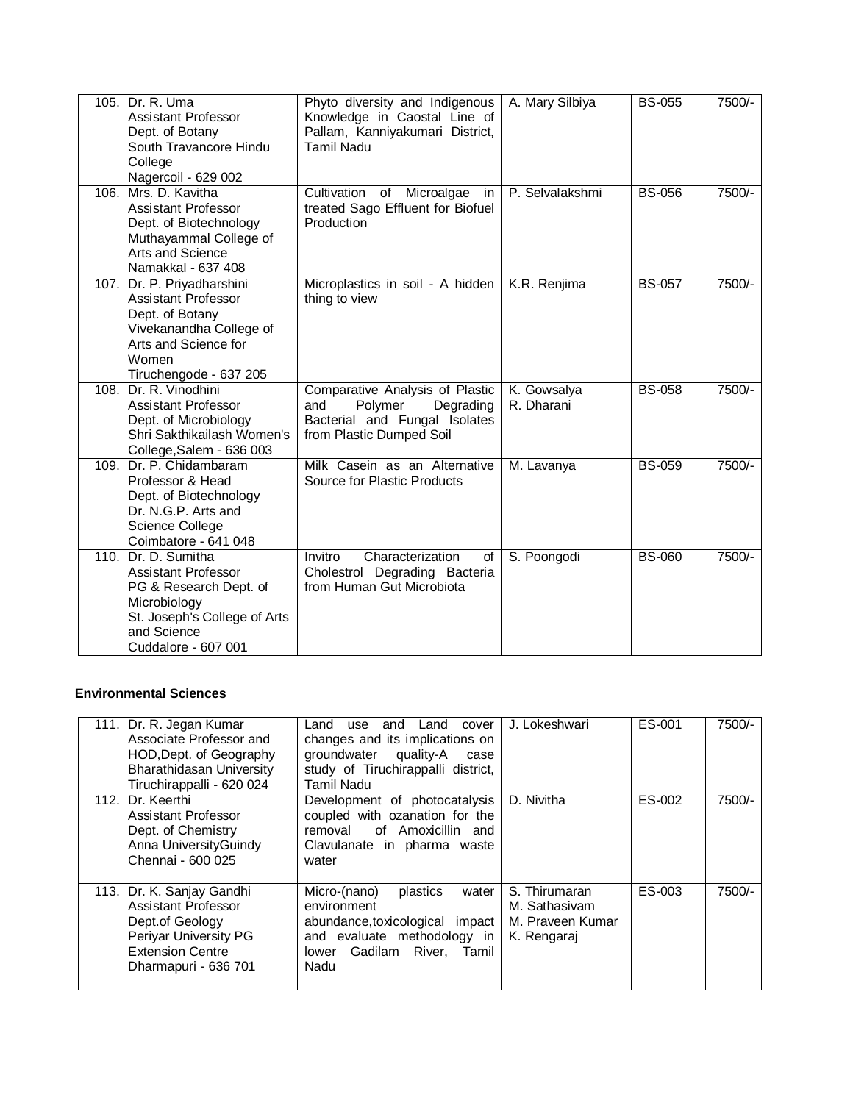| 105. | Dr. R. Uma<br><b>Assistant Professor</b><br>Dept. of Botany<br>South Travancore Hindu<br>College<br>Nagercoil - 629 002                                           | Phyto diversity and Indigenous<br>Knowledge in Caostal Line of<br>Pallam, Kanniyakumari District,<br><b>Tamil Nadu</b>      | A. Mary Silbiya           | <b>BS-055</b> | 7500/-   |
|------|-------------------------------------------------------------------------------------------------------------------------------------------------------------------|-----------------------------------------------------------------------------------------------------------------------------|---------------------------|---------------|----------|
| 106. | Mrs. D. Kavitha<br><b>Assistant Professor</b><br>Dept. of Biotechnology<br>Muthayammal College of<br>Arts and Science<br>Namakkal - 637 408                       | Cultivation of Microalgae in<br>treated Sago Effluent for Biofuel<br>Production                                             | P. Selvalakshmi           | <b>BS-056</b> | 7500/-   |
|      | 107. Dr. P. Priyadharshini<br><b>Assistant Professor</b><br>Dept. of Botany<br>Vivekanandha College of<br>Arts and Science for<br>Women<br>Tiruchengode - 637 205 | Microplastics in soil - A hidden<br>thing to view                                                                           | K.R. Renjima              | <b>BS-057</b> | $7500/-$ |
| 108. | Dr. R. Vinodhini<br><b>Assistant Professor</b><br>Dept. of Microbiology<br>Shri Sakthikailash Women's<br>College, Salem - 636 003                                 | Comparative Analysis of Plastic<br>Polymer<br>Degrading<br>and<br>Bacterial and Fungal Isolates<br>from Plastic Dumped Soil | K. Gowsalya<br>R. Dharani | <b>BS-058</b> | 7500/-   |
| 109. | Dr. P. Chidambaram<br>Professor & Head<br>Dept. of Biotechnology<br>Dr. N.G.P. Arts and<br>Science College<br>Coimbatore - 641 048                                | Milk Casein as an Alternative<br>Source for Plastic Products                                                                | M. Lavanya                | <b>BS-059</b> | 7500/-   |
| 110. | Dr. D. Sumitha<br><b>Assistant Professor</b><br>PG & Research Dept. of<br>Microbiology<br>St. Joseph's College of Arts<br>and Science<br>Cuddalore - 607 001      | Characterization<br>Invitro<br>of<br>Cholestrol Degrading Bacteria<br>from Human Gut Microbiota                             | S. Poongodi               | <b>BS-060</b> | 7500/-   |

#### **Environmental Sciences**

| 111.I | Dr. R. Jegan Kumar<br>Associate Professor and<br>HOD, Dept. of Geography<br><b>Bharathidasan University</b><br>Tiruchirappalli - 620 024        | Land<br>and<br>Land<br>cover<br>use<br>changes and its implications on<br>groundwater quality-A<br>case<br>study of Tiruchirappalli district,<br>Tamil Nadu | J. Lokeshwari                                                     | ES-001 | 7500/-   |
|-------|-------------------------------------------------------------------------------------------------------------------------------------------------|-------------------------------------------------------------------------------------------------------------------------------------------------------------|-------------------------------------------------------------------|--------|----------|
| 112.  | Dr. Keerthi<br>Assistant Professor<br>Dept. of Chemistry<br>Anna UniversityGuindy<br>Chennai - 600 025                                          | Development of photocatalysis<br>coupled with ozanation for the<br>removal of Amoxicillin and<br>Clavulanate in pharma waste<br>water                       | D. Nivitha                                                        | ES-002 | 7500/-   |
|       | 113. Dr. K. Sanjay Gandhi<br>Assistant Professor<br>Dept.of Geology<br>Periyar University PG<br><b>Extension Centre</b><br>Dharmapuri - 636 701 | Micro-(nano)<br>plastics<br>water<br>environment<br>abundance, toxicological impact<br>and evaluate methodology in<br>lower Gadilam River. Tamil<br>Nadu    | S. Thirumaran<br>M. Sathasivam<br>M. Praveen Kumar<br>K. Rengaraj | ES-003 | $7500/-$ |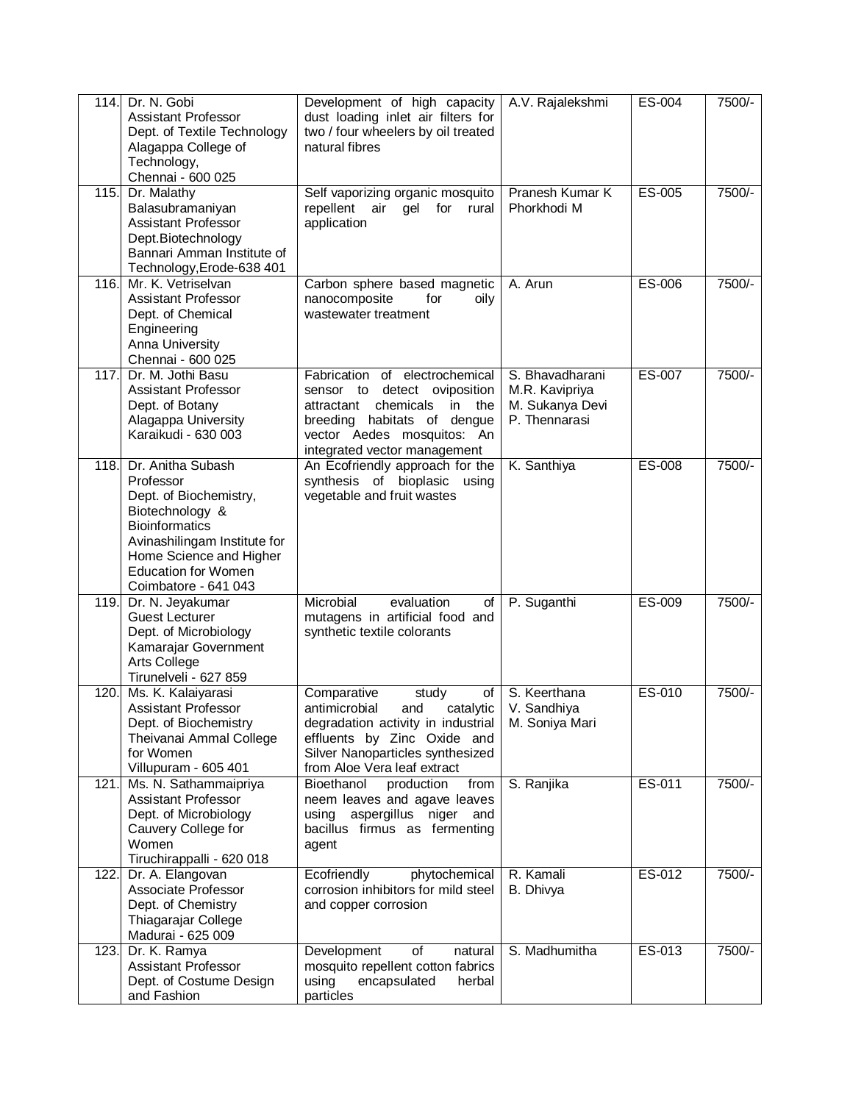| 114. | Dr. N. Gobi<br>Assistant Professor<br>Dept. of Textile Technology<br>Alagappa College of<br>Technology,<br>Chennai - 600 025                                                                                          | Development of high capacity<br>dust loading inlet air filters for<br>two / four wheelers by oil treated<br>natural fibres                                                                              | A.V. Rajalekshmi                                                      | ES-004 | 7500/-   |
|------|-----------------------------------------------------------------------------------------------------------------------------------------------------------------------------------------------------------------------|---------------------------------------------------------------------------------------------------------------------------------------------------------------------------------------------------------|-----------------------------------------------------------------------|--------|----------|
| 115. | Dr. Malathy<br>Balasubramaniyan<br><b>Assistant Professor</b><br>Dept.Biotechnology<br>Bannari Amman Institute of<br>Technology, Erode-638 401                                                                        | Self vaporizing organic mosquito<br>for<br>repellent<br>air<br>gel<br>rural<br>application                                                                                                              | Pranesh Kumar K<br>Phorkhodi M                                        | ES-005 | $7500/-$ |
| 116. | Mr. K. Vetriselvan<br><b>Assistant Professor</b><br>Dept. of Chemical<br>Engineering<br>Anna University<br>Chennai - 600 025                                                                                          | Carbon sphere based magnetic<br>nanocomposite<br>for<br>oily<br>wastewater treatment                                                                                                                    | A. Arun                                                               | ES-006 | 7500/-   |
| 117. | Dr. M. Jothi Basu<br><b>Assistant Professor</b><br>Dept. of Botany<br>Alagappa University<br>Karaikudi - 630 003                                                                                                      | Fabrication of electrochemical<br>sensor to detect oviposition<br>chemicals<br>attractant<br>in the<br>habitats of dengue<br>breeding<br>vector Aedes mosquitos: An<br>integrated vector management     | S. Bhavadharani<br>M.R. Kavipriya<br>M. Sukanya Devi<br>P. Thennarasi | ES-007 | 7500/-   |
| 118. | Dr. Anitha Subash<br>Professor<br>Dept. of Biochemistry,<br>Biotechnology &<br><b>Bioinformatics</b><br>Avinashilingam Institute for<br>Home Science and Higher<br><b>Education for Women</b><br>Coimbatore - 641 043 | An Ecofriendly approach for the<br>synthesis of bioplasic using<br>vegetable and fruit wastes                                                                                                           | K. Santhiya                                                           | ES-008 | 7500/-   |
| 119. | Dr. N. Jeyakumar<br><b>Guest Lecturer</b><br>Dept. of Microbiology<br>Kamarajar Government<br>Arts College<br>Tirunelveli - 627 859                                                                                   | Microbial<br>evaluation<br>οf<br>mutagens in artificial food and<br>synthetic textile colorants                                                                                                         | P. Suganthi                                                           | ES-009 | 7500/-   |
| 120. | Ms. K. Kalaiyarasi<br><b>Assistant Professor</b><br>Dept. of Biochemistry<br>Theivanai Ammal College<br>for Women<br>Villupuram - 605 401                                                                             | Comparative<br>study<br>of<br>antimicrobial<br>catalytic<br>and<br>degradation activity in industrial<br>effluents by Zinc Oxide and<br>Silver Nanoparticles synthesized<br>from Aloe Vera leaf extract | S. Keerthana<br>V. Sandhiya<br>M. Soniya Mari                         | ES-010 | 7500/-   |
| 121. | Ms. N. Sathammaipriya<br><b>Assistant Professor</b><br>Dept. of Microbiology<br>Cauvery College for<br>Women<br>Tiruchirappalli - 620 018                                                                             | Bioethanol<br>from<br>production<br>neem leaves and agave leaves<br>aspergillus<br>niger and<br>using<br>bacillus firmus as fermenting<br>agent                                                         | S. Ranjika                                                            | ES-011 | 7500/-   |
| 122. | Dr. A. Elangovan<br>Associate Professor<br>Dept. of Chemistry<br>Thiagarajar College<br>Madurai - 625 009                                                                                                             | phytochemical<br>Ecofriendly<br>corrosion inhibitors for mild steel<br>and copper corrosion                                                                                                             | R. Kamali<br>B. Dhivya                                                | ES-012 | 7500/-   |
| 123. | Dr. K. Ramya<br><b>Assistant Professor</b><br>Dept. of Costume Design<br>and Fashion                                                                                                                                  | Development<br>of<br>natural<br>mosquito repellent cotton fabrics<br>using<br>encapsulated<br>herbal<br>particles                                                                                       | S. Madhumitha                                                         | ES-013 | 7500/-   |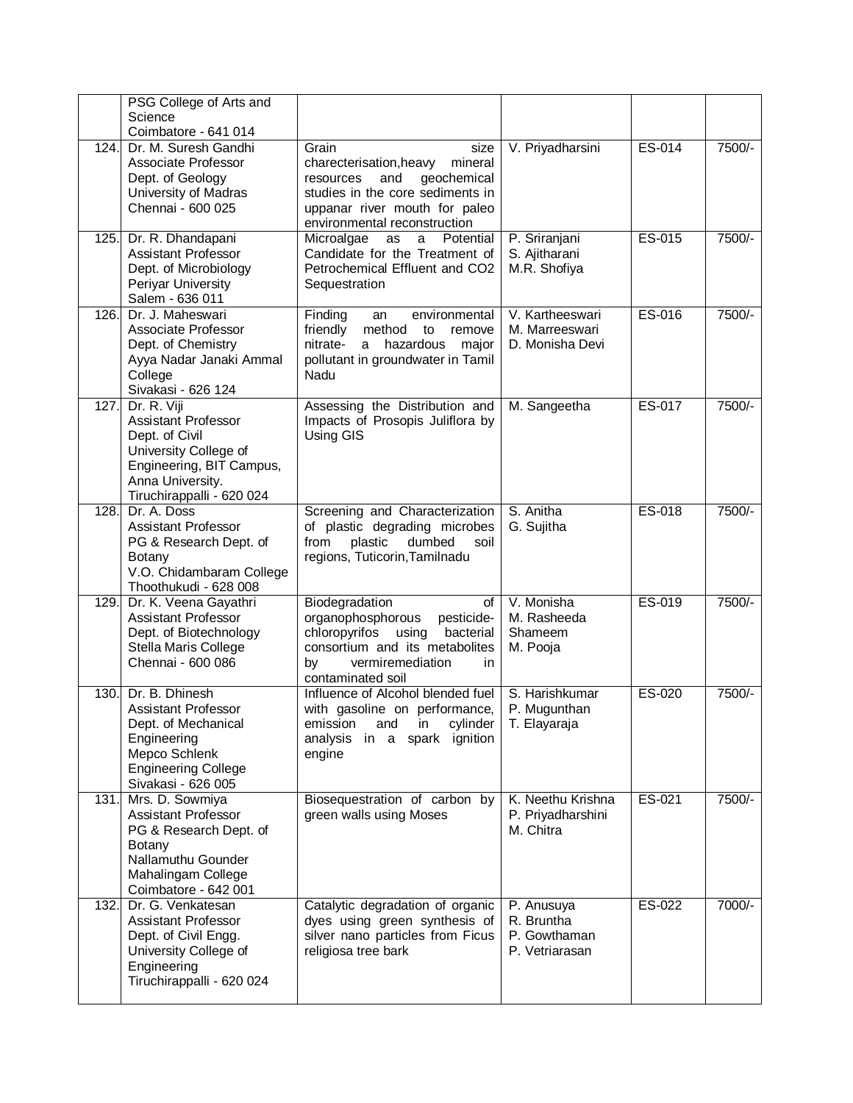|      | PSG College of Arts and                                                                                                                                           |                                                                                                                                                                                             |                                                            |        |        |
|------|-------------------------------------------------------------------------------------------------------------------------------------------------------------------|---------------------------------------------------------------------------------------------------------------------------------------------------------------------------------------------|------------------------------------------------------------|--------|--------|
|      | Science<br>Coimbatore - 641 014                                                                                                                                   |                                                                                                                                                                                             |                                                            |        |        |
| 124. | Dr. M. Suresh Gandhi<br>Associate Professor<br>Dept. of Geology<br>University of Madras<br>Chennai - 600 025                                                      | Grain<br>size<br>charecterisation, heavy<br>mineral<br>geochemical<br>and<br>resources<br>studies in the core sediments in<br>uppanar river mouth for paleo<br>environmental reconstruction | V. Priyadharsini                                           | ES-014 | 7500/- |
| 125. | Dr. R. Dhandapani<br><b>Assistant Professor</b><br>Dept. of Microbiology<br>Periyar University<br>Salem - 636 011                                                 | Microalgae<br>Potential<br>as<br>a<br>Candidate for the Treatment of<br>Petrochemical Effluent and CO2<br>Sequestration                                                                     | P. Sriranjani<br>S. Ajitharani<br>M.R. Shofiya             | ES-015 | 7500/- |
| 126. | Dr. J. Maheswari<br>Associate Professor<br>Dept. of Chemistry<br>Ayya Nadar Janaki Ammal<br>College<br>Sivakasi - 626 124                                         | Finding<br>environmental<br>an<br>friendly<br>method<br>to<br>remove<br>nitrate-<br>hazardous<br>major<br>a<br>pollutant in groundwater in Tamil<br>Nadu                                    | V. Kartheeswari<br>M. Marreeswari<br>D. Monisha Devi       | ES-016 | 7500/- |
| 127. | Dr. R. Viji<br><b>Assistant Professor</b><br>Dept. of Civil<br>University College of<br>Engineering, BIT Campus,<br>Anna University.<br>Tiruchirappalli - 620 024 | Assessing the Distribution and<br>Impacts of Prosopis Juliflora by<br>Using GIS                                                                                                             | M. Sangeetha                                               | ES-017 | 7500/- |
| 128. | Dr. A. Doss<br><b>Assistant Professor</b><br>PG & Research Dept. of<br>Botany<br>V.O. Chidambaram College<br>Thoothukudi - 628 008                                | Screening and Characterization<br>of plastic degrading microbes<br>plastic<br>dumbed<br>from<br>soil<br>regions, Tuticorin, Tamilnadu                                                       | S. Anitha<br>G. Sujitha                                    | ES-018 | 7500/- |
| 129. | Dr. K. Veena Gayathri<br><b>Assistant Professor</b><br>Dept. of Biotechnology<br>Stella Maris College<br>Chennai - 600 086                                        | Biodegradation<br>of<br>organophosphorous<br>pesticide-<br>chloropyrifos<br>bacterial<br>using<br>consortium and its metabolites<br>vermiremediation<br>by<br>in<br>contaminated soil       | V. Monisha<br>M. Rasheeda<br>Shameem<br>M. Pooja           | ES-019 | 7500/- |
| 130. | Dr. B. Dhinesh<br><b>Assistant Professor</b><br>Dept. of Mechanical<br>Engineering<br>Mepco Schlenk<br><b>Engineering College</b><br>Sivakasi - 626 005           | Influence of Alcohol blended fuel<br>with gasoline on performance,<br>cylinder<br>emission<br>and<br>in<br>in a spark ignition<br>analysis<br>engine                                        | S. Harishkumar<br>P. Mugunthan<br>T. Elayaraja             | ES-020 | 7500/- |
| 131. | Mrs. D. Sowmiya<br>Assistant Professor<br>PG & Research Dept. of<br><b>Botany</b><br>Nallamuthu Gounder<br>Mahalingam College<br>Coimbatore - 642 001             | Biosequestration of carbon by<br>green walls using Moses                                                                                                                                    | K. Neethu Krishna<br>P. Priyadharshini<br>M. Chitra        | ES-021 | 7500/- |
| 132. | Dr. G. Venkatesan<br>Assistant Professor<br>Dept. of Civil Engg.<br>University College of<br>Engineering<br>Tiruchirappalli - 620 024                             | Catalytic degradation of organic<br>dyes using green synthesis of<br>silver nano particles from Ficus<br>religiosa tree bark                                                                | P. Anusuya<br>R. Bruntha<br>P. Gowthaman<br>P. Vetriarasan | ES-022 | 7000/- |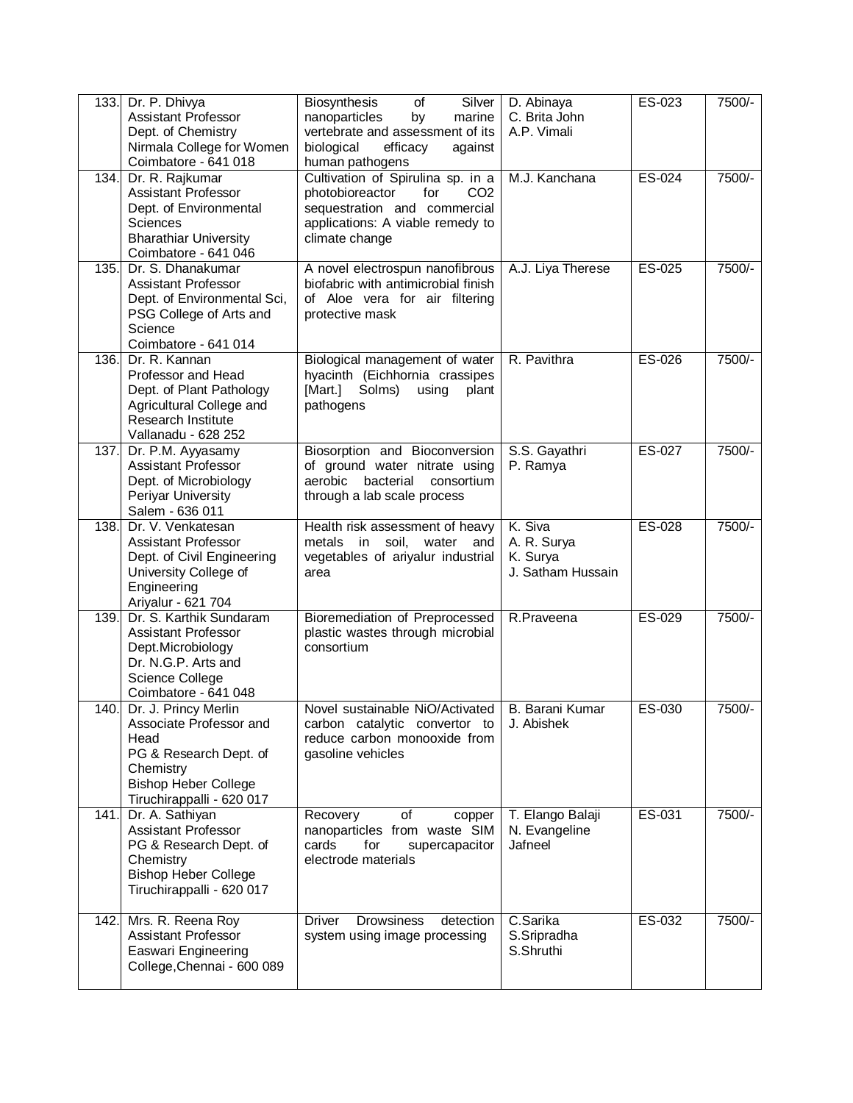|      | 133. Dr. P. Dhivya<br><b>Assistant Professor</b><br>Dept. of Chemistry<br>Nirmala College for Women<br>Coimbatore - 641 018                                     | Biosynthesis<br>of<br>Silver<br>nanoparticles<br>by<br>marine<br>vertebrate and assessment of its<br>biological<br>efficacy<br>against<br>human pathogens            | D. Abinaya<br>C. Brita John<br>A.P. Vimali              | ES-023 | 7500/-   |
|------|-----------------------------------------------------------------------------------------------------------------------------------------------------------------|----------------------------------------------------------------------------------------------------------------------------------------------------------------------|---------------------------------------------------------|--------|----------|
| 134. | Dr. R. Rajkumar<br><b>Assistant Professor</b><br>Dept. of Environmental<br><b>Sciences</b><br><b>Bharathiar University</b><br>Coimbatore - 641 046              | Cultivation of Spirulina sp. in a<br>CO <sub>2</sub><br>photobioreactor<br>for<br>sequestration and commercial<br>applications: A viable remedy to<br>climate change | M.J. Kanchana                                           | ES-024 | $7500/-$ |
| 135. | Dr. S. Dhanakumar<br><b>Assistant Professor</b><br>Dept. of Environmental Sci,<br>PSG College of Arts and<br>Science<br>Coimbatore - 641 014                    | A novel electrospun nanofibrous<br>biofabric with antimicrobial finish<br>of Aloe vera for air filtering<br>protective mask                                          | A.J. Liya Therese                                       | ES-025 | 7500/-   |
| 136. | Dr. R. Kannan<br>Professor and Head<br>Dept. of Plant Pathology<br>Agricultural College and<br>Research Institute<br>Vallanadu - 628 252                        | Biological management of water<br>hyacinth (Eichhornia crassipes<br>[Mart.] Solms)<br>using<br>plant<br>pathogens                                                    | R. Pavithra                                             | ES-026 | 7500/-   |
|      | 137. Dr. P.M. Ayyasamy<br>Assistant Professor<br>Dept. of Microbiology<br>Periyar University<br>Salem - 636 011                                                 | Biosorption and Bioconversion<br>of ground water nitrate using<br>bacterial<br>aerobic<br>consortium<br>through a lab scale process                                  | S.S. Gayathri<br>P. Ramya                               | ES-027 | 7500/-   |
| 138. | Dr. V. Venkatesan<br><b>Assistant Professor</b><br>Dept. of Civil Engineering<br>University College of<br>Engineering<br>Ariyalur - 621 704                     | Health risk assessment of heavy<br>soil,<br>metals in<br>water<br>and<br>vegetables of ariyalur industrial<br>area                                                   | K. Siva<br>A. R. Surya<br>K. Surya<br>J. Satham Hussain | ES-028 | 7500/-   |
| 139. | Dr. S. Karthik Sundaram<br><b>Assistant Professor</b><br>Dept.Microbiology<br>Dr. N.G.P. Arts and<br>Science College<br>Coimbatore - 641 048                    | Bioremediation of Preprocessed<br>plastic wastes through microbial<br>consortium                                                                                     | R.Praveena                                              | ES-029 | 7500/-   |
|      | 140. Dr. J. Princy Merlin<br>Associate Professor and<br>Head<br>PG & Research Dept. of<br>Chemistry<br><b>Bishop Heber College</b><br>Tiruchirappalli - 620 017 | Novel sustainable NiO/Activated   B. Barani Kumar<br>carbon catalytic convertor to<br>reduce carbon monooxide from<br>gasoline vehicles                              | J. Abishek                                              | ES-030 | 7500/-   |
| 141. | Dr. A. Sathiyan<br><b>Assistant Professor</b><br>PG & Research Dept. of<br>Chemistry<br><b>Bishop Heber College</b><br>Tiruchirappalli - 620 017                | Recovery<br>οf<br>copper<br>nanoparticles from waste SIM<br>cards<br>for<br>supercapacitor<br>electrode materials                                                    | T. Elango Balaji<br>N. Evangeline<br>Jafneel            | ES-031 | 7500/-   |
| 742. | Mrs. R. Reena Roy<br><b>Assistant Professor</b><br>Easwari Engineering<br>College, Chennai - 600 089                                                            | Driver<br><b>Drowsiness</b><br>detection<br>system using image processing                                                                                            | C.Sarika<br>S.Sripradha<br>S.Shruthi                    | ES-032 | 7500/-   |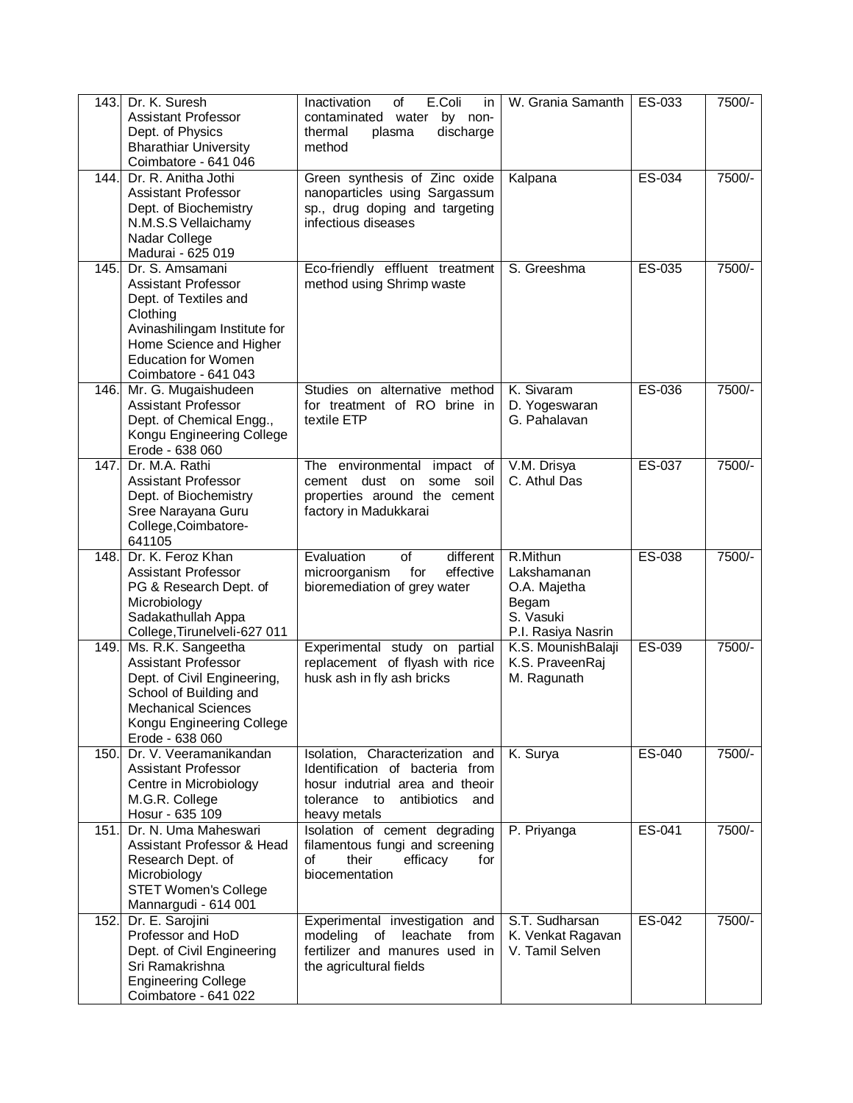| 143. | Dr. K. Suresh<br><b>Assistant Professor</b><br>Dept. of Physics<br><b>Bharathiar University</b><br>Coimbatore - 641 046                                                                             | E.Coli<br>Inactivation<br>of<br>in<br>contaminated<br>by non-<br>water<br>discharge<br>thermal<br>plasma<br>method                       | W. Grania Samanth                                                                   | ES-033           | 7500/-           |
|------|-----------------------------------------------------------------------------------------------------------------------------------------------------------------------------------------------------|------------------------------------------------------------------------------------------------------------------------------------------|-------------------------------------------------------------------------------------|------------------|------------------|
| 144. | Dr. R. Anitha Jothi<br><b>Assistant Professor</b><br>Dept. of Biochemistry<br>N.M.S.S Vellaichamy<br>Nadar College<br>Madurai - 625 019                                                             | Green synthesis of Zinc oxide<br>nanoparticles using Sargassum<br>sp., drug doping and targeting<br>infectious diseases                  | Kalpana                                                                             | ES-034           | 7500/-           |
| 145. | Dr. S. Amsamani<br><b>Assistant Professor</b><br>Dept. of Textiles and<br>Clothing<br>Avinashilingam Institute for<br>Home Science and Higher<br><b>Education for Women</b><br>Coimbatore - 641 043 | Eco-friendly effluent treatment<br>method using Shrimp waste                                                                             | S. Greeshma                                                                         | ES-035           | 7500/-           |
| 146. | Mr. G. Mugaishudeen<br>Assistant Professor<br>Dept. of Chemical Engg.,<br>Kongu Engineering College<br>Erode - 638 060                                                                              | Studies on alternative method<br>for treatment of RO brine in<br>textile ETP                                                             | K. Sivaram<br>D. Yogeswaran<br>G. Pahalavan                                         | ES-036           | 7500/-           |
| 147. | Dr. M.A. Rathi<br>Assistant Professor<br>Dept. of Biochemistry<br>Sree Narayana Guru<br>College, Coimbatore-<br>641105                                                                              | The environmental impact<br>of<br>cement dust on<br>some soil<br>properties around the cement<br>factory in Madukkarai                   | V.M. Drisya<br>C. Athul Das                                                         | ES-037           | 7500/-           |
| 148. | Dr. K. Feroz Khan<br><b>Assistant Professor</b><br>PG & Research Dept. of<br>Microbiology<br>Sadakathullah Appa<br>College, Tirunelveli-627 011                                                     | different<br>Evaluation<br>of<br>for<br>effective<br>microorganism<br>bioremediation of grey water                                       | R.Mithun<br>Lakshamanan<br>O.A. Majetha<br>Begam<br>S. Vasuki<br>P.I. Rasiya Nasrin | ES-038           | 7500/-           |
| 149. | Ms. R.K. Sangeetha<br><b>Assistant Professor</b><br>Dept. of Civil Engineering,<br>School of Building and<br><b>Mechanical Sciences</b><br>Kongu Engineering College<br>Erode - 638 060             | Experimental study on partial<br>replacement of flyash with rice<br>husk ash in fly ash bricks                                           | K.S. MounishBalaji<br>K.S. PraveenRaj<br>M. Ragunath                                | ES-039           | 7500/-           |
| 150. | Dr. V. Veeramanikandan<br>Assistant Professor<br>Centre in Microbiology<br>M.G.R. College                                                                                                           | Isolation, Characterization and<br>Identification of bacteria from<br>hosur indutrial area and theoir<br>tolerance to antibiotics<br>and | K. Surya                                                                            | ES-040           | 7500/-           |
| 151. | Hosur - 635 109                                                                                                                                                                                     | heavy metals                                                                                                                             |                                                                                     |                  |                  |
|      | Dr. N. Uma Maheswari<br>Assistant Professor & Head<br>Research Dept. of<br>Microbiology<br><b>STET Women's College</b><br>Mannargudi - 614 001<br>Dr. E. Sarojini                                   | Isolation of cement degrading<br>filamentous fungi and screening<br>οf<br>their<br>efficacy<br>for<br>biocementation                     | P. Priyanga<br>S.T. Sudharsan                                                       | ES-041<br>ES-042 | 7500/-<br>7500/- |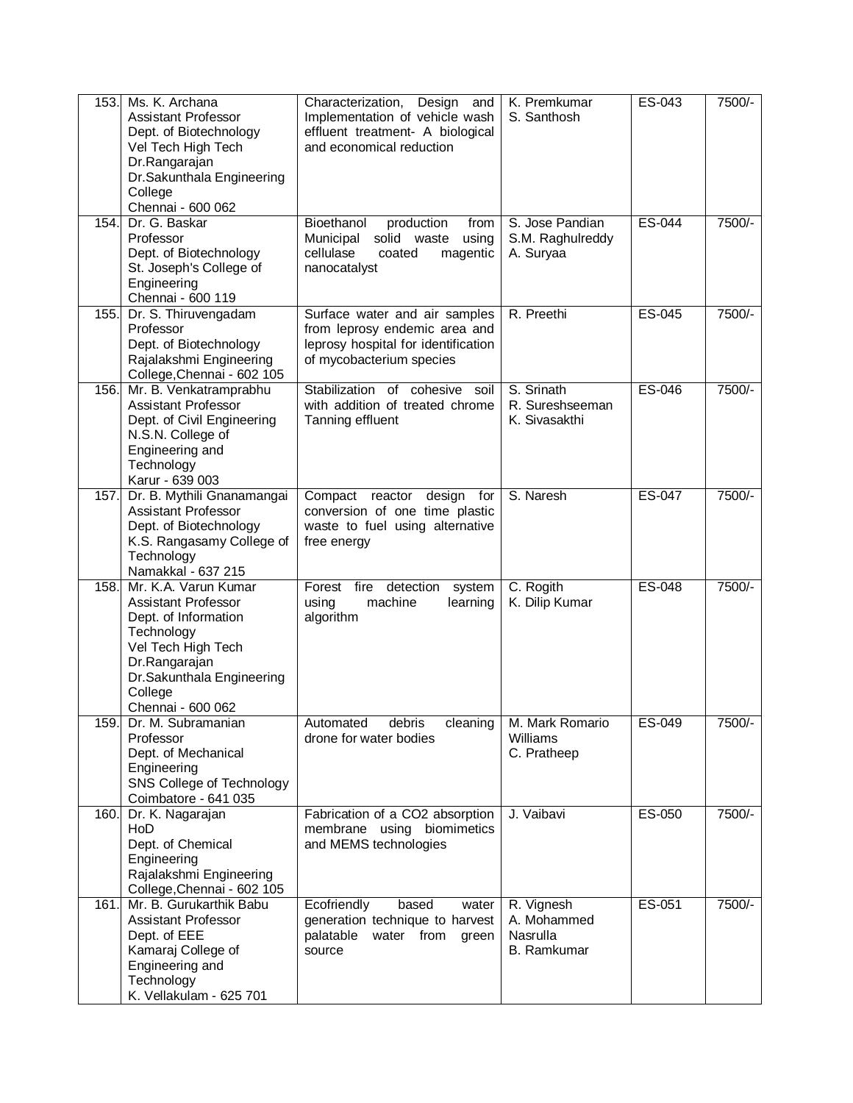| 153. | Ms. K. Archana<br><b>Assistant Professor</b><br>Dept. of Biotechnology<br>Vel Tech High Tech<br>Dr.Rangarajan<br>Dr.Sakunthala Engineering<br>College<br>Chennai - 600 062                   | Characterization, Design<br>and<br>Implementation of vehicle wash<br>effluent treatment- A biological<br>and economical reduction | K. Premkumar<br>S. Santhosh                                 | ES-043 | 7500/- |
|------|----------------------------------------------------------------------------------------------------------------------------------------------------------------------------------------------|-----------------------------------------------------------------------------------------------------------------------------------|-------------------------------------------------------------|--------|--------|
| 154. | Dr. G. Baskar<br>Professor<br>Dept. of Biotechnology<br>St. Joseph's College of<br>Engineering<br>Chennai - 600 119                                                                          | Bioethanol<br>production<br>from<br>Municipal<br>solid waste<br>using<br>cellulase<br>magentic<br>coated<br>nanocatalyst          | S. Jose Pandian<br>S.M. Raghulreddy<br>A. Suryaa            | ES-044 | 7500/- |
| 155. | Dr. S. Thiruvengadam<br>Professor<br>Dept. of Biotechnology<br>Rajalakshmi Engineering<br>College, Chennai - 602 105                                                                         | Surface water and air samples<br>from leprosy endemic area and<br>leprosy hospital for identification<br>of mycobacterium species | R. Preethi                                                  | ES-045 | 7500/- |
| 156. | Mr. B. Venkatramprabhu<br><b>Assistant Professor</b><br>Dept. of Civil Engineering<br>N.S.N. College of<br>Engineering and<br>Technology<br>Karur - 639 003                                  | Stabilization of cohesive soil<br>with addition of treated chrome<br>Tanning effluent                                             | S. Srinath<br>R. Sureshseeman<br>K. Sivasakthi              | ES-046 | 7500/- |
| 157. | Dr. B. Mythili Gnanamangai<br><b>Assistant Professor</b><br>Dept. of Biotechnology<br>K.S. Rangasamy College of<br>Technology<br>Namakkal - 637 215                                          | Compact<br>reactor<br>design for<br>conversion of one time plastic<br>waste to fuel using alternative<br>free energy              | S. Naresh                                                   | ES-047 | 7500/- |
| 158. | Mr. K.A. Varun Kumar<br><b>Assistant Professor</b><br>Dept. of Information<br>Technology<br>Vel Tech High Tech<br>Dr.Rangarajan<br>Dr.Sakunthala Engineering<br>College<br>Chennai - 600 062 | Forest fire detection<br>system<br>using<br>machine<br>learning<br>algorithm                                                      | C. Rogith<br>K. Dilip Kumar                                 | ES-048 | 7500/- |
| 159. | Dr. M. Subramanian<br>Professor<br>Dept. of Mechanical<br>Engineering<br>SNS College of Technology<br>Coimbatore - 641 035                                                                   | Automated<br>debris<br>cleaning<br>drone for water bodies                                                                         | M. Mark Romario<br>Williams<br>C. Pratheep                  | ES-049 | 7500/- |
| 160. | Dr. K. Nagarajan<br>HoD<br>Dept. of Chemical<br>Engineering<br>Rajalakshmi Engineering<br>College, Chennai - 602 105                                                                         | Fabrication of a CO2 absorption<br>membrane using biomimetics<br>and MEMS technologies                                            | J. Vaibavi                                                  | ES-050 | 7500/- |
| 161. | Mr. B. Gurukarthik Babu<br><b>Assistant Professor</b><br>Dept. of EEE<br>Kamaraj College of<br>Engineering and<br>Technology<br>K. Vellakulam - 625 701                                      | Ecofriendly<br>based<br>water<br>generation technique to harvest<br>palatable<br>water from<br>green<br>source                    | R. Vignesh<br>A. Mohammed<br>Nasrulla<br><b>B.</b> Ramkumar | ES-051 | 7500/- |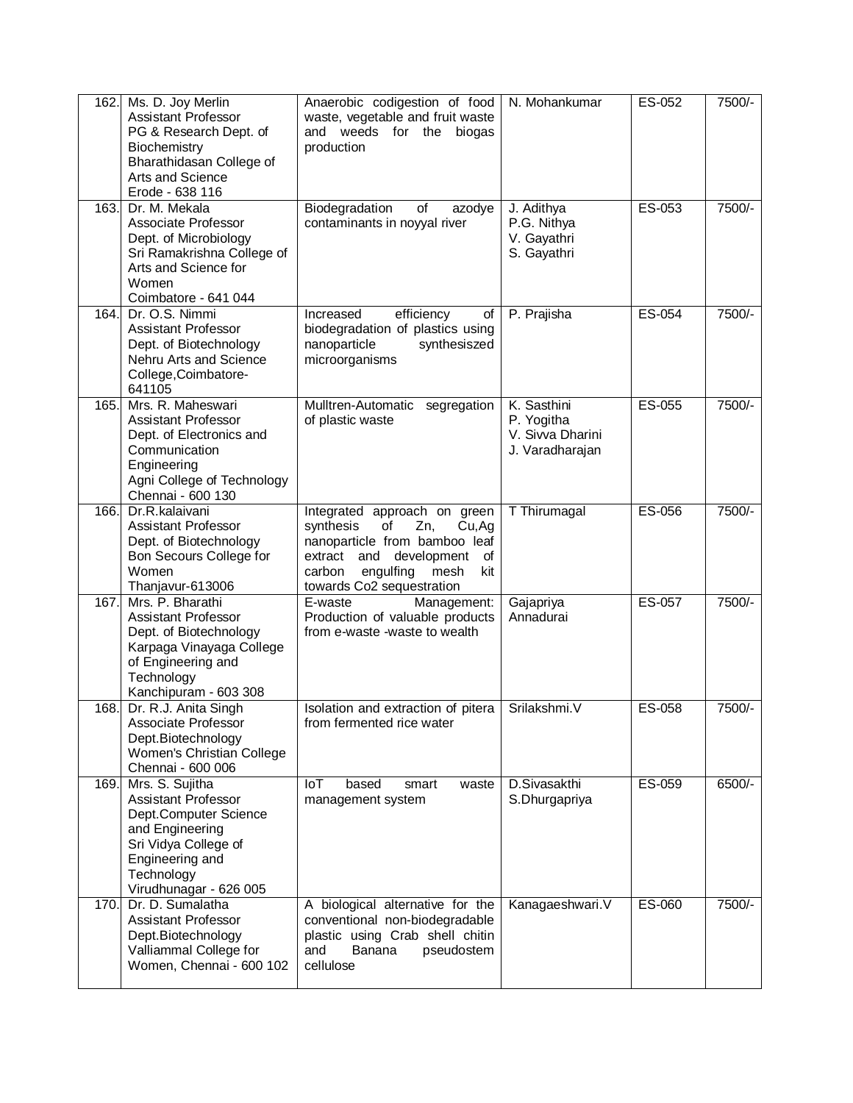| 162. | Ms. D. Joy Merlin<br>Assistant Professor<br>PG & Research Dept. of<br>Biochemistry<br>Bharathidasan College of<br>Arts and Science<br>Erode - 638 116                        | Anaerobic codigestion of food<br>waste, vegetable and fruit waste<br>and weeds for the<br>biogas<br>production                                                                                           | N. Mohankumar                                                    | ES-052   | 7500/- |
|------|------------------------------------------------------------------------------------------------------------------------------------------------------------------------------|----------------------------------------------------------------------------------------------------------------------------------------------------------------------------------------------------------|------------------------------------------------------------------|----------|--------|
| 163. | Dr. M. Mekala<br>Associate Professor<br>Dept. of Microbiology<br>Sri Ramakrishna College of<br>Arts and Science for<br>Women<br>Coimbatore - 641 044                         | Biodegradation<br>of<br>azodye<br>contaminants in noyyal river                                                                                                                                           | J. Adithya<br>P.G. Nithya<br>V. Gayathri<br>S. Gayathri          | ES-053   | 7500/- |
| 164. | Dr. O.S. Nimmi<br><b>Assistant Professor</b><br>Dept. of Biotechnology<br>Nehru Arts and Science<br>College, Coimbatore-<br>641105                                           | Increased<br>efficiency<br>of<br>biodegradation of plastics using<br>nanoparticle<br>synthesiszed<br>microorganisms                                                                                      | P. Prajisha                                                      | ES-054   | 7500/- |
| 165. | Mrs. R. Maheswari<br><b>Assistant Professor</b><br>Dept. of Electronics and<br>Communication<br>Engineering<br>Agni College of Technology<br>Chennai - 600 130               | Mulltren-Automatic<br>segregation<br>of plastic waste                                                                                                                                                    | K. Sasthini<br>P. Yogitha<br>V. Sivva Dharini<br>J. Varadharajan | $ES-055$ | 7500/- |
| 166. | Dr.R.kalaivani<br><b>Assistant Professor</b><br>Dept. of Biotechnology<br>Bon Secours College for<br>Women<br>Thanjavur-613006                                               | Integrated approach on green<br>synthesis<br>of<br>Zn,<br>Cu, Ag<br>nanoparticle from bamboo leaf<br>extract and<br>development<br>οf<br>carbon<br>engulfing<br>mesh<br>kit<br>towards Co2 sequestration | T Thirumagal                                                     | ES-056   | 7500/- |
| 167. | Mrs. P. Bharathi<br><b>Assistant Professor</b><br>Dept. of Biotechnology<br>Karpaga Vinayaga College<br>of Engineering and<br>Technology<br>Kanchipuram - 603 308            | E-waste<br>Management:<br>Production of valuable products<br>from e-waste -waste to wealth                                                                                                               | Gajapriya<br>Annadurai                                           | ES-057   | 7500/- |
|      | 168. Dr. R.J. Anita Singh<br>Associate Professor<br>Dept.Biotechnology<br>Women's Christian College<br>Chennai - 600 006                                                     | Isolation and extraction of pitera<br>from fermented rice water                                                                                                                                          | Srilakshmi.V                                                     | ES-058   | 7500/- |
| 169. | Mrs. S. Sujitha<br><b>Assistant Professor</b><br>Dept.Computer Science<br>and Engineering<br>Sri Vidya College of<br>Engineering and<br>Technology<br>Virudhunagar - 626 005 | IoT<br>based<br>waste<br>smart<br>management system                                                                                                                                                      | D.Sivasakthi<br>S.Dhurgapriya                                    | ES-059   | 6500/- |
| 170. | Dr. D. Sumalatha<br><b>Assistant Professor</b><br>Dept.Biotechnology<br>Valliammal College for<br>Women, Chennai - 600 102                                                   | A biological alternative for the<br>conventional non-biodegradable<br>plastic using Crab shell chitin<br>and<br>Banana<br>pseudostem<br>cellulose                                                        | Kanagaeshwari.V                                                  | ES-060   | 7500/- |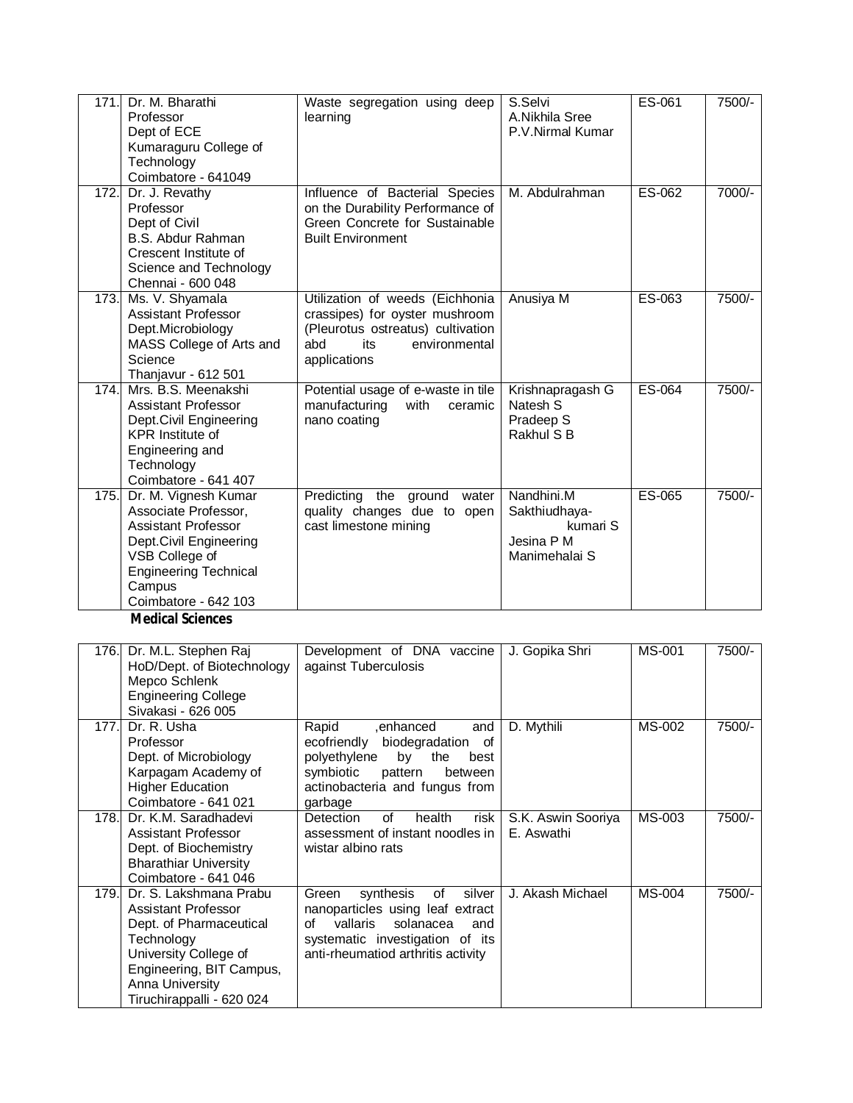| 171. | Dr. M. Bharathi<br>Professor<br>Dept of ECE<br>Kumaraguru College of<br>Technology<br>Coimbatore - 641049                                                                                | Waste segregation using deep<br>learning                                                                                                              | S.Selvi<br>A.Nikhila Sree<br>P.V.Nirmal Kumar                          | ES-061 | 7500/- |
|------|------------------------------------------------------------------------------------------------------------------------------------------------------------------------------------------|-------------------------------------------------------------------------------------------------------------------------------------------------------|------------------------------------------------------------------------|--------|--------|
| 172. | Dr. J. Revathy<br>Professor<br>Dept of Civil<br>B.S. Abdur Rahman<br>Crescent Institute of<br>Science and Technology<br>Chennai - 600 048                                                | Influence of Bacterial Species<br>on the Durability Performance of<br>Green Concrete for Sustainable<br><b>Built Environment</b>                      | M. Abdulrahman                                                         | ES-062 | 7000/- |
| 173. | Ms. V. Shyamala<br><b>Assistant Professor</b><br>Dept.Microbiology<br>MASS College of Arts and<br>Science<br>Thanjavur - 612 501                                                         | Utilization of weeds (Eichhonia<br>crassipes) for oyster mushroom<br>(Pleurotus ostreatus) cultivation<br>abd<br>its<br>environmental<br>applications | Anusiya M                                                              | ES-063 | 7500/- |
| 174. | Mrs. B.S. Meenakshi<br><b>Assistant Professor</b><br>Dept.Civil Engineering<br><b>KPR</b> Institute of<br>Engineering and<br>Technology<br>Coimbatore - 641 407                          | Potential usage of e-waste in tile<br>manufacturing<br>with<br>ceramic<br>nano coating                                                                | Krishnapragash G<br>Natesh S<br>Pradeep S<br>Rakhul S B                | ES-064 | 7500/- |
| 175. | Dr. M. Vignesh Kumar<br>Associate Professor,<br><b>Assistant Professor</b><br>Dept.Civil Engineering<br>VSB College of<br><b>Engineering Technical</b><br>Campus<br>Coimbatore - 642 103 | Predicting the ground<br>water<br>quality changes due to open<br>cast limestone mining                                                                | Nandhini.M<br>Sakthiudhaya-<br>kumari S<br>Jesina P M<br>Manimehalai S | ES-065 | 7500/- |
|      | <b>Medical Sciences</b>                                                                                                                                                                  |                                                                                                                                                       |                                                                        |        |        |

|       | 176. Dr. M.L. Stephen Raj<br>HoD/Dept. of Biotechnology<br>Mepco Schlenk<br><b>Engineering College</b><br>Sivakasi - 626 005                                                                | Development of DNA vaccine<br>against Tuberculosis                                                                                                                                    | J. Gopika Shri                   | <b>MS-001</b> | 7500/- |
|-------|---------------------------------------------------------------------------------------------------------------------------------------------------------------------------------------------|---------------------------------------------------------------------------------------------------------------------------------------------------------------------------------------|----------------------------------|---------------|--------|
| 177.  | Dr. R. Usha<br>Professor<br>Dept. of Microbiology<br>Karpagam Academy of<br><b>Higher Education</b><br>Coimbatore - 641 021                                                                 | Rapid<br>enhanced.<br>and<br>ecofriendly biodegradation<br>οf<br>polyethylene<br>by<br>the<br>best<br>symbiotic<br>pattern<br>between<br>actinobacteria and fungus from<br>garbage    | D. Mythili                       | MS-002        | 7500/- |
| 178.L | Dr. K.M. Saradhadevi<br>Assistant Professor<br>Dept. of Biochemistry<br><b>Bharathiar University</b><br>Coimbatore - 641 046                                                                | <b>Detection</b><br>of<br>risk<br>health<br>assessment of instant noodles in<br>wistar albino rats                                                                                    | S.K. Aswin Sooriya<br>E. Aswathi | MS-003        | 7500/- |
| 179.I | Dr. S. Lakshmana Prabu<br>Assistant Professor<br>Dept. of Pharmaceutical<br>Technology<br>University College of<br>Engineering, BIT Campus,<br>Anna University<br>Tiruchirappalli - 620 024 | of<br>silver<br>synthesis<br>Green<br>nanoparticles using leaf extract<br>Ωf<br>vallaris<br>solanacea<br>and<br>systematic investigation of its<br>anti-rheumatiod arthritis activity | J. Akash Michael                 | <b>MS-004</b> | 7500/- |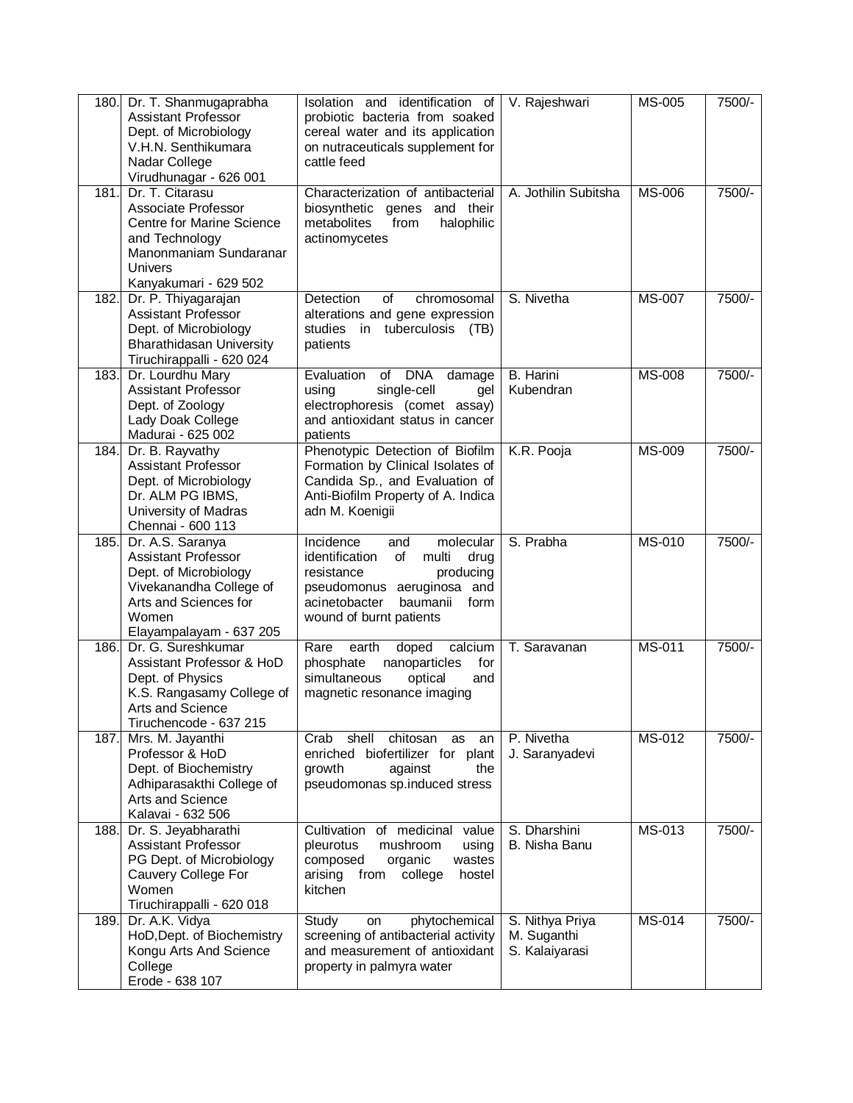| 180. | Dr. T. Shanmugaprabha<br><b>Assistant Professor</b><br>Dept. of Microbiology<br>V.H.N. Senthikumara<br>Nadar College<br>Virudhunagar - 626 001                  | Isolation and identification of<br>probiotic bacteria from soaked<br>cereal water and its application<br>on nutraceuticals supplement for<br>cattle feed                                        | V. Rajeshwari                                    | <b>MS-005</b> | 7500/- |
|------|-----------------------------------------------------------------------------------------------------------------------------------------------------------------|-------------------------------------------------------------------------------------------------------------------------------------------------------------------------------------------------|--------------------------------------------------|---------------|--------|
| 181. | Dr. T. Citarasu<br>Associate Professor<br>Centre for Marine Science<br>and Technology<br>Manonmaniam Sundaranar<br>Univers<br>Kanyakumari - 629 502             | Characterization of antibacterial<br>biosynthetic genes and their<br>from<br>halophilic<br>metabolites<br>actinomycetes                                                                         | A. Jothilin Subitsha                             | <b>MS-006</b> | 7500/- |
| 182. | Dr. P. Thiyagarajan<br><b>Assistant Professor</b><br>Dept. of Microbiology<br><b>Bharathidasan University</b><br>Tiruchirappalli - 620 024                      | Detection<br>of<br>chromosomal<br>alterations and gene expression<br>studies in tuberculosis<br>(TB)<br>patients                                                                                | S. Nivetha                                       | <b>MS-007</b> | 7500/- |
| 183. | Dr. Lourdhu Mary<br><b>Assistant Professor</b><br>Dept. of Zoology<br>Lady Doak College<br>Madurai - 625 002                                                    | Evaluation<br>of<br><b>DNA</b><br>damage<br>single-cell<br>usina<br>gel<br>electrophoresis (comet assay)<br>and antioxidant status in cancer<br>patients                                        | <b>B.</b> Harini<br>Kubendran                    | <b>MS-008</b> | 7500/- |
| 184. | Dr. B. Rayvathy<br>Assistant Professor<br>Dept. of Microbiology<br>Dr. ALM PG IBMS,<br>University of Madras<br>Chennai - 600 113                                | Phenotypic Detection of Biofilm<br>Formation by Clinical Isolates of<br>Candida Sp., and Evaluation of<br>Anti-Biofilm Property of A. Indica<br>adn M. Koenigii                                 | K.R. Pooja                                       | <b>MS-009</b> | 7500/- |
| 185. | Dr. A.S. Saranya<br><b>Assistant Professor</b><br>Dept. of Microbiology<br>Vivekanandha College of<br>Arts and Sciences for<br>Women<br>Elayampalayam - 637 205 | Incidence<br>molecular<br>and<br>identification<br>of<br>multi<br>drug<br>producing<br>resistance<br>pseudomonus aeruginosa and<br>acinetobacter<br>baumanii<br>form<br>wound of burnt patients | S. Prabha                                        | MS-010        | 7500/- |
| 186. | Dr. G. Sureshkumar<br>Assistant Professor & HoD<br>Dept. of Physics<br>K.S. Rangasamy College of<br>Arts and Science<br>Tiruchencode - 637 215                  | earth<br>calcium<br>Rare<br>doped<br>phosphate<br>nanoparticles<br>for<br>simultaneous<br>optical<br>and<br>magnetic resonance imaging                                                          | T. Saravanan                                     | <b>MS-011</b> | 7500/- |
| 187. | Mrs. M. Jayanthi<br>Professor & HoD<br>Dept. of Biochemistry<br>Adhiparasakthi College of<br>Arts and Science<br>Kalavai - 632 506                              | chitosan<br>shell<br>as<br>an<br>Crab<br>enriched biofertilizer for plant<br>growth<br>against<br>the<br>pseudomonas sp.induced stress                                                          | P. Nivetha<br>J. Saranyadevi                     | MS-012        | 7500/- |
| 188. | Dr. S. Jeyabharathi<br>Assistant Professor<br>PG Dept. of Microbiology<br>Cauvery College For<br>Women<br>Tiruchirappalli - 620 018                             | Cultivation of medicinal value<br>pleurotus<br>mushroom<br>using<br>composed<br>organic<br>wastes<br>arising<br>from<br>college<br>hostel<br>kitchen                                            | S. Dharshini<br>B. Nisha Banu                    | MS-013        | 7500/- |
| 189. | Dr. A.K. Vidya<br>HoD, Dept. of Biochemistry<br>Kongu Arts And Science<br>College<br>Erode - 638 107                                                            | Study<br>phytochemical<br>on<br>screening of antibacterial activity<br>and measurement of antioxidant<br>property in palmyra water                                                              | S. Nithya Priya<br>M. Suganthi<br>S. Kalaiyarasi | <b>MS-014</b> | 7500/- |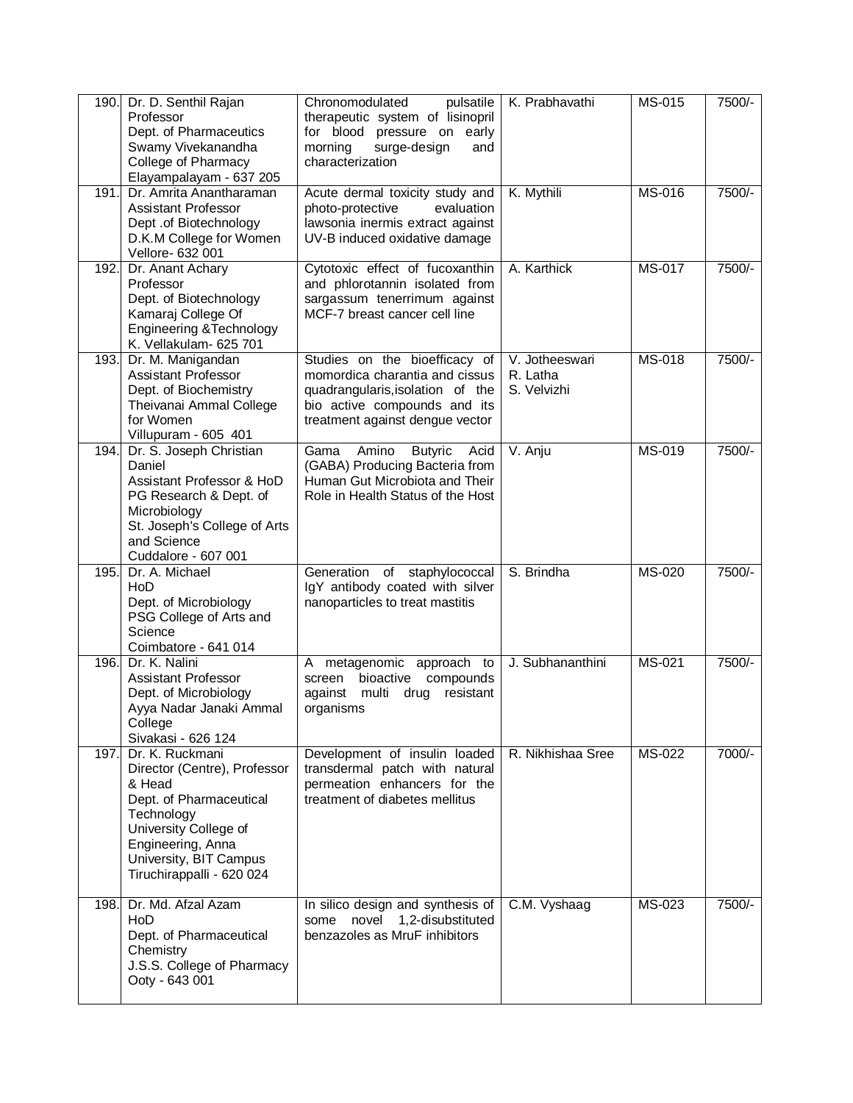| 190.               | Dr. D. Senthil Rajan<br>Professor<br>Dept. of Pharmaceutics<br>Swamy Vivekanandha<br>College of Pharmacy<br>Elayampalayam - 637 205                                                                     | Chronomodulated<br>pulsatile<br>therapeutic system of lisinopril<br>for blood pressure on early<br>surge-design<br>morning<br>and<br>characterization                  | K. Prabhavathi                            | MS-015        | 7500/-   |
|--------------------|---------------------------------------------------------------------------------------------------------------------------------------------------------------------------------------------------------|------------------------------------------------------------------------------------------------------------------------------------------------------------------------|-------------------------------------------|---------------|----------|
| 191.               | Dr. Amrita Anantharaman<br><b>Assistant Professor</b><br>Dept .of Biotechnology<br>D.K.M College for Women<br>Vellore- 632 001                                                                          | Acute dermal toxicity study and<br>photo-protective<br>evaluation<br>lawsonia inermis extract against<br>UV-B induced oxidative damage                                 | K. Mythili                                | <b>MS-016</b> | 7500/-   |
| 192.               | Dr. Anant Achary<br>Professor<br>Dept. of Biotechnology<br>Kamaraj College Of<br>Engineering & Technology<br>K. Vellakulam- 625 701                                                                     | Cytotoxic effect of fucoxanthin<br>and phlorotannin isolated from<br>sargassum tenerrimum against<br>MCF-7 breast cancer cell line                                     | A. Karthick                               | MS-017        | 7500/-   |
| 193.               | Dr. M. Manigandan<br><b>Assistant Professor</b><br>Dept. of Biochemistry<br>Theivanai Ammal College<br>for Women<br>Villupuram - 605 401                                                                | Studies on the bioefficacy of<br>momordica charantia and cissus<br>quadrangularis, isolation of the<br>bio active compounds and its<br>treatment against dengue vector | V. Jotheeswari<br>R. Latha<br>S. Velvizhi | MS-018        | 7500/-   |
| $\overline{194}$ . | Dr. S. Joseph Christian<br>Daniel<br>Assistant Professor & HoD<br>PG Research & Dept. of<br>Microbiology<br>St. Joseph's College of Arts<br>and Science<br>Cuddalore - 607 001                          | Gama<br>Amino<br><b>Butyric</b><br>Acid<br>(GABA) Producing Bacteria from<br>Human Gut Microbiota and Their<br>Role in Health Status of the Host                       | V. Anju                                   | MS-019        | 7500/-   |
| 195.               | Dr. A. Michael<br>HoD<br>Dept. of Microbiology<br>PSG College of Arts and<br>Science<br>Coimbatore - 641 014                                                                                            | Generation of staphylococcal<br>IgY antibody coated with silver<br>nanoparticles to treat mastitis                                                                     | S. Brindha                                | <b>MS-020</b> | 7500/-   |
| 196.               | Dr. K. Nalini<br><b>Assistant Professor</b><br>Dept. of Microbiology<br>Ayya Nadar Janaki Ammal<br>College<br>Sivakasi - 626 124                                                                        | metagenomic approach to<br>A<br>bioactive<br>compounds<br>screen<br>against<br>multi<br>drug<br>resistant<br>organisms                                                 | J. Subhananthini                          | MS-021        | $7500/-$ |
| 197.               | Dr. K. Ruckmani<br>Director (Centre), Professor<br>& Head<br>Dept. of Pharmaceutical<br>Technology<br>University College of<br>Engineering, Anna<br>University, BIT Campus<br>Tiruchirappalli - 620 024 | Development of insulin loaded<br>transdermal patch with natural<br>permeation enhancers for the<br>treatment of diabetes mellitus                                      | R. Nikhishaa Sree                         | MS-022        | 7000/-   |
| 198.               | Dr. Md. Afzal Azam<br>HoD<br>Dept. of Pharmaceutical<br>Chemistry<br>J.S.S. College of Pharmacy<br>Ooty - 643 001                                                                                       | In silico design and synthesis of<br>novel<br>1,2-disubstituted<br>some<br>benzazoles as MruF inhibitors                                                               | C.M. Vyshaag                              | MS-023        | 7500/-   |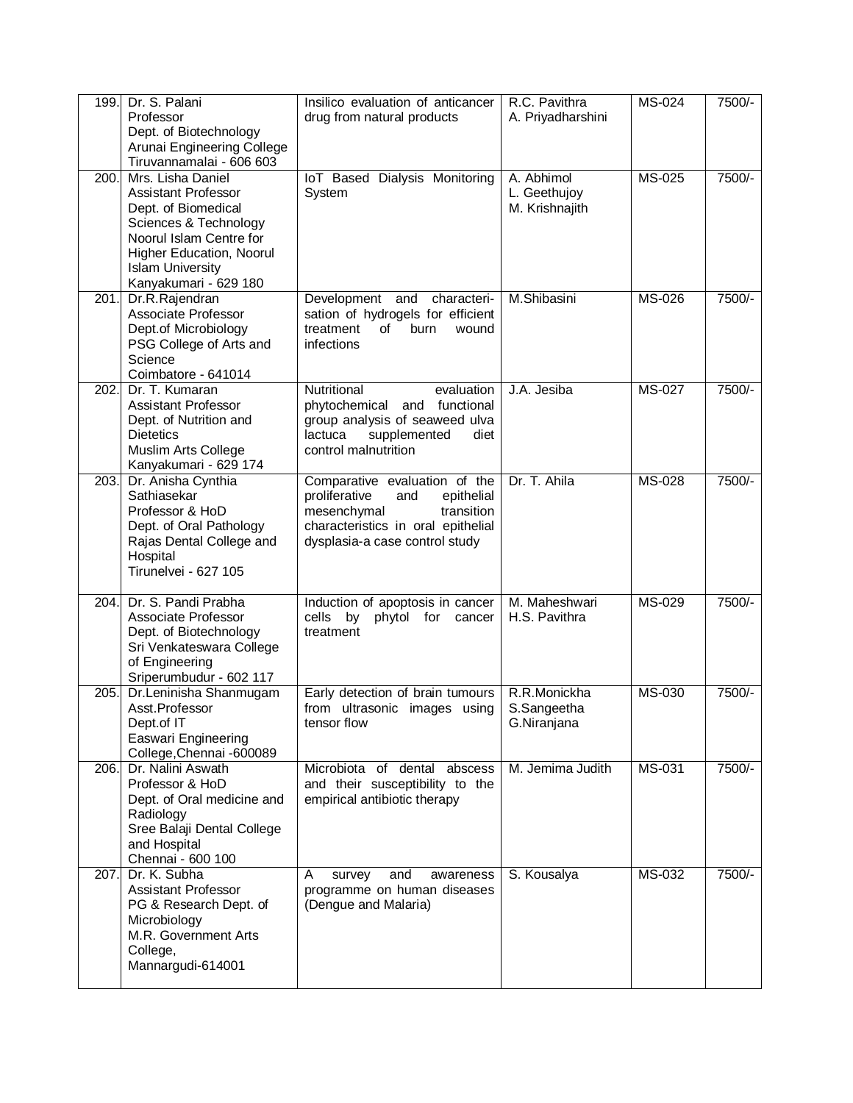| 199. | Dr. S. Palani<br>Professor<br>Dept. of Biotechnology<br>Arunai Engineering College<br>Tiruvannamalai - 606 603                                                                                                    | Insilico evaluation of anticancer<br>drug from natural products                                                                                                          | R.C. Pavithra<br>A. Priyadharshini           | <b>MS-024</b> | 7500/- |
|------|-------------------------------------------------------------------------------------------------------------------------------------------------------------------------------------------------------------------|--------------------------------------------------------------------------------------------------------------------------------------------------------------------------|----------------------------------------------|---------------|--------|
| 200. | Mrs. Lisha Daniel<br><b>Assistant Professor</b><br>Dept. of Biomedical<br>Sciences & Technology<br>Noorul Islam Centre for<br><b>Higher Education, Noorul</b><br><b>Islam University</b><br>Kanyakumari - 629 180 | IoT Based Dialysis Monitoring<br>System                                                                                                                                  | A. Abhimol<br>L. Geethujoy<br>M. Krishnajith | <b>MS-025</b> | 7500/- |
| 201. | Dr.R.Rajendran<br>Associate Professor<br>Dept.of Microbiology<br>PSG College of Arts and<br>Science<br>Coimbatore - 641014                                                                                        | Development and characteri-<br>sation of hydrogels for efficient<br>of<br>treatment<br>burn<br>wound<br>infections                                                       | M.Shibasini                                  | <b>MS-026</b> | 7500/- |
| 202. | Dr. T. Kumaran<br>Assistant Professor<br>Dept. of Nutrition and<br><b>Dietetics</b><br>Muslim Arts College<br>Kanyakumari - 629 174                                                                               | Nutritional<br>evaluation<br>phytochemical<br>and functional<br>group analysis of seaweed ulva<br>supplemented<br>lactuca<br>diet<br>control malnutrition                | J.A. Jesiba                                  | <b>MS-027</b> | 7500/- |
| 203. | Dr. Anisha Cynthia<br>Sathiasekar<br>Professor & HoD<br>Dept. of Oral Pathology<br>Rajas Dental College and<br>Hospital<br>Tirunelvei - 627 105                                                                   | Comparative evaluation of the<br>proliferative<br>and<br>epithelial<br>transition<br>mesenchymal<br>characteristics in oral epithelial<br>dysplasia-a case control study | Dr. T. Ahila                                 | <b>MS-028</b> | 7500/- |
| 204. | Dr. S. Pandi Prabha<br>Associate Professor<br>Dept. of Biotechnology<br>Sri Venkateswara College<br>of Engineering<br>Sriperumbudur - 602 117                                                                     | Induction of apoptosis in cancer<br>cells by<br>phytol for<br>cancer<br>treatment                                                                                        | M. Maheshwari<br>H.S. Pavithra               | MS-029        | 7500/- |
| 205. | Dr.Leninisha Shanmugam<br>Asst.Professor<br>Dept.of IT<br>Easwari Engineering<br>College, Chennai -600089                                                                                                         | Early detection of brain tumours<br>from ultrasonic images using<br>tensor flow                                                                                          | R.R.Monickha<br>S.Sangeetha<br>G.Niranjana   | MS-030        | 7500/- |
| 206. | Dr. Nalini Aswath<br>Professor & HoD<br>Dept. of Oral medicine and<br>Radiology<br>Sree Balaji Dental College<br>and Hospital<br>Chennai - 600 100                                                                | Microbiota of dental abscess<br>and their susceptibility to the<br>empirical antibiotic therapy                                                                          | M. Jemima Judith                             | MS-031        | 7500/- |
| 207. | Dr. K. Subha<br><b>Assistant Professor</b><br>PG & Research Dept. of<br>Microbiology<br>M.R. Government Arts<br>College,<br>Mannargudi-614001                                                                     | A<br>survey<br>and<br>awareness<br>programme on human diseases<br>(Dengue and Malaria)                                                                                   | S. Kousalya                                  | <b>MS-032</b> | 7500/- |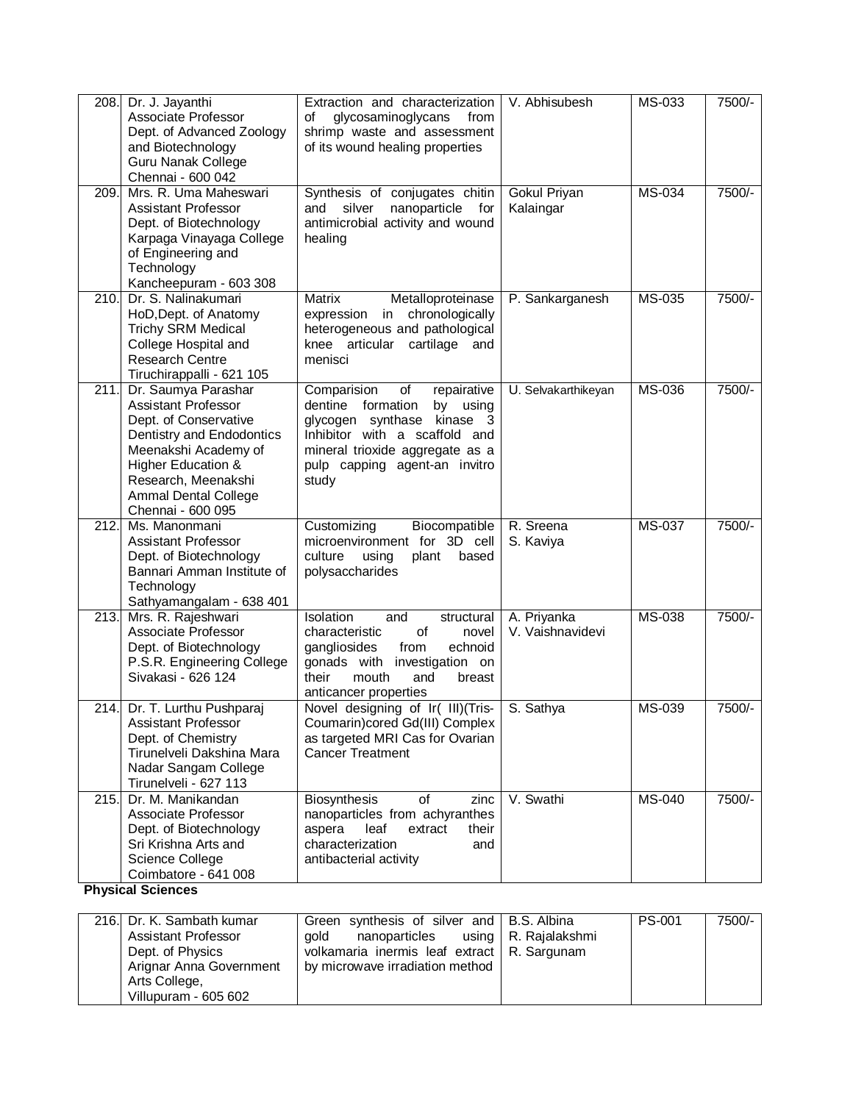| 208.              | Dr. J. Jayanthi<br>Associate Professor<br>Dept. of Advanced Zoology<br>and Biotechnology<br><b>Guru Nanak College</b><br>Chennai - 600 042                                                                                                  | Extraction and characterization<br>glycosaminoglycans<br>οf<br>from<br>shrimp waste and assessment<br>of its wound healing properties                                                                         | V. Abhisubesh                   | MS-033        | 7500/- |
|-------------------|---------------------------------------------------------------------------------------------------------------------------------------------------------------------------------------------------------------------------------------------|---------------------------------------------------------------------------------------------------------------------------------------------------------------------------------------------------------------|---------------------------------|---------------|--------|
| 209.              | Mrs. R. Uma Maheswari<br>Assistant Professor<br>Dept. of Biotechnology<br>Karpaga Vinayaga College<br>of Engineering and<br>Technology<br>Kancheepuram - 603 308                                                                            | Synthesis of conjugates chitin<br>silver<br>nanoparticle for<br>and<br>antimicrobial activity and wound<br>healing                                                                                            | Gokul Priyan<br>Kalaingar       | MS-034        | 7500/- |
| $\overline{2}10.$ | Dr. S. Nalinakumari<br>HoD, Dept. of Anatomy<br><b>Trichy SRM Medical</b><br>College Hospital and<br><b>Research Centre</b><br>Tiruchirappalli - 621 105                                                                                    | Matrix<br>Metalloproteinase<br>in chronologically<br>expression<br>heterogeneous and pathological<br>knee articular cartilage and<br>menisci                                                                  | P. Sankarganesh                 | MS-035        | 7500/- |
| 211.              | Dr. Saumya Parashar<br><b>Assistant Professor</b><br>Dept. of Conservative<br>Dentistry and Endodontics<br>Meenakshi Academy of<br><b>Higher Education &amp;</b><br>Research, Meenakshi<br><b>Ammal Dental College</b><br>Chennai - 600 095 | Comparision<br>of<br>repairative<br>dentine formation<br>by using<br>glycogen synthase kinase 3<br>Inhibitor with a scaffold and<br>mineral trioxide aggregate as a<br>pulp capping agent-an invitro<br>study | U. Selvakarthikeyan             | <b>MS-036</b> | 7500/- |
| 212.              | Ms. Manonmani<br>Assistant Professor<br>Dept. of Biotechnology<br>Bannari Amman Institute of<br>Technology<br>Sathyamangalam - 638 401                                                                                                      | Customizing<br>Biocompatible<br>microenvironment for 3D cell<br>culture<br>using<br>plant<br>based<br>polysaccharides                                                                                         | R. Sreena<br>S. Kaviya          | MS-037        | 7500/- |
| 213.              | Mrs. R. Rajeshwari<br>Associate Professor<br>Dept. of Biotechnology<br>P.S.R. Engineering College<br>Sivakasi - 626 124                                                                                                                     | Isolation<br>structural<br>and<br>of<br>characteristic<br>novel<br>gangliosides<br>from<br>echnoid<br>gonads with<br>investigation on<br>their<br>mouth<br>and<br>breast<br>anticancer properties             | A. Priyanka<br>V. Vaishnavidevi | <b>MS-038</b> | 7500/- |
|                   | 214. Dr. T. Lurthu Pushparaj<br><b>Assistant Professor</b><br>Dept. of Chemistry<br>Tirunelveli Dakshina Mara<br>Nadar Sangam College<br>Tirunelveli - 627 113                                                                              | Novel designing of Ir( III)(Tris-<br>Coumarin)cored Gd(III) Complex<br>as targeted MRI Cas for Ovarian<br><b>Cancer Treatment</b>                                                                             | S. Sathya                       | MS-039        | 7500/- |
| 215.              | Dr. M. Manikandan<br>Associate Professor<br>Dept. of Biotechnology<br>Sri Krishna Arts and<br>Science College<br>Coimbatore - 641 008                                                                                                       | Biosynthesis<br>of<br>zinc<br>nanoparticles from achyranthes<br>aspera<br>extract<br>their<br>leaf<br>characterization<br>and<br>antibacterial activity                                                       | V. Swathi                       | <b>MS-040</b> | 7500/- |

**Physical Sciences**

|               | 216. Dr. K. Sambath kumar | Green synthesis of silver and   B.S. Albina   |  | <b>PS-001</b> | 7500/- |
|---------------|---------------------------|-----------------------------------------------|--|---------------|--------|
|               | Assistant Professor       | nanoparticles using   R. Rajalakshmi<br>aold  |  |               |        |
|               | Dept. of Physics          | volkamaria inermis leaf extract   R. Sargunam |  |               |        |
|               | Arignar Anna Government   | by microwave irradiation method               |  |               |        |
| Arts College, |                           |                                               |  |               |        |
|               | Villupuram - 605 602      |                                               |  |               |        |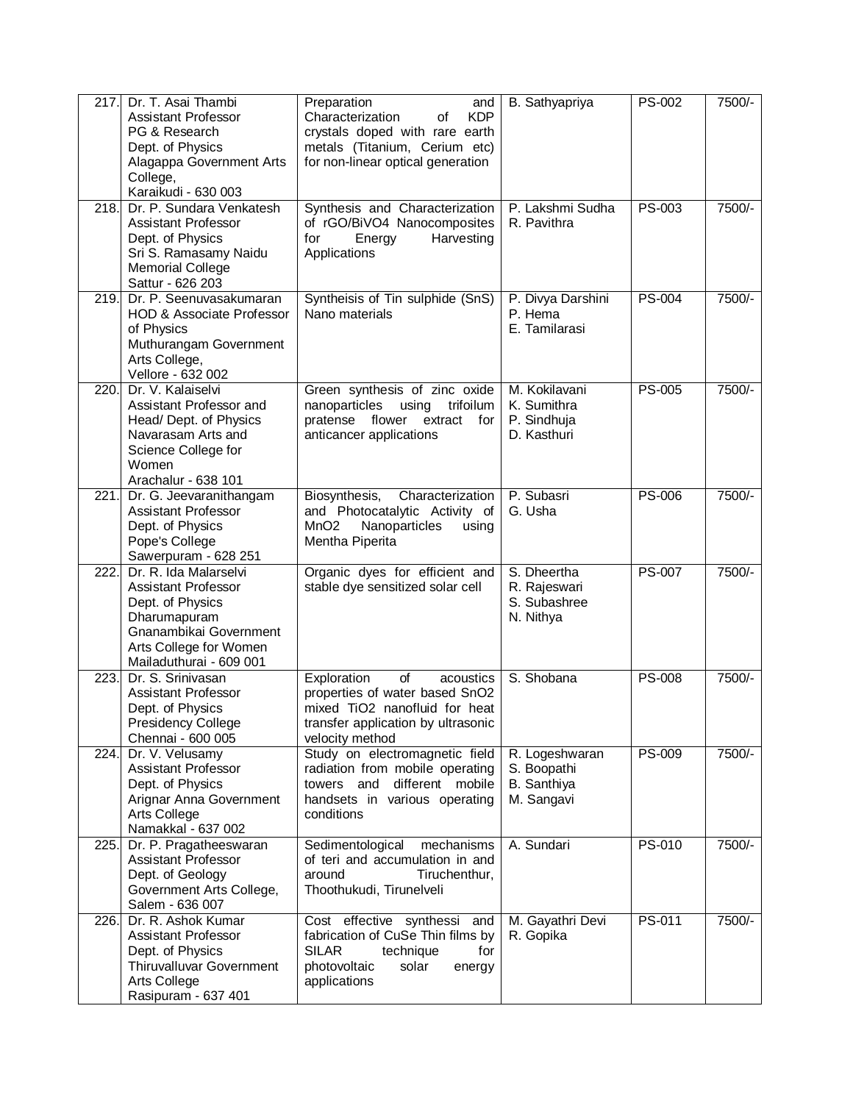| 217.               | Dr. T. Asai Thambi<br><b>Assistant Professor</b><br>PG & Research<br>Dept. of Physics<br>Alagappa Government Arts<br>College,<br>Karaikudi - 630 003                   | Preparation<br>and<br><b>KDP</b><br>Characterization<br>0f<br>crystals doped with rare earth<br>metals (Titanium, Cerium etc)<br>for non-linear optical generation | B. Sathyapriya                                             | <b>PS-002</b> | 7500/- |
|--------------------|------------------------------------------------------------------------------------------------------------------------------------------------------------------------|--------------------------------------------------------------------------------------------------------------------------------------------------------------------|------------------------------------------------------------|---------------|--------|
| 218.               | Dr. P. Sundara Venkatesh<br><b>Assistant Professor</b><br>Dept. of Physics<br>Sri S. Ramasamy Naidu<br><b>Memorial College</b><br>Sattur - 626 203                     | Synthesis and Characterization<br>of rGO/BiVO4 Nanocomposites<br>Harvesting<br>for<br>Energy<br>Applications                                                       | P. Lakshmi Sudha<br>R. Pavithra                            | PS-003        | 7500/- |
| 219.               | Dr. P. Seenuvasakumaran<br><b>HOD &amp; Associate Professor</b><br>of Physics<br>Muthurangam Government<br>Arts College,<br>Vellore - 632 002                          | Syntheisis of Tin sulphide (SnS)<br>Nano materials                                                                                                                 | P. Divya Darshini<br>P. Hema<br>E. Tamilarasi              | <b>PS-004</b> | 7500/- |
| 220.               | Dr. V. Kalaiselvi<br>Assistant Professor and<br>Head/Dept. of Physics<br>Navarasam Arts and<br>Science College for<br>Women<br>Arachalur - 638 101                     | Green synthesis of zinc oxide<br>trifoilum<br>nanoparticles<br>using<br>pratense<br>flower extract<br>for<br>anticancer applications                               | M. Kokilavani<br>K. Sumithra<br>P. Sindhuja<br>D. Kasthuri | <b>PS-005</b> | 7500/- |
| 221.               | Dr. G. Jeevaranithangam<br><b>Assistant Professor</b><br>Dept. of Physics<br>Pope's College<br>Sawerpuram - 628 251                                                    | Biosynthesis,<br>Characterization<br>and Photocatalytic Activity of<br>Nanoparticles<br>MnO <sub>2</sub><br>using<br>Mentha Piperita                               | P. Subasri<br>G. Usha                                      | <b>PS-006</b> | 7500/- |
| $\overline{222}$ . | Dr. R. Ida Malarselvi<br><b>Assistant Professor</b><br>Dept. of Physics<br>Dharumapuram<br>Gnanambikai Government<br>Arts College for Women<br>Mailaduthurai - 609 001 | Organic dyes for efficient and<br>stable dye sensitized solar cell                                                                                                 | S. Dheertha<br>R. Rajeswari<br>S. Subashree<br>N. Nithya   | <b>PS-007</b> | 7500/- |
| 223.               | Dr. S. Srinivasan<br><b>Assistant Professor</b><br>Dept. of Physics<br>Presidency College<br>Chennai - 600 005                                                         | Exploration<br>of<br>acoustics<br>properties of water based SnO2<br>mixed TiO2 nanofluid for heat<br>transfer application by ultrasonic<br>velocity method         | S. Shobana                                                 | <b>PS-008</b> | 7500/- |
| 224.               | Dr. V. Velusamy<br><b>Assistant Professor</b><br>Dept. of Physics<br>Arignar Anna Government<br>Arts College<br>Namakkal - 637 002                                     | Study on electromagnetic field<br>radiation from mobile operating<br>towers and different mobile<br>handsets in various operating<br>conditions                    | R. Logeshwaran<br>S. Boopathi<br>B. Santhiya<br>M. Sangavi | <b>PS-009</b> | 7500/- |
| 225.               | Dr. P. Pragatheeswaran<br><b>Assistant Professor</b><br>Dept. of Geology<br>Government Arts College,<br>Salem - 636 007                                                | Sedimentological<br>mechanisms<br>of teri and accumulation in and<br>around<br>Tiruchenthur,<br>Thoothukudi, Tirunelveli                                           | A. Sundari                                                 | PS-010        | 7500/- |
| 226.               | Dr. R. Ashok Kumar<br><b>Assistant Professor</b><br>Dept. of Physics<br><b>Thiruvalluvar Government</b><br>Arts College<br>Rasipuram - 637 401                         | Cost effective synthessi and<br>fabrication of CuSe Thin films by<br><b>SILAR</b><br>for<br>technique<br>photovoltaic<br>solar<br>energy<br>applications           | M. Gayathri Devi<br>R. Gopika                              | PS-011        | 7500/- |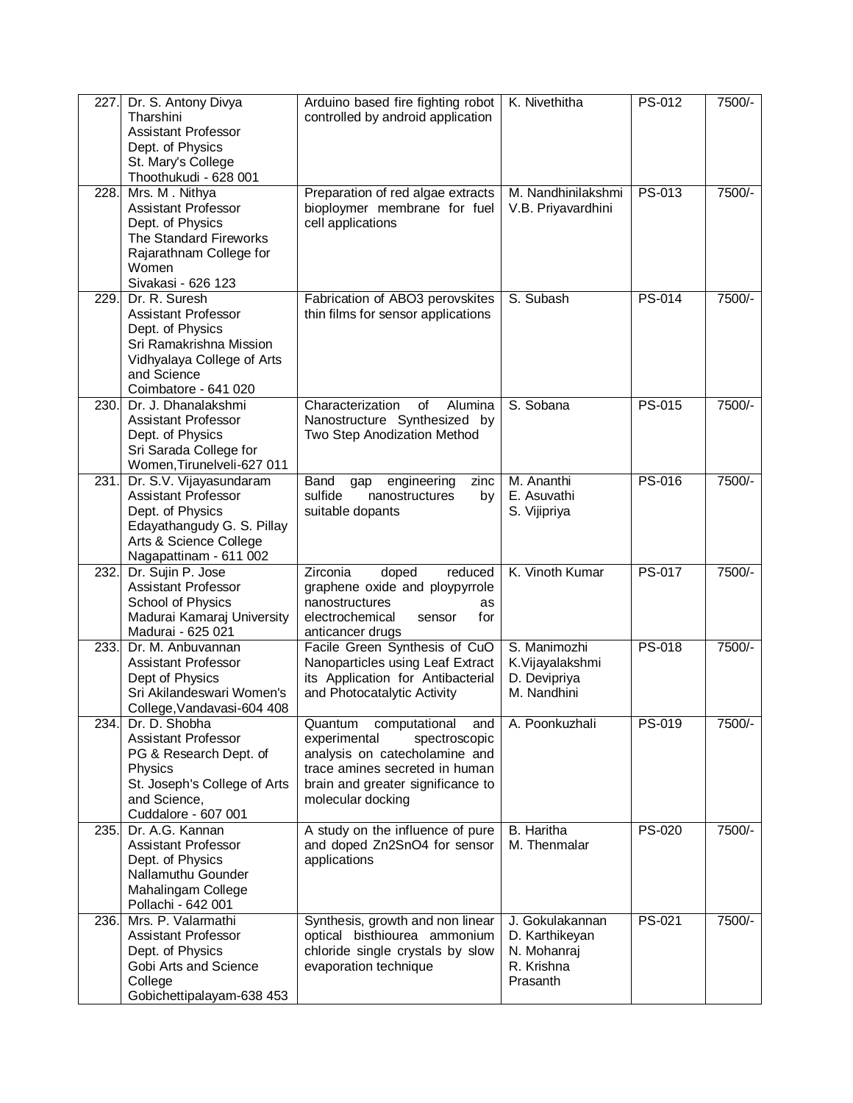| 227. | Dr. S. Antony Divya<br>Tharshini<br><b>Assistant Professor</b><br>Dept. of Physics<br>St. Mary's College<br>Thoothukudi - 628 001                               | Arduino based fire fighting robot<br>controlled by android application                                                                                                                        | K. Nivethitha                                                              | PS-012 | 7500/- |
|------|-----------------------------------------------------------------------------------------------------------------------------------------------------------------|-----------------------------------------------------------------------------------------------------------------------------------------------------------------------------------------------|----------------------------------------------------------------------------|--------|--------|
| 228. | Mrs. M. Nithya<br><b>Assistant Professor</b><br>Dept. of Physics<br><b>The Standard Fireworks</b><br>Rajarathnam College for<br>Women<br>Sivakasi - 626 123     | Preparation of red algae extracts<br>bioploymer membrane for fuel<br>cell applications                                                                                                        | M. Nandhinilakshmi<br>V.B. Priyavardhini                                   | PS-013 | 7500/- |
| 229. | Dr. R. Suresh<br><b>Assistant Professor</b><br>Dept. of Physics<br>Sri Ramakrishna Mission<br>Vidhyalaya College of Arts<br>and Science<br>Coimbatore - 641 020 | Fabrication of ABO3 perovskites<br>thin films for sensor applications                                                                                                                         | S. Subash                                                                  | PS-014 | 7500/- |
| 230. | Dr. J. Dhanalakshmi<br><b>Assistant Professor</b><br>Dept. of Physics<br>Sri Sarada College for<br>Women, Tirunelveli-627 011                                   | Characterization<br>of<br>Alumina<br>Nanostructure Synthesized by<br>Two Step Anodization Method                                                                                              | S. Sobana                                                                  | PS-015 | 7500/- |
| 231. | Dr. S.V. Vijayasundaram<br><b>Assistant Professor</b><br>Dept. of Physics<br>Edayathangudy G. S. Pillay<br>Arts & Science College<br>Nagapattinam - 611 002     | Band<br>engineering<br>zinc<br>gap<br>sulfide<br>nanostructures<br>by<br>suitable dopants                                                                                                     | M. Ananthi<br>E. Asuvathi<br>S. Vijipriya                                  | PS-016 | 7500/- |
| 232. | Dr. Sujin P. Jose<br><b>Assistant Professor</b><br>School of Physics<br>Madurai Kamaraj University<br>Madurai - 625 021                                         | Zirconia<br>doped<br>reduced<br>graphene oxide and ploypyrrole<br>nanostructures<br>as<br>electrochemical<br>for<br>sensor<br>anticancer drugs                                                | K. Vinoth Kumar                                                            | PS-017 | 7500/- |
| 233. | Dr. M. Anbuvannan<br>Assistant Professor<br>Dept of Physics<br>Sri Akilandeswari Women's<br>College, Vandavasi-604 408                                          | Facile Green Synthesis of CuO<br>Nanoparticles using Leaf Extract<br>its Application for Antibacterial<br>and Photocatalytic Activity                                                         | S. Manimozhi<br>K.Vijayalakshmi<br>D. Devipriya<br>M. Nandhini             | PS-018 | 7500/- |
| 234. | Dr. D. Shobha<br><b>Assistant Professor</b><br>PG & Research Dept. of<br>Physics<br>St. Joseph's College of Arts<br>and Science,<br>Cuddalore - 607 001         | computational<br>Quantum<br>and<br>experimental<br>spectroscopic<br>analysis on catecholamine and<br>trace amines secreted in human<br>brain and greater significance to<br>molecular docking | A. Poonkuzhali                                                             | PS-019 | 7500/- |
| 235. | Dr. A.G. Kannan<br>Assistant Professor<br>Dept. of Physics<br>Nallamuthu Gounder<br>Mahalingam College<br>Pollachi - 642 001                                    | A study on the influence of pure<br>and doped Zn2SnO4 for sensor<br>applications                                                                                                              | B. Haritha<br>M. Thenmalar                                                 | PS-020 | 7500/- |
| 236. | Mrs. P. Valarmathi<br>Assistant Professor<br>Dept. of Physics<br>Gobi Arts and Science<br>College<br>Gobichettipalayam-638 453                                  | Synthesis, growth and non linear<br>optical bisthiourea ammonium<br>chloride single crystals by slow<br>evaporation technique                                                                 | J. Gokulakannan<br>D. Karthikeyan<br>N. Mohanraj<br>R. Krishna<br>Prasanth | PS-021 | 7500/- |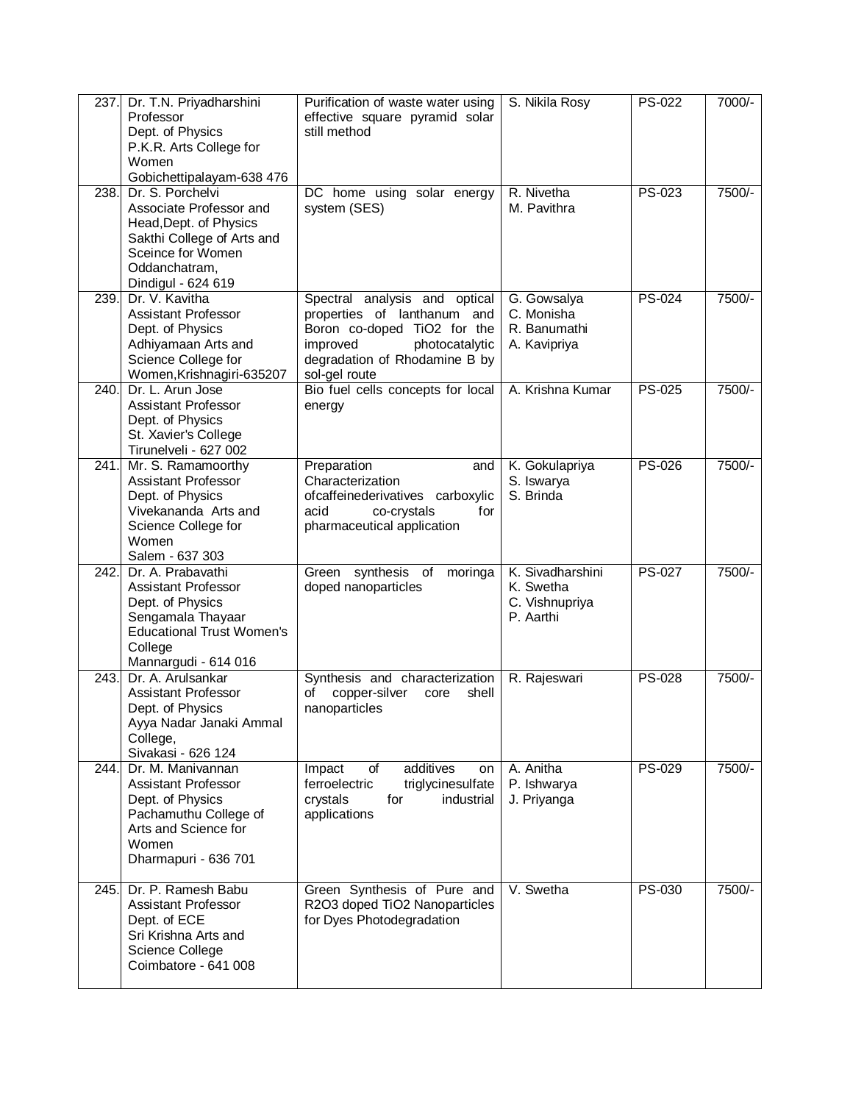| 237. | Dr. T.N. Priyadharshini<br>Professor<br>Dept. of Physics<br>P.K.R. Arts College for<br>Women<br>Gobichettipalayam-638 476                                       | Purification of waste water using<br>effective square pyramid solar<br>still method                                                                                         | S. Nikila Rosy                                               | <b>PS-022</b> | $7000/-$ |
|------|-----------------------------------------------------------------------------------------------------------------------------------------------------------------|-----------------------------------------------------------------------------------------------------------------------------------------------------------------------------|--------------------------------------------------------------|---------------|----------|
| 238. | Dr. S. Porchelvi<br>Associate Professor and<br>Head, Dept. of Physics<br>Sakthi College of Arts and<br>Sceince for Women<br>Oddanchatram,<br>Dindigul - 624 619 | DC home using solar energy<br>system (SES)                                                                                                                                  | R. Nivetha<br>M. Pavithra                                    | PS-023        | 7500/-   |
| 239. | Dr. V. Kavitha<br><b>Assistant Professor</b><br>Dept. of Physics<br>Adhiyamaan Arts and<br>Science College for<br>Women, Krishnagiri-635207                     | Spectral analysis and optical<br>properties of lanthanum and<br>Boron co-doped TiO2 for the<br>improved<br>photocatalytic<br>degradation of Rhodamine B by<br>sol-gel route | G. Gowsalya<br>C. Monisha<br>R. Banumathi<br>A. Kavipriya    | PS-024        | 7500/-   |
| 240. | Dr. L. Arun Jose<br>Assistant Professor<br>Dept. of Physics<br>St. Xavier's College<br>Tirunelveli - 627 002                                                    | Bio fuel cells concepts for local<br>energy                                                                                                                                 | A. Krishna Kumar                                             | <b>PS-025</b> | 7500/-   |
|      | 241. Mr. S. Ramamoorthy<br><b>Assistant Professor</b><br>Dept. of Physics<br>Vivekananda Arts and<br>Science College for<br>Women<br>Salem - 637 303            | Preparation<br>and<br>Characterization<br>ofcaffeinederivatives carboxylic<br>co-crystals<br>acid<br>for<br>pharmaceutical application                                      | K. Gokulapriya<br>S. Iswarya<br>S. Brinda                    | <b>PS-026</b> | 7500/-   |
| 242. | Dr. A. Prabavathi<br>Assistant Professor<br>Dept. of Physics<br>Sengamala Thayaar<br><b>Educational Trust Women's</b><br>College<br>Mannargudi - 614 016        | Green synthesis of<br>moringa<br>doped nanoparticles                                                                                                                        | K. Sivadharshini<br>K. Swetha<br>C. Vishnupriya<br>P. Aarthi | <b>PS-027</b> | 7500/-   |
| 243. | Dr. A. Arulsankar<br><b>Assistant Professor</b><br>Dept. of Physics<br>Ayya Nadar Janaki Ammal<br>College,<br>Sivakasi - 626 124                                | Synthesis and characterization<br>copper-silver<br>shell<br>οf<br>core<br>nanoparticles                                                                                     | R. Rajeswari                                                 | <b>PS-028</b> | 7500/-   |
| 244. | Dr. M. Manivannan<br>Assistant Professor<br>Dept. of Physics<br>Pachamuthu College of<br>Arts and Science for<br>Women<br>Dharmapuri - 636 701                  | of<br>additives<br>Impact<br>on<br>ferroelectric<br>triglycinesulfate<br>crystals<br>for<br>industrial<br>applications                                                      | A. Anitha<br>P. Ishwarya<br>J. Priyanga                      | <b>PS-029</b> | 7500/-   |
| 245. | Dr. P. Ramesh Babu<br>Assistant Professor<br>Dept. of ECE<br>Sri Krishna Arts and<br>Science College<br>Coimbatore - 641 008                                    | Green Synthesis of Pure and<br>R2O3 doped TiO2 Nanoparticles<br>for Dyes Photodegradation                                                                                   | V. Swetha                                                    | PS-030        | 7500/-   |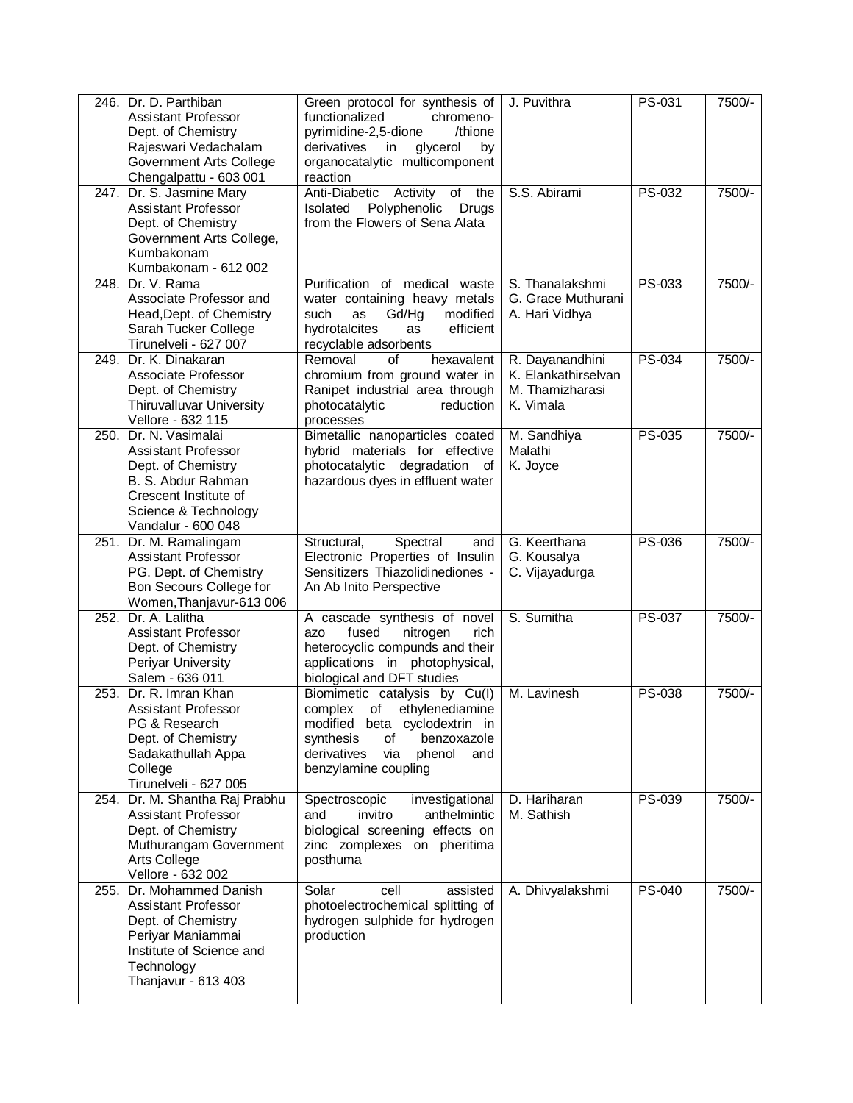| 246. | Dr. D. Parthiban<br><b>Assistant Professor</b><br>Dept. of Chemistry<br>Rajeswari Vedachalam<br><b>Government Arts College</b><br>Chengalpattu - 603 001          | Green protocol for synthesis of<br>functionalized<br>chromeno-<br>pyrimidine-2,5-dione<br>/thione<br>derivatives<br>glycerol<br>in<br>by<br>organocatalytic multicomponent<br>reaction           | J. Puvithra                                                            | PS-031        | 7500/- |
|------|-------------------------------------------------------------------------------------------------------------------------------------------------------------------|--------------------------------------------------------------------------------------------------------------------------------------------------------------------------------------------------|------------------------------------------------------------------------|---------------|--------|
| 247. | Dr. S. Jasmine Mary<br><b>Assistant Professor</b><br>Dept. of Chemistry<br>Government Arts College,<br>Kumbakonam<br>Kumbakonam - 612 002                         | Activity<br>Anti-Diabetic<br>of the<br>Polyphenolic<br>Isolated<br>Drugs<br>from the Flowers of Sena Alata                                                                                       | S.S. Abirami                                                           | PS-032        | 7500/- |
| 248. | Dr. V. Rama<br>Associate Professor and<br>Head, Dept. of Chemistry<br>Sarah Tucker College<br>Tirunelveli - 627 007                                               | Purification of medical waste<br>water containing heavy metals<br>modified<br>such<br>Gd/Hg<br>as<br>efficient<br>hydrotalcites<br>as<br>recyclable adsorbents                                   | S. Thanalakshmi<br>G. Grace Muthurani<br>A. Hari Vidhya                | PS-033        | 7500/- |
| 249. | Dr. K. Dinakaran<br>Associate Professor<br>Dept. of Chemistry<br>Thiruvalluvar University<br>Vellore - 632 115                                                    | Removal<br>of<br>hexavalent<br>chromium from ground water in<br>Ranipet industrial area through<br>photocatalytic<br>reduction<br>processes                                                      | R. Dayanandhini<br>K. Elankathirselvan<br>M. Thamizharasi<br>K. Vimala | PS-034        | 7500/- |
| 250. | Dr. N. Vasimalai<br><b>Assistant Professor</b><br>Dept. of Chemistry<br>B. S. Abdur Rahman<br>Crescent Institute of<br>Science & Technology<br>Vandalur - 600 048 | Bimetallic nanoparticles coated<br>hybrid materials for effective<br>photocatalytic degradation of<br>hazardous dyes in effluent water                                                           | M. Sandhiya<br>Malathi<br>K. Joyce                                     | <b>PS-035</b> | 7500/- |
| 251. | Dr. M. Ramalingam<br><b>Assistant Professor</b><br>PG. Dept. of Chemistry<br>Bon Secours College for<br>Women, Thanjavur-613 006                                  | Spectral<br>Structural,<br>and<br>Electronic Properties of Insulin<br>Sensitizers Thiazolidinediones -<br>An Ab Inito Perspective                                                                | G. Keerthana<br>G. Kousalya<br>C. Vijayadurga                          | <b>PS-036</b> | 7500/- |
| 252. | Dr. A. Lalitha<br><b>Assistant Professor</b><br>Dept. of Chemistry<br>Periyar University<br>Salem - 636 011                                                       | A cascade synthesis of novel<br>fused<br>nitrogen<br>azo<br>rich.<br>heterocyclic compunds and their<br>applications in photophysical,<br>biological and DFT studies                             | S. Sumitha                                                             | <b>PS-037</b> | 7500/- |
| 253. | Dr. R. Imran Khan<br><b>Assistant Professor</b><br>PG & Research<br>Dept. of Chemistry<br>Sadakathullah Appa<br>College<br>Tirunelveli - 627 005                  | Biomimetic catalysis by Cu(I)<br>complex of<br>ethylenediamine<br>modified beta cyclodextrin in<br>benzoxazole<br>synthesis<br>of<br>derivatives<br>via<br>phenol<br>and<br>benzylamine coupling | M. Lavinesh                                                            | <b>PS-038</b> | 7500/- |
| 254. | Dr. M. Shantha Raj Prabhu<br><b>Assistant Professor</b><br>Dept. of Chemistry<br>Muthurangam Government<br>Arts College<br>Vellore - 632 002                      | Spectroscopic<br>investigational<br>and<br>invitro<br>anthelmintic<br>biological screening effects on<br>zinc zomplexes on pheritima<br>posthuma                                                 | D. Hariharan<br>M. Sathish                                             | PS-039        | 7500/- |
| 255. | Dr. Mohammed Danish<br><b>Assistant Professor</b><br>Dept. of Chemistry<br>Periyar Maniammai<br>Institute of Science and<br>Technology<br>Thanjavur - 613 403     | Solar<br>cell<br>assisted<br>photoelectrochemical splitting of<br>hydrogen sulphide for hydrogen<br>production                                                                                   | A. Dhivyalakshmi                                                       | <b>PS-040</b> | 7500/- |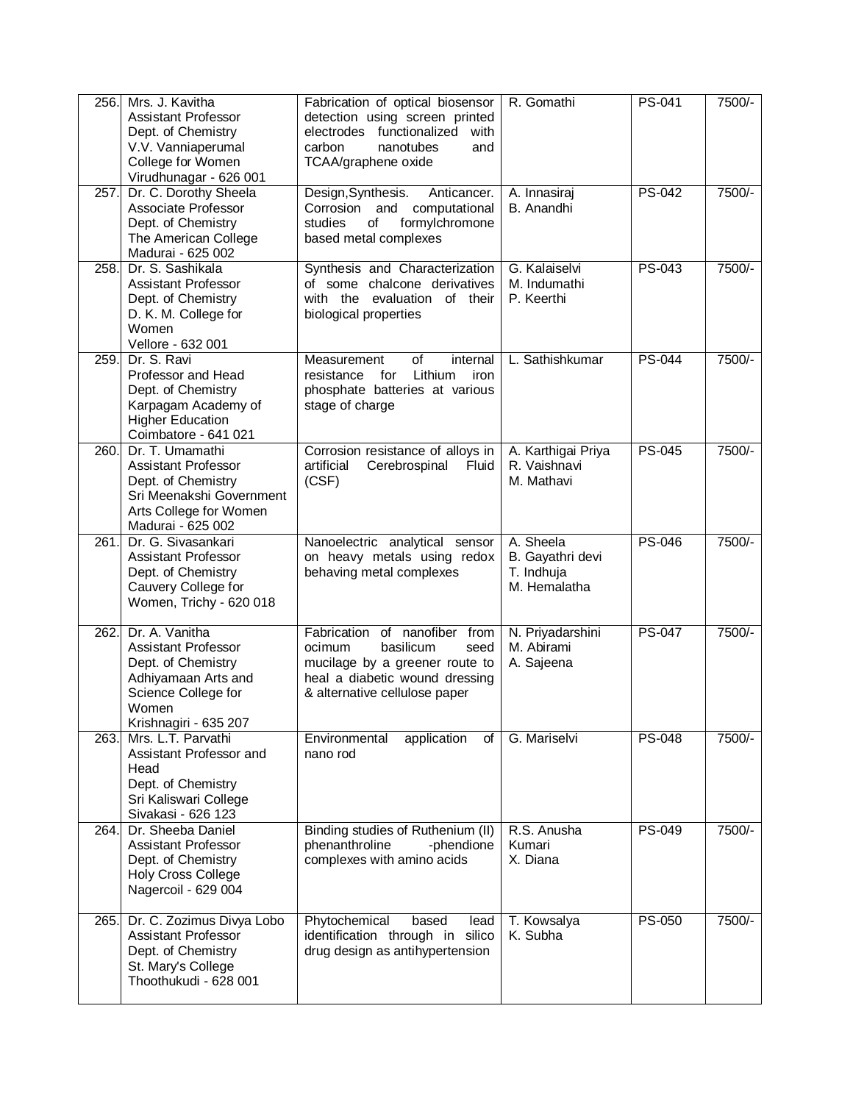| 256. | Mrs. J. Kavitha<br><b>Assistant Professor</b><br>Dept. of Chemistry<br>V.V. Vanniaperumal<br>College for Women<br>Virudhunagar - 626 001           | Fabrication of optical biosensor<br>detection using screen printed<br>electrodes functionalized<br>with<br>carbon<br>nanotubes<br>and<br>TCAA/graphene oxide      | R. Gomathi                                                  | <b>PS-041</b> | 7500/- |
|------|----------------------------------------------------------------------------------------------------------------------------------------------------|-------------------------------------------------------------------------------------------------------------------------------------------------------------------|-------------------------------------------------------------|---------------|--------|
| 257. | Dr. C. Dorothy Sheela<br>Associate Professor<br>Dept. of Chemistry<br>The American College<br>Madurai - 625 002                                    | Design, Synthesis.<br>Anticancer.<br>Corrosion and computational<br>of<br>formylchromone<br>studies<br>based metal complexes                                      | A. Innasiraj<br>B. Anandhi                                  | PS-042        | 7500/- |
| 258. | Dr. S. Sashikala<br><b>Assistant Professor</b><br>Dept. of Chemistry<br>D. K. M. College for<br>Women<br>Vellore - 632 001                         | Synthesis and Characterization<br>of some chalcone derivatives<br>with the evaluation of their<br>biological properties                                           | G. Kalaiselvi<br>M. Indumathi<br>P. Keerthi                 | PS-043        | 7500/- |
| 259. | Dr. S. Ravi<br>Professor and Head<br>Dept. of Chemistry<br>Karpagam Academy of<br><b>Higher Education</b><br>Coimbatore - 641 021                  | Measurement<br>of<br>internal<br>Lithium<br>for<br>iron<br>resistance<br>phosphate batteries at various<br>stage of charge                                        | L. Sathishkumar                                             | <b>PS-044</b> | 7500/- |
| 260. | Dr. T. Umamathi<br><b>Assistant Professor</b><br>Dept. of Chemistry<br>Sri Meenakshi Government<br>Arts College for Women<br>Madurai - 625 002     | Corrosion resistance of alloys in<br>artificial<br>Cerebrospinal<br>Fluid<br>(CSF)                                                                                | A. Karthigai Priya<br>R. Vaishnavi<br>M. Mathavi            | <b>PS-045</b> | 7500/- |
| 261. | Dr. G. Sivasankari<br><b>Assistant Professor</b><br>Dept. of Chemistry<br>Cauvery College for<br>Women, Trichy - 620 018                           | Nanoelectric analytical sensor<br>on heavy metals using redox<br>behaving metal complexes                                                                         | A. Sheela<br>B. Gayathri devi<br>T. Indhuja<br>M. Hemalatha | <b>PS-046</b> | 7500/- |
| 262. | Dr. A. Vanitha<br><b>Assistant Professor</b><br>Dept. of Chemistry<br>Adhiyamaan Arts and<br>Science College for<br>Women<br>Krishnagiri - 635 207 | Fabrication of nanofiber from<br>basilicum<br>ocimum<br>seed<br>mucilage by a greener route to<br>heal a diabetic wound dressing<br>& alternative cellulose paper | N. Priyadarshini<br>M. Abirami<br>A. Sajeena                | <b>PS-047</b> | 7500/- |
| 263. | Mrs. L.T. Parvathi<br>Assistant Professor and<br>Head<br>Dept. of Chemistry<br>Sri Kaliswari College<br>Sivakasi - 626 123                         | Environmental<br>application<br>οf<br>nano rod                                                                                                                    | G. Mariselvi                                                | <b>PS-048</b> | 7500/- |
| 264. | Dr. Sheeba Daniel<br><b>Assistant Professor</b><br>Dept. of Chemistry<br><b>Holy Cross College</b><br>Nagercoil - 629 004                          | Binding studies of Ruthenium (II)<br>phenanthroline<br>-phendione<br>complexes with amino acids                                                                   | R.S. Anusha<br>Kumari<br>X. Diana                           | PS-049        | 7500/- |
| 265. | Dr. C. Zozimus Divya Lobo<br><b>Assistant Professor</b><br>Dept. of Chemistry<br>St. Mary's College<br>Thoothukudi - 628 001                       | Phytochemical<br>based<br>lead<br>identification through in silico<br>drug design as antihypertension                                                             | T. Kowsalya<br>K. Subha                                     | PS-050        | 7500/- |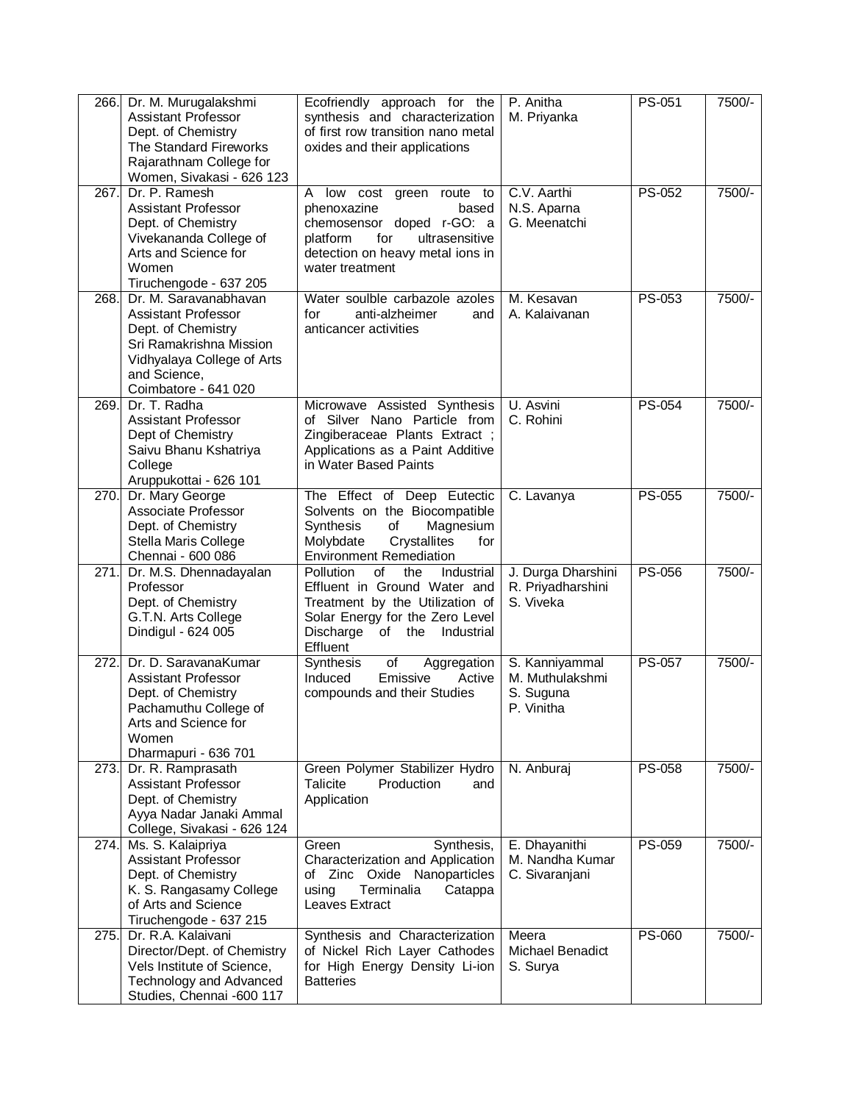| 266. | Dr. M. Murugalakshmi<br><b>Assistant Professor</b><br>Dept. of Chemistry<br>The Standard Fireworks<br>Rajarathnam College for<br>Women, Sivakasi - 626 123                 | Ecofriendly approach for the<br>synthesis and characterization<br>of first row transition nano metal<br>oxides and their applications                                                    | P. Anitha<br>M. Priyanka                                     | PS-051        | 7500/- |
|------|----------------------------------------------------------------------------------------------------------------------------------------------------------------------------|------------------------------------------------------------------------------------------------------------------------------------------------------------------------------------------|--------------------------------------------------------------|---------------|--------|
| 267. | Dr. P. Ramesh<br><b>Assistant Professor</b><br>Dept. of Chemistry<br>Vivekananda College of<br>Arts and Science for<br>Women<br>Tiruchengode - 637 205                     | A<br>low cost green<br>route to<br>phenoxazine<br>based<br>chemosensor doped r-GO: a<br>for<br>ultrasensitive<br>platform<br>detection on heavy metal ions in<br>water treatment         | C.V. Aarthi<br>N.S. Aparna<br>G. Meenatchi                   | PS-052        | 7500/- |
| 268. | Dr. M. Saravanabhavan<br><b>Assistant Professor</b><br>Dept. of Chemistry<br>Sri Ramakrishna Mission<br>Vidhyalaya College of Arts<br>and Science,<br>Coimbatore - 641 020 | Water soulble carbazole azoles<br>for<br>anti-alzheimer<br>and<br>anticancer activities                                                                                                  | M. Kesavan<br>A. Kalaivanan                                  | PS-053        | 7500/- |
| 269. | Dr. T. Radha<br><b>Assistant Professor</b><br>Dept of Chemistry<br>Saivu Bhanu Kshatriya<br>College<br>Aruppukottai - 626 101                                              | Microwave Assisted Synthesis<br>of Silver Nano Particle from<br>Zingiberaceae Plants Extract;<br>Applications as a Paint Additive<br>in Water Based Paints                               | U. Asvini<br>C. Rohini                                       | PS-054        | 7500/- |
| 270. | Dr. Mary George<br>Associate Professor<br>Dept. of Chemistry<br>Stella Maris College<br>Chennai - 600 086                                                                  | The Effect of Deep Eutectic<br>Solvents on the Biocompatible<br>of<br>Synthesis<br>Magnesium<br>Molybdate<br>Crystallites<br>for<br><b>Environment Remediation</b>                       | C. Lavanya                                                   | <b>PS-055</b> | 7500/- |
| 271. | Dr. M.S. Dhennadayalan<br>Professor<br>Dept. of Chemistry<br>G.T.N. Arts College<br>Dindigul - 624 005                                                                     | Pollution<br>of<br>the<br>Industrial<br>Effluent in Ground Water and<br>Treatment by the Utilization of<br>Solar Energy for the Zero Level<br>Discharge of the<br>Industrial<br>Effluent | J. Durga Dharshini<br>R. Priyadharshini<br>S. Viveka         | <b>PS-056</b> | 7500/- |
| 272. | Dr. D. SaravanaKumar<br><b>Assistant Professor</b><br>Dept. of Chemistry<br>Pachamuthu College of<br>Arts and Science for<br>Women<br>Dharmapuri - 636 701                 | Synthesis<br>Aggregation<br>of<br>Induced<br>Emissive<br>Active<br>compounds and their Studies                                                                                           | S. Kanniyammal<br>M. Muthulakshmi<br>S. Suguna<br>P. Vinitha | <b>PS-057</b> | 7500/- |
| 273. | Dr. R. Ramprasath<br><b>Assistant Professor</b><br>Dept. of Chemistry<br>Ayya Nadar Janaki Ammal<br>College, Sivakasi - 626 124                                            | Green Polymer Stabilizer Hydro<br><b>Talicite</b><br>Production<br>and<br>Application                                                                                                    | N. Anburaj                                                   | PS-058        | 7500/- |
| 274. | Ms. S. Kalaipriya<br><b>Assistant Professor</b><br>Dept. of Chemistry<br>K. S. Rangasamy College<br>of Arts and Science<br>Tiruchengode - 637 215                          | Green<br>Synthesis,<br>Characterization and Application<br>Zinc Oxide Nanoparticles<br>οf<br>using<br>Terminalia<br>Catappa<br>Leaves Extract                                            | E. Dhayanithi<br>M. Nandha Kumar<br>C. Sivaranjani           | PS-059        | 7500/- |
| 275. | Dr. R.A. Kalaivani<br>Director/Dept. of Chemistry<br>Vels Institute of Science,<br>Technology and Advanced<br>Studies, Chennai -600 117                                    | Synthesis and Characterization<br>of Nickel Rich Layer Cathodes<br>for High Energy Density Li-ion<br><b>Batteries</b>                                                                    | Meera<br>Michael Benadict<br>S. Surya                        | <b>PS-060</b> | 7500/- |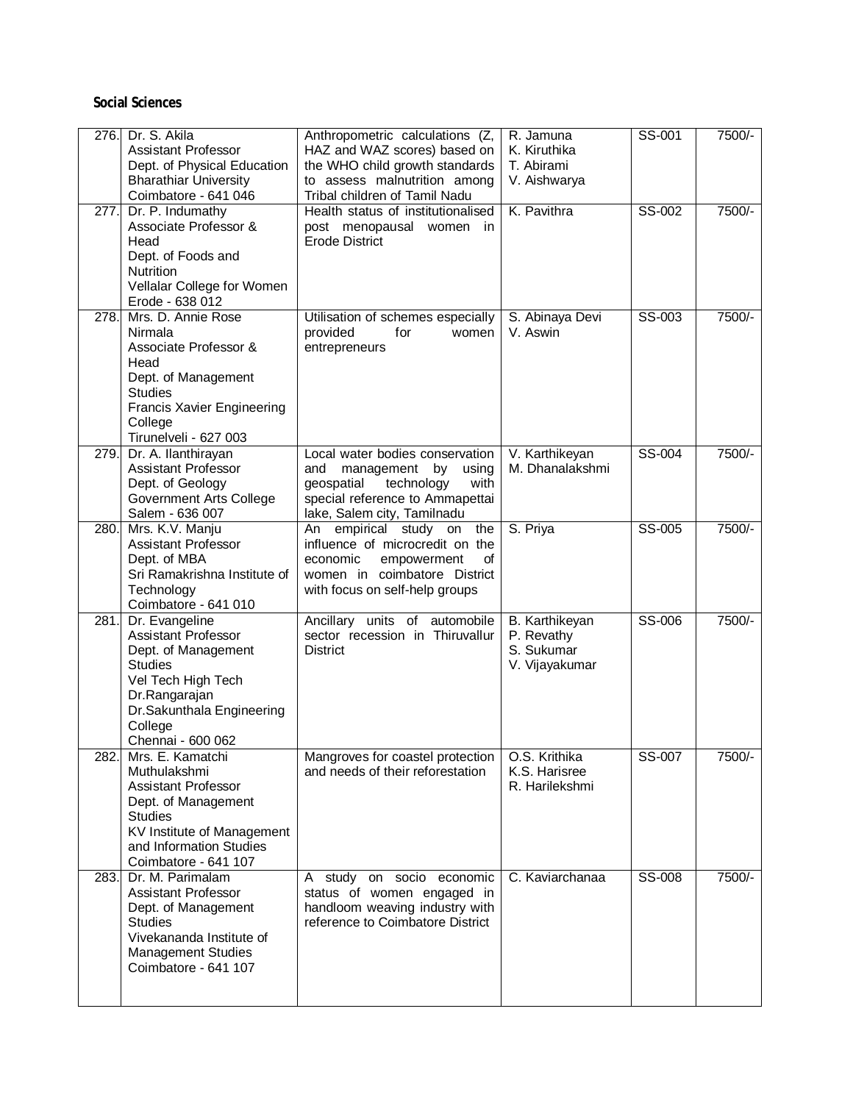### **Social Sciences**

| 276. | Dr. S. Akila<br><b>Assistant Professor</b><br>Dept. of Physical Education<br><b>Bharathiar University</b><br>Coimbatore - 641 046                                                         | Anthropometric calculations (Z,<br>HAZ and WAZ scores) based on<br>the WHO child growth standards<br>to assess malnutrition among<br>Tribal children of Tamil Nadu       | R. Jamuna<br>K. Kiruthika<br>T. Abirami<br>V. Aishwarya      | SS-001 | 7500/- |
|------|-------------------------------------------------------------------------------------------------------------------------------------------------------------------------------------------|--------------------------------------------------------------------------------------------------------------------------------------------------------------------------|--------------------------------------------------------------|--------|--------|
| 277. | Dr. P. Indumathy<br>Associate Professor &<br>Head<br>Dept. of Foods and<br><b>Nutrition</b><br>Vellalar College for Women<br>Erode - 638 012                                              | Health status of institutionalised<br>post menopausal<br>women in<br><b>Erode District</b>                                                                               | K. Pavithra                                                  | SS-002 | 7500/- |
| 278. | Mrs. D. Annie Rose<br>Nirmala<br>Associate Professor &<br>Head<br>Dept. of Management<br><b>Studies</b><br><b>Francis Xavier Engineering</b><br>College<br>Tirunelveli - 627 003          | Utilisation of schemes especially<br>provided<br>for<br>women<br>entrepreneurs                                                                                           | S. Abinaya Devi<br>V. Aswin                                  | SS-003 | 7500/- |
| 279. | Dr. A. Ilanthirayan<br><b>Assistant Professor</b><br>Dept. of Geology<br><b>Government Arts College</b><br>Salem - 636 007                                                                | Local water bodies conservation<br>management by<br>and<br>using<br>geospatial<br>technology<br>with<br>special reference to Ammapettai<br>lake, Salem city, Tamilnadu   | V. Karthikeyan<br>M. Dhanalakshmi                            | SS-004 | 7500/- |
| 280. | Mrs. K.V. Manju<br><b>Assistant Professor</b><br>Dept. of MBA<br>Sri Ramakrishna Institute of<br>Technology<br>Coimbatore - 641 010                                                       | the<br>An<br>empirical study<br>on<br>influence of microcredit on the<br>empowerment<br>economic<br>οf<br>women in coimbatore District<br>with focus on self-help groups | S. Priya                                                     | SS-005 | 7500/- |
| 281. | Dr. Evangeline<br><b>Assistant Professor</b><br>Dept. of Management<br><b>Studies</b><br>Vel Tech High Tech<br>Dr.Rangarajan<br>Dr.Sakunthala Engineering<br>College<br>Chennai - 600 062 | Ancillary units of automobile<br>sector recession in Thiruvallur<br><b>District</b>                                                                                      | B. Karthikeyan<br>P. Revathy<br>S. Sukumar<br>V. Vijayakumar | SS-006 | 7500/- |
| 282. | Mrs. E. Kamatchi<br>Muthulakshmi<br><b>Assistant Professor</b><br>Dept. of Management<br><b>Studies</b><br>KV Institute of Management<br>and Information Studies<br>Coimbatore - 641 107  | Mangroves for coastel protection<br>and needs of their reforestation                                                                                                     | O.S. Krithika<br>K.S. Harisree<br>R. Harilekshmi             | SS-007 | 7500/- |
| 283. | Dr. M. Parimalam<br><b>Assistant Professor</b><br>Dept. of Management<br><b>Studies</b><br>Vivekananda Institute of<br><b>Management Studies</b><br>Coimbatore - 641 107                  | A study on socio economic<br>status of women engaged in<br>handloom weaving industry with<br>reference to Coimbatore District                                            | C. Kaviarchanaa                                              | SS-008 | 7500/- |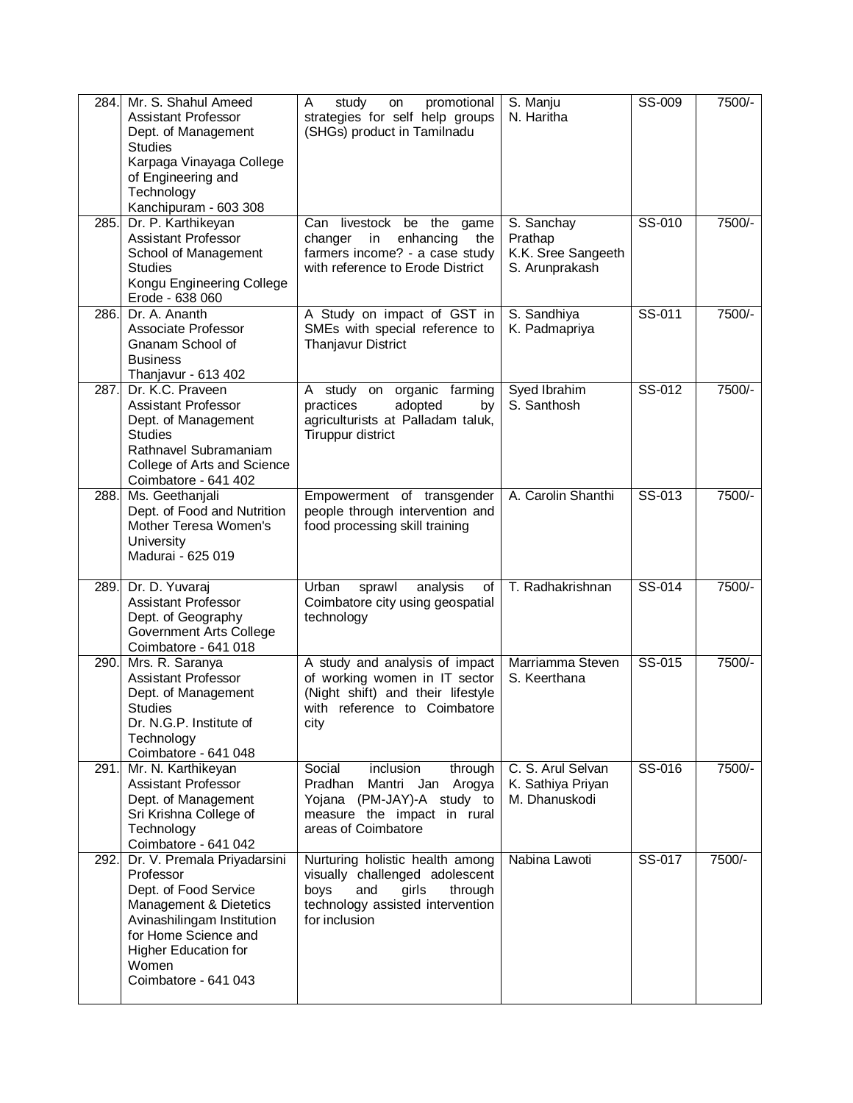| 284. | Mr. S. Shahul Ameed<br><b>Assistant Professor</b><br>Dept. of Management<br><b>Studies</b><br>Karpaga Vinayaga College<br>of Engineering and<br>Technology<br>Kanchipuram - 603 308                               | study<br>promotional<br>A<br>on<br>strategies for self help groups<br>(SHGs) product in Tamilnadu                                                         | S. Manju<br>N. Haritha                                        | SS-009 | 7500/- |
|------|-------------------------------------------------------------------------------------------------------------------------------------------------------------------------------------------------------------------|-----------------------------------------------------------------------------------------------------------------------------------------------------------|---------------------------------------------------------------|--------|--------|
| 285. | Dr. P. Karthikeyan<br>Assistant Professor<br>School of Management<br><b>Studies</b><br>Kongu Engineering College<br>Erode - 638 060                                                                               | Can livestock be the game<br>enhancing<br>the<br>changer in<br>farmers income? - a case study<br>with reference to Erode District                         | S. Sanchay<br>Prathap<br>K.K. Sree Sangeeth<br>S. Arunprakash | SS-010 | 7500/- |
| 286. | Dr. A. Ananth<br>Associate Professor<br>Gnanam School of<br><b>Business</b><br>Thanjavur - 613 402                                                                                                                | A Study on impact of GST in<br>SMEs with special reference to<br><b>Thanjavur District</b>                                                                | S. Sandhiya<br>K. Padmapriya                                  | SS-011 | 7500/- |
| 287. | Dr. K.C. Praveen<br><b>Assistant Professor</b><br>Dept. of Management<br><b>Studies</b><br>Rathnavel Subramaniam<br>College of Arts and Science<br>Coimbatore - 641 402                                           | organic farming<br>A study on<br>adopted<br>practices<br>by<br>agriculturists at Palladam taluk,<br>Tiruppur district                                     | Syed Ibrahim<br>S. Santhosh                                   | SS-012 | 7500/- |
| 288. | Ms. Geethanjali<br>Dept. of Food and Nutrition<br>Mother Teresa Women's<br>University<br>Madurai - 625 019                                                                                                        | Empowerment of transgender<br>people through intervention and<br>food processing skill training                                                           | A. Carolin Shanthi                                            | SS-013 | 7500/- |
| 289. | Dr. D. Yuvaraj<br><b>Assistant Professor</b><br>Dept. of Geography<br><b>Government Arts College</b><br>Coimbatore - 641 018                                                                                      | sprawl<br>analysis<br>Urban<br>of<br>Coimbatore city using geospatial<br>technology                                                                       | T. Radhakrishnan                                              | SS-014 | 7500/- |
| 290. | Mrs. R. Saranya<br><b>Assistant Professor</b><br>Dept. of Management<br><b>Studies</b><br>Dr. N.G.P. Institute of<br>Technology<br>Coimbatore - 641 048                                                           | A study and analysis of impact<br>of working women in IT sector<br>(Night shift) and their lifestyle<br>with reference to Coimbatore<br>city              | Marriamma Steven<br>S. Keerthana                              | SS-015 | 7500/- |
| 291. | Mr. N. Karthikeyan<br>Assistant Professor<br>Dept. of Management<br>Sri Krishna College of<br>Technology<br>Coimbatore - 641 042                                                                                  | Social<br>inclusion<br>through<br>Pradhan<br>Mantri Jan Arogya<br>Yojana (PM-JAY)-A study to<br>measure the impact in rural<br>areas of Coimbatore        | C. S. Arul Selvan<br>K. Sathiya Priyan<br>M. Dhanuskodi       | SS-016 | 7500/- |
| 292. | Dr. V. Premala Priyadarsini<br>Professor<br>Dept. of Food Service<br>Management & Dietetics<br>Avinashilingam Institution<br>for Home Science and<br><b>Higher Education for</b><br>Women<br>Coimbatore - 641 043 | Nurturing holistic health among<br>visually challenged adolescent<br>boys<br>and<br>girls<br>through<br>technology assisted intervention<br>for inclusion | Nabina Lawoti                                                 | SS-017 | 7500/- |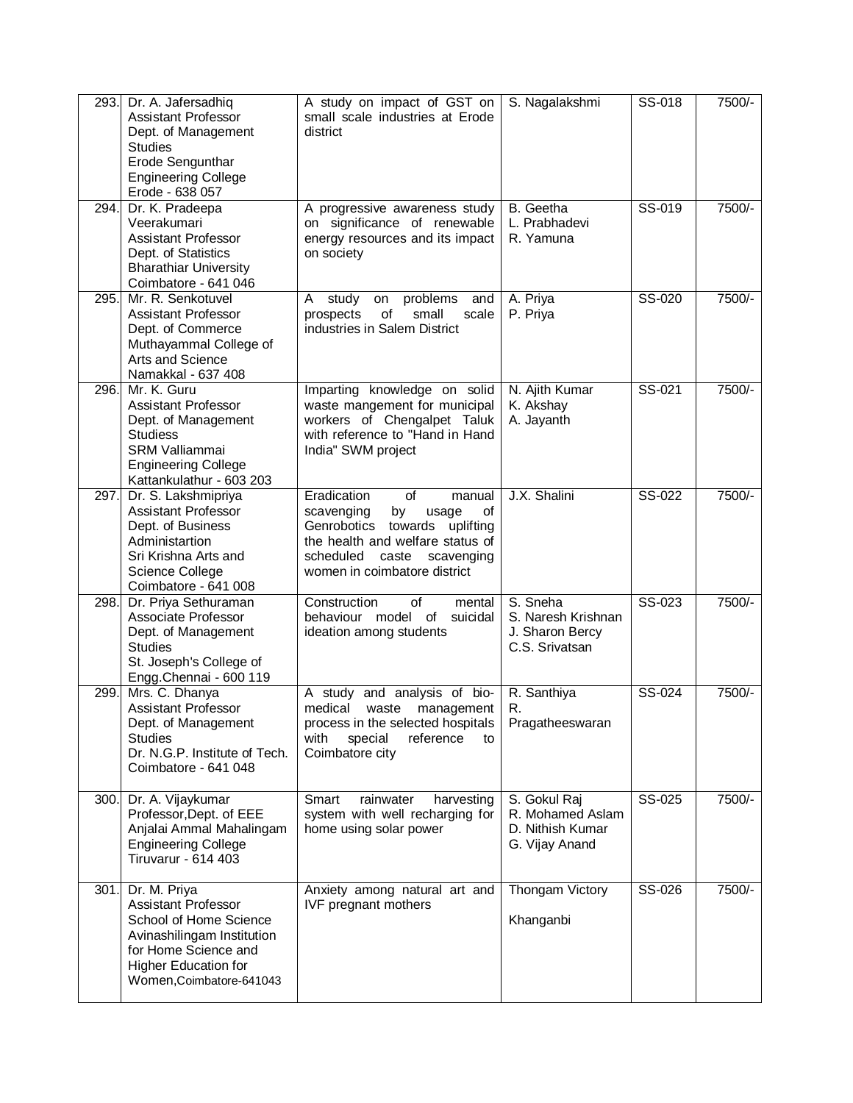| 293. | Dr. A. Jafersadhiq<br><b>Assistant Professor</b><br>Dept. of Management<br><b>Studies</b><br>Erode Sengunthar<br><b>Engineering College</b><br>Erode - 638 057                        | A study on impact of GST on<br>small scale industries at Erode<br>district                                                                                                                           | S. Nagalakshmi                                                         | SS-018 | 7500/- |
|------|---------------------------------------------------------------------------------------------------------------------------------------------------------------------------------------|------------------------------------------------------------------------------------------------------------------------------------------------------------------------------------------------------|------------------------------------------------------------------------|--------|--------|
| 294. | Dr. K. Pradeepa<br>Veerakumari<br><b>Assistant Professor</b><br>Dept. of Statistics<br><b>Bharathiar University</b><br>Coimbatore - 641 046                                           | A progressive awareness study<br>on significance of renewable<br>energy resources and its impact<br>on society                                                                                       | B. Geetha<br>L. Prabhadevi<br>R. Yamuna                                | SS-019 | 7500/- |
| 295. | Mr. R. Senkotuvel<br><b>Assistant Professor</b><br>Dept. of Commerce<br>Muthayammal College of<br>Arts and Science<br>Namakkal - 637 408                                              | problems<br>study<br>A<br>on<br>and<br>of<br>prospects<br>small<br>scale<br>industries in Salem District                                                                                             | A. Priya<br>P. Priya                                                   | SS-020 | 7500/- |
| 296. | Mr. K. Guru<br>Assistant Professor<br>Dept. of Management<br><b>Studiess</b><br><b>SRM Valliammai</b><br><b>Engineering College</b><br>Kattankulathur - 603 203                       | Imparting knowledge on solid<br>waste mangement for municipal<br>workers of Chengalpet Taluk<br>with reference to "Hand in Hand<br>India" SWM project                                                | N. Ajith Kumar<br>K. Akshay<br>A. Jayanth                              | SS-021 | 7500/- |
| 297. | Dr. S. Lakshmipriya<br><b>Assistant Professor</b><br>Dept. of Business<br>Administartion<br>Sri Krishna Arts and<br>Science College<br>Coimbatore - 641 008                           | Eradication<br>of<br>manual<br>scavenging<br>by<br>usage<br>οf<br>Genrobotics towards uplifting<br>the health and welfare status of<br>scheduled<br>caste scavenging<br>women in coimbatore district | J.X. Shalini                                                           | SS-022 | 7500/- |
| 298. | Dr. Priya Sethuraman<br>Associate Professor<br>Dept. of Management<br><b>Studies</b><br>St. Joseph's College of<br>Engg.Chennai - 600 119                                             | Construction<br>0f<br>mental<br>behaviour model of suicidal<br>ideation among students                                                                                                               | S. Sneha<br>S. Naresh Krishnan<br>J. Sharon Bercy<br>C.S. Srivatsan    | SS-023 | 7500/- |
| 299. | Mrs. C. Dhanya<br><b>Assistant Professor</b><br>Dept. of Management<br><b>Studies</b><br>Dr. N.G.P. Institute of Tech.<br>Coimbatore - 641 048                                        | A study and analysis of bio-<br>medical<br>waste<br>management<br>process in the selected hospitals<br>reference<br>with<br>special<br>to<br>Coimbatore city                                         | R. Santhiya<br>R.<br>Pragatheeswaran                                   | SS-024 | 7500/- |
| 300. | Dr. A. Vijaykumar<br>Professor, Dept. of EEE<br>Anjalai Ammal Mahalingam<br><b>Engineering College</b><br><b>Tiruvarur - 614 403</b>                                                  | Smart<br>rainwater<br>harvesting<br>system with well recharging for<br>home using solar power                                                                                                        | S. Gokul Raj<br>R. Mohamed Aslam<br>D. Nithish Kumar<br>G. Vijay Anand | SS-025 | 7500/- |
| 301. | Dr. M. Priya<br><b>Assistant Professor</b><br>School of Home Science<br>Avinashilingam Institution<br>for Home Science and<br><b>Higher Education for</b><br>Women, Coimbatore-641043 | Anxiety among natural art and<br><b>IVF</b> pregnant mothers                                                                                                                                         | Thongam Victory<br>Khanganbi                                           | SS-026 | 7500/- |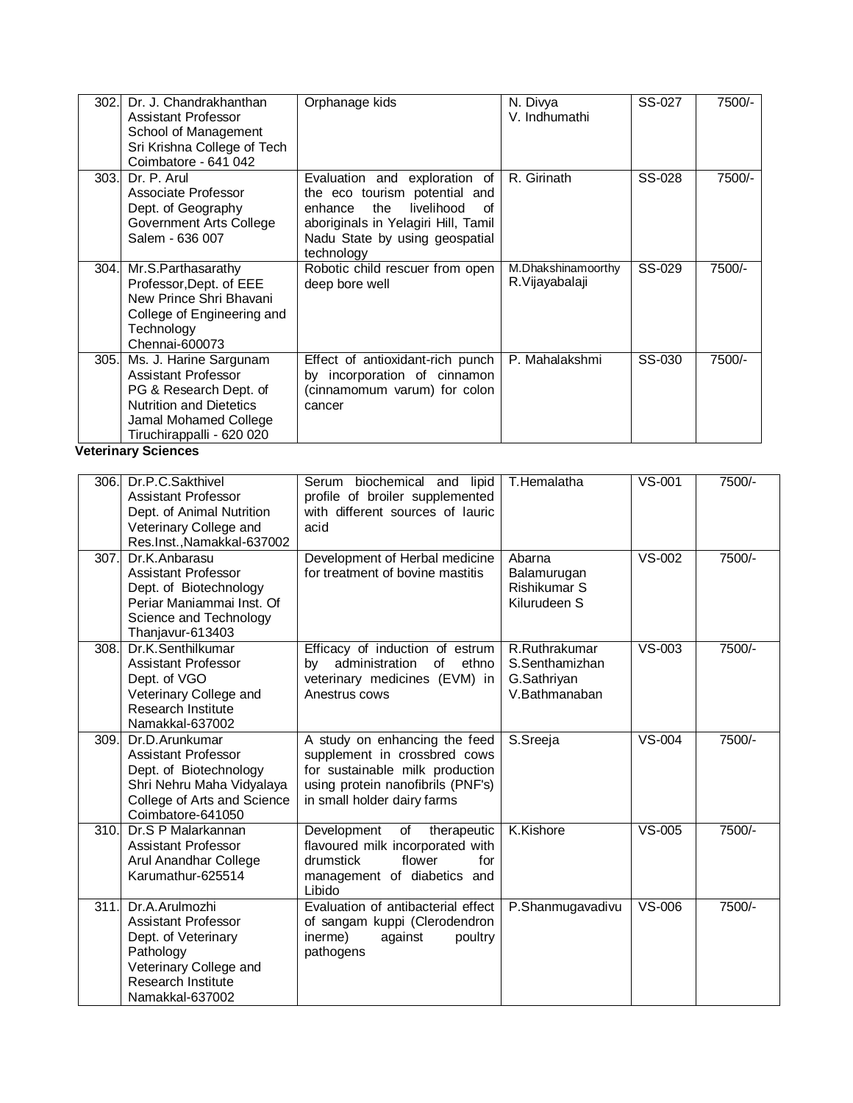| 302.              | Dr. J. Chandrakhanthan<br><b>Assistant Professor</b><br>School of Management<br>Sri Krishna College of Tech<br>Coimbatore - 641 042                                    | Orphanage kids                                                                                                                                                                              | N. Divya<br>V. Indhumathi                                       | SS-027        | 7500/- |
|-------------------|------------------------------------------------------------------------------------------------------------------------------------------------------------------------|---------------------------------------------------------------------------------------------------------------------------------------------------------------------------------------------|-----------------------------------------------------------------|---------------|--------|
| 303.              | Dr. P. Arul<br>Associate Professor<br>Dept. of Geography<br><b>Government Arts College</b><br>Salem - 636 007                                                          | Evaluation and exploration of<br>the eco tourism potential and<br>livelihood<br>enhance<br>the<br>of<br>aboriginals in Yelagiri Hill, Tamil<br>Nadu State by using geospatial<br>technology | R. Girinath                                                     | SS-028        | 7500/- |
| 304.              | Mr.S.Parthasarathy<br>Professor, Dept. of EEE<br>New Prince Shri Bhavani<br>College of Engineering and<br>Technology<br>Chennai-600073                                 | Robotic child rescuer from open<br>deep bore well                                                                                                                                           | M.Dhakshinamoorthy<br>R.Vijayabalaji                            | SS-029        | 7500/- |
| 305.              | Ms. J. Harine Sargunam<br><b>Assistant Professor</b><br>PG & Research Dept. of<br><b>Nutrition and Dietetics</b><br>Jamal Mohamed College<br>Tiruchirappalli - 620 020 | Effect of antioxidant-rich punch<br>by incorporation of cinnamon<br>(cinnamomum varum) for colon<br>cancer                                                                                  | P. Mahalakshmi                                                  | SS-030        | 7500/- |
|                   | <b>Veterinary Sciences</b>                                                                                                                                             |                                                                                                                                                                                             |                                                                 |               |        |
| 306.              | Dr.P.C.Sakthivel<br><b>Assistant Professor</b><br>Dept. of Animal Nutrition<br>Veterinary College and<br>Res.Inst., Namakkal-637002                                    | Serum biochemical and lipid<br>profile of broiler supplemented<br>with different sources of lauric<br>acid                                                                                  | T.Hemalatha                                                     | $VS-001$      | 7500/- |
| 307.              | Dr.K.Anbarasu<br><b>Assistant Professor</b><br>Dept. of Biotechnology<br>Periar Maniammai Inst. Of<br>Science and Technology<br>Thanjavur-613403                       | Development of Herbal medicine<br>for treatment of bovine mastitis                                                                                                                          | Abarna<br>Balamurugan<br>Rishikumar S<br>Kilurudeen S           | $VS-002$      | 7500/- |
| 308.              | Dr.K.Senthilkumar<br><b>Assistant Professor</b><br>Dept. of VGO<br>Veterinary College and<br>Research Institute<br>Namakkal-637002                                     | Efficacy of induction of estrum<br>administration<br>ethno<br>of<br>bv<br>veterinary medicines (EVM) in<br>Anestrus cows                                                                    | R.Ruthrakumar<br>S.Senthamizhan<br>G.Sathriyan<br>V.Bathmanaban | VS-003        | 7500/- |
| 309.              | Dr.D.Arunkumar<br><b>Assistant Professor</b><br>Dept. of Biotechnology<br>Shri Nehru Maha Vidyalaya<br>College of Arts and Science<br>Coimbatore-641050                | A study on enhancing the feed<br>supplement in crossbred cows<br>for sustainable milk production<br>using protein nanofibrils (PNF's)<br>in small holder dairy farms                        | S.Sreeja                                                        | <b>VS-004</b> | 7500/- |
| 310.              | Dr.S P Malarkannan<br><b>Assistant Professor</b><br>Arul Anandhar College<br>Karumathur-625514                                                                         | Development<br>of<br>therapeutic<br>flavoured milk incorporated with<br>drumstick<br>flower<br>for<br>management of diabetics and<br>Libido                                                 | K.Kishore                                                       | $VS-005$      | 7500/- |
| $\overline{3}11.$ | Dr.A.Arulmozhi<br><b>Assistant Professor</b><br>Dept. of Veterinary<br>Pathology<br>Veterinary College and<br>Research Institute<br>Namakkal-637002                    | Evaluation of antibacterial effect<br>of sangam kuppi (Clerodendron<br>inerme)<br>against<br>poultry<br>pathogens                                                                           | P.Shanmugavadivu                                                | VS-006        | 7500/- |